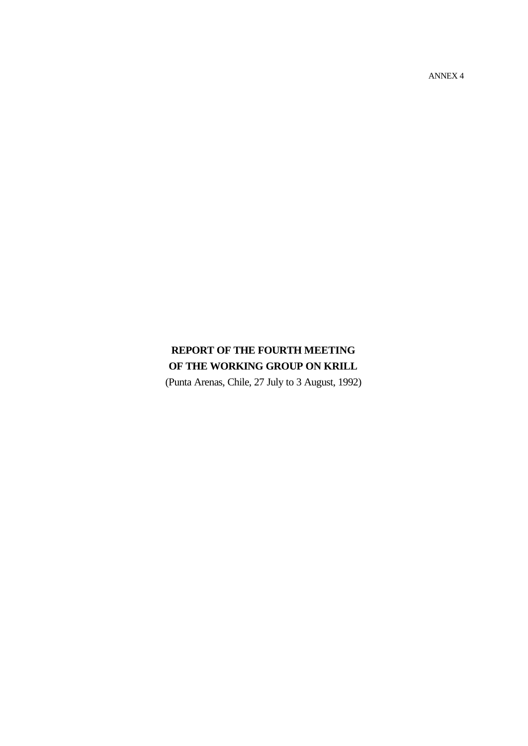ANNEX 4

# **REPORT OF THE FOURTH MEETING OF THE WORKING GROUP ON KRILL**

(Punta Arenas, Chile, 27 July to 3 August, 1992)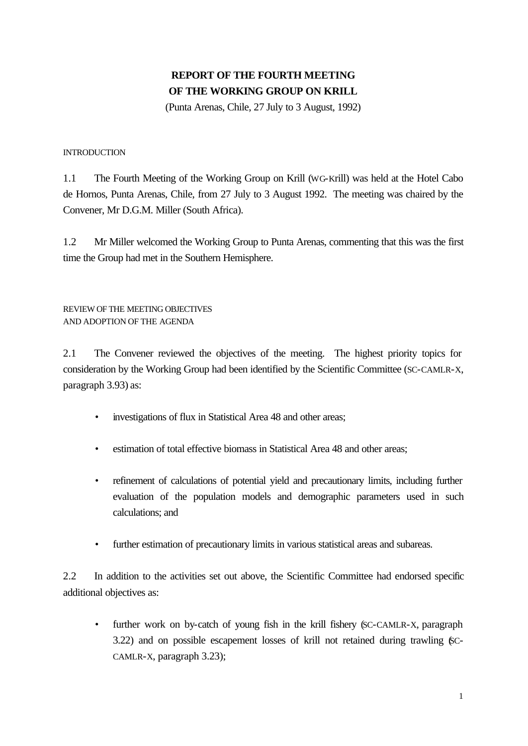# **REPORT OF THE FOURTH MEETING OF THE WORKING GROUP ON KRILL**

(Punta Arenas, Chile, 27 July to 3 August, 1992)

### INTRODUCTION

1.1 The Fourth Meeting of the Working Group on Krill (WG-Krill) was held at the Hotel Cabo de Hornos, Punta Arenas, Chile, from 27 July to 3 August 1992. The meeting was chaired by the Convener, Mr D.G.M. Miller (South Africa).

1.2 Mr Miller welcomed the Working Group to Punta Arenas, commenting that this was the first time the Group had met in the Southern Hemisphere.

# REVIEW OF THE MEETING OBJECTIVES AND ADOPTION OF THE AGENDA

2.1 The Convener reviewed the objectives of the meeting. The highest priority topics for consideration by the Working Group had been identified by the Scientific Committee (SC-CAMLR-X, paragraph 3.93) as:

- investigations of flux in Statistical Area 48 and other areas;
- estimation of total effective biomass in Statistical Area 48 and other areas;
- refinement of calculations of potential yield and precautionary limits, including further evaluation of the population models and demographic parameters used in such calculations; and
- further estimation of precautionary limits in various statistical areas and subareas.

2.2 In addition to the activities set out above, the Scientific Committee had endorsed specific additional objectives as:

• further work on by-catch of young fish in the krill fishery (SC-CAMLR-X, paragraph 3.22) and on possible escapement losses of krill not retained during trawling (SC-CAMLR-X, paragraph 3.23);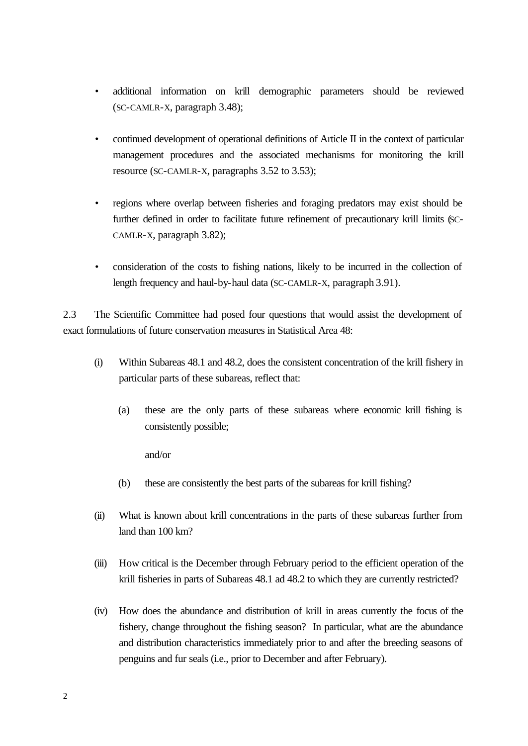- additional information on krill demographic parameters should be reviewed (SC-CAMLR-X, paragraph 3.48);
- continued development of operational definitions of Article II in the context of particular management procedures and the associated mechanisms for monitoring the krill resource (SC-CAMLR-X, paragraphs 3.52 to 3.53);
- regions where overlap between fisheries and foraging predators may exist should be further defined in order to facilitate future refinement of precautionary krill limits (SC-CAMLR-X, paragraph 3.82);
- consideration of the costs to fishing nations, likely to be incurred in the collection of length frequency and haul-by-haul data (SC-CAMLR-X, paragraph 3.91).

2.3 The Scientific Committee had posed four questions that would assist the development of exact formulations of future conservation measures in Statistical Area 48:

- (i) Within Subareas 48.1 and 48.2, does the consistent concentration of the krill fishery in particular parts of these subareas, reflect that:
	- (a) these are the only parts of these subareas where economic krill fishing is consistently possible;

and/or

- (b) these are consistently the best parts of the subareas for krill fishing?
- (ii) What is known about krill concentrations in the parts of these subareas further from land than 100 km?
- (iii) How critical is the December through February period to the efficient operation of the krill fisheries in parts of Subareas 48.1 ad 48.2 to which they are currently restricted?
- (iv) How does the abundance and distribution of krill in areas currently the focus of the fishery, change throughout the fishing season? In particular, what are the abundance and distribution characteristics immediately prior to and after the breeding seasons of penguins and fur seals (i.e., prior to December and after February).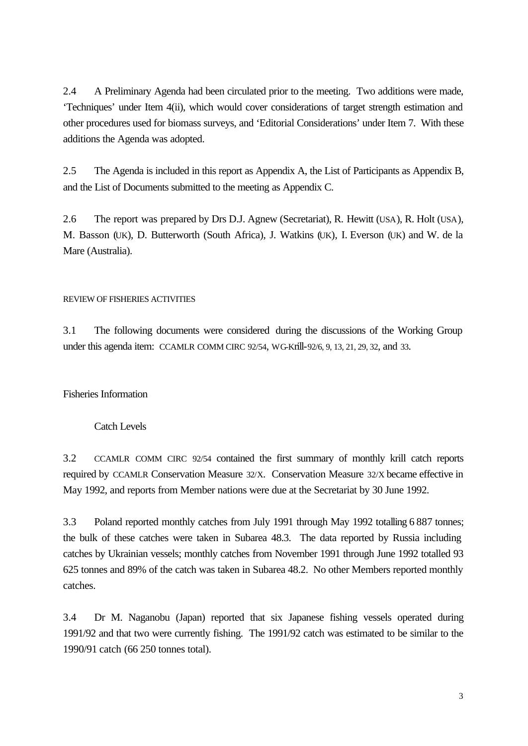2.4 A Preliminary Agenda had been circulated prior to the meeting. Two additions were made, 'Techniques' under Item 4(ii), which would cover considerations of target strength estimation and other procedures used for biomass surveys, and 'Editorial Considerations' under Item 7. With these additions the Agenda was adopted.

2.5 The Agenda is included in this report as Appendix A, the List of Participants as Appendix B, and the List of Documents submitted to the meeting as Appendix C.

2.6 The report was prepared by Drs D.J. Agnew (Secretariat), R. Hewitt (USA), R. Holt (USA), M. Basson (UK), D. Butterworth (South Africa), J. Watkins (UK), I. Everson (UK) and W. de la Mare (Australia).

#### REVIEW OF FISHERIES ACTIVITIES

3.1 The following documents were considered during the discussions of the Working Group under this agenda item: CCAMLR COMM CIRC 92/54, WG-Krill-92/6, 9, 13, 21, 29, 32, and 33.

Fisheries Information

Catch Levels

3.2 CCAMLR COMM CIRC 92/54 contained the first summary of monthly krill catch reports required by CCAMLR Conservation Measure 32/X. Conservation Measure 32/X became effective in May 1992, and reports from Member nations were due at the Secretariat by 30 June 1992.

3.3 Poland reported monthly catches from July 1991 through May 1992 totalling 6 887 tonnes; the bulk of these catches were taken in Subarea 48.3. The data reported by Russia including catches by Ukrainian vessels; monthly catches from November 1991 through June 1992 totalled 93 625 tonnes and 89% of the catch was taken in Subarea 48.2. No other Members reported monthly catches.

3.4 Dr M. Naganobu (Japan) reported that six Japanese fishing vessels operated during 1991/92 and that two were currently fishing. The 1991/92 catch was estimated to be similar to the 1990/91 catch (66 250 tonnes total).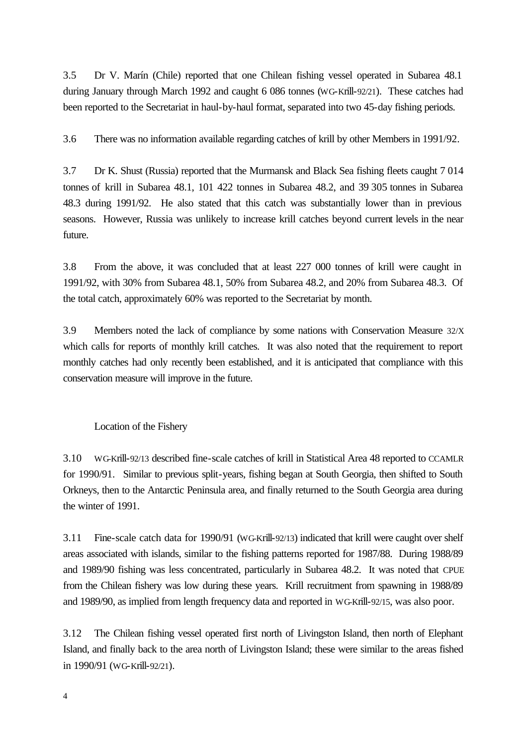3.5 Dr V. Marín (Chile) reported that one Chilean fishing vessel operated in Subarea 48.1 during January through March 1992 and caught 6 086 tonnes (WG-Krill-92/21). These catches had been reported to the Secretariat in haul-by-haul format, separated into two 45-day fishing periods.

3.6 There was no information available regarding catches of krill by other Members in 1991/92.

3.7 Dr K. Shust (Russia) reported that the Murmansk and Black Sea fishing fleets caught 7 014 tonnes of krill in Subarea 48.1, 101 422 tonnes in Subarea 48.2, and 39 305 tonnes in Subarea 48.3 during 1991/92. He also stated that this catch was substantially lower than in previous seasons. However, Russia was unlikely to increase krill catches beyond current levels in the near future.

3.8 From the above, it was concluded that at least 227 000 tonnes of krill were caught in 1991/92, with 30% from Subarea 48.1, 50% from Subarea 48.2, and 20% from Subarea 48.3. Of the total catch, approximately 60% was reported to the Secretariat by month.

3.9 Members noted the lack of compliance by some nations with Conservation Measure 32/X which calls for reports of monthly krill catches. It was also noted that the requirement to report monthly catches had only recently been established, and it is anticipated that compliance with this conservation measure will improve in the future.

#### Location of the Fishery

3.10 WG-Krill-92/13 described fine-scale catches of krill in Statistical Area 48 reported to CCAMLR for 1990/91. Similar to previous split-years, fishing began at South Georgia, then shifted to South Orkneys, then to the Antarctic Peninsula area, and finally returned to the South Georgia area during the winter of 1991.

3.11 Fine-scale catch data for 1990/91 (WG-Krill-92/13) indicated that krill were caught over shelf areas associated with islands, similar to the fishing patterns reported for 1987/88. During 1988/89 and 1989/90 fishing was less concentrated, particularly in Subarea 48.2. It was noted that CPUE from the Chilean fishery was low during these years. Krill recruitment from spawning in 1988/89 and 1989/90, as implied from length frequency data and reported in WG-Krill-92/15, was also poor.

3.12 The Chilean fishing vessel operated first north of Livingston Island, then north of Elephant Island, and finally back to the area north of Livingston Island; these were similar to the areas fished in 1990/91 (WG-Krill-92/21).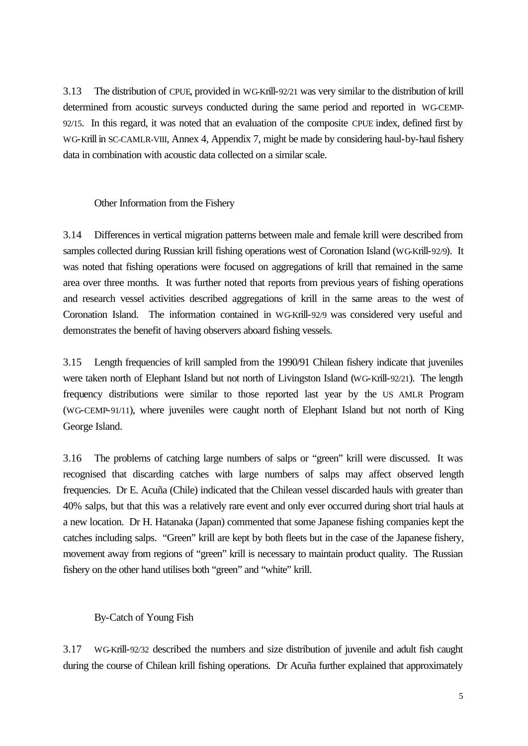3.13 The distribution of CPUE, provided in WG-Krill-92/21 was very similar to the distribution of krill determined from acoustic surveys conducted during the same period and reported in WG-CEMP-92/15. In this regard, it was noted that an evaluation of the composite CPUE index, defined first by WG-Krill in SC-CAMLR-VIII, Annex 4, Appendix 7, might be made by considering haul-by-haul fishery data in combination with acoustic data collected on a similar scale.

#### Other Information from the Fishery

3.14 Differences in vertical migration patterns between male and female krill were described from samples collected during Russian krill fishing operations west of Coronation Island (WG-Krill-92/9). It was noted that fishing operations were focused on aggregations of krill that remained in the same area over three months. It was further noted that reports from previous years of fishing operations and research vessel activities described aggregations of krill in the same areas to the west of Coronation Island. The information contained in WG-Krill-92/9 was considered very useful and demonstrates the benefit of having observers aboard fishing vessels.

3.15 Length frequencies of krill sampled from the 1990/91 Chilean fishery indicate that juveniles were taken north of Elephant Island but not north of Livingston Island (WG-Krill-92/21). The length frequency distributions were similar to those reported last year by the US AMLR Program (WG-CEMP-91/11), where juveniles were caught north of Elephant Island but not north of King George Island.

3.16 The problems of catching large numbers of salps or "green" krill were discussed. It was recognised that discarding catches with large numbers of salps may affect observed length frequencies. Dr E. Acuña (Chile) indicated that the Chilean vessel discarded hauls with greater than 40% salps, but that this was a relatively rare event and only ever occurred during short trial hauls at a new location. Dr H. Hatanaka (Japan) commented that some Japanese fishing companies kept the catches including salps. "Green" krill are kept by both fleets but in the case of the Japanese fishery, movement away from regions of "green" krill is necessary to maintain product quality. The Russian fishery on the other hand utilises both "green" and "white" krill.

#### By-Catch of Young Fish

3.17 WG-Krill-92/32 described the numbers and size distribution of juvenile and adult fish caught during the course of Chilean krill fishing operations. Dr Acuña further explained that approximately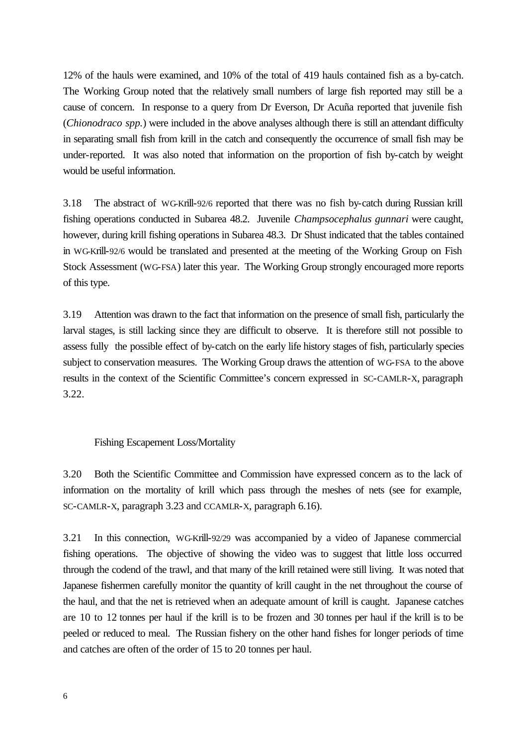12% of the hauls were examined, and 10% of the total of 419 hauls contained fish as a by-catch. The Working Group noted that the relatively small numbers of large fish reported may still be a cause of concern. In response to a query from Dr Everson, Dr Acuña reported that juvenile fish (*Chionodraco spp.*) were included in the above analyses although there is still an attendant difficulty in separating small fish from krill in the catch and consequently the occurrence of small fish may be under-reported. It was also noted that information on the proportion of fish by-catch by weight would be useful information.

3.18 The abstract of WG-Krill-92/6 reported that there was no fish by-catch during Russian krill fishing operations conducted in Subarea 48.2. Juvenile *Champsocephalus gunnari* were caught, however, during krill fishing operations in Subarea 48.3. Dr Shust indicated that the tables contained in WG-Krill-92/6 would be translated and presented at the meeting of the Working Group on Fish Stock Assessment (WG-FSA) later this year. The Working Group strongly encouraged more reports of this type.

3.19 Attention was drawn to the fact that information on the presence of small fish, particularly the larval stages, is still lacking since they are difficult to observe. It is therefore still not possible to assess fully the possible effect of by-catch on the early life history stages of fish, particularly species subject to conservation measures. The Working Group draws the attention of WG-FSA to the above results in the context of the Scientific Committee's concern expressed in SC-CAMLR-X, paragraph 3.22.

#### Fishing Escapement Loss/Mortality

3.20 Both the Scientific Committee and Commission have expressed concern as to the lack of information on the mortality of krill which pass through the meshes of nets (see for example, SC-CAMLR-X, paragraph 3.23 and CCAMLR-X, paragraph 6.16).

3.21 In this connection, WG-Krill-92/29 was accompanied by a video of Japanese commercial fishing operations. The objective of showing the video was to suggest that little loss occurred through the codend of the trawl, and that many of the krill retained were still living. It was noted that Japanese fishermen carefully monitor the quantity of krill caught in the net throughout the course of the haul, and that the net is retrieved when an adequate amount of krill is caught. Japanese catches are 10 to 12 tonnes per haul if the krill is to be frozen and 30 tonnes per haul if the krill is to be peeled or reduced to meal. The Russian fishery on the other hand fishes for longer periods of time and catches are often of the order of 15 to 20 tonnes per haul.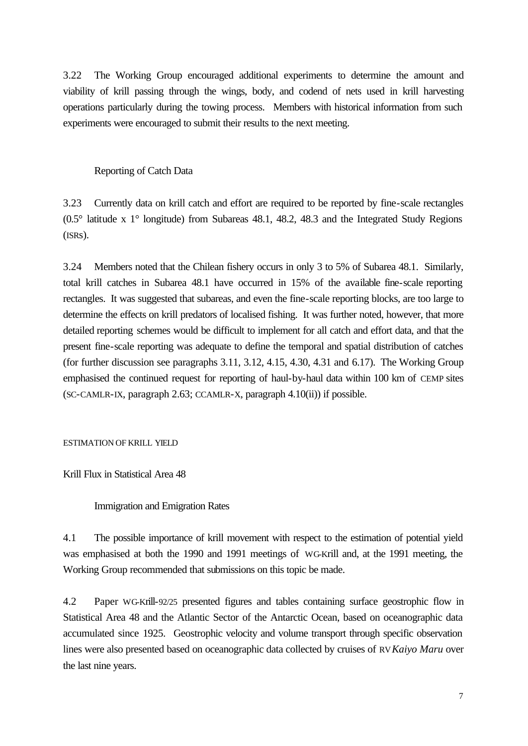3.22 The Working Group encouraged additional experiments to determine the amount and viability of krill passing through the wings, body, and codend of nets used in krill harvesting operations particularly during the towing process. Members with historical information from such experiments were encouraged to submit their results to the next meeting.

Reporting of Catch Data

3.23 Currently data on krill catch and effort are required to be reported by fine-scale rectangles  $(0.5^{\circ})$  latitude x 1<sup>°</sup> longitude) from Subareas 48.1, 48.2, 48.3 and the Integrated Study Regions (ISRs).

3.24 Members noted that the Chilean fishery occurs in only 3 to 5% of Subarea 48.1. Similarly, total krill catches in Subarea 48.1 have occurred in 15% of the available fine-scale reporting rectangles. It was suggested that subareas, and even the fine-scale reporting blocks, are too large to determine the effects on krill predators of localised fishing. It was further noted, however, that more detailed reporting schemes would be difficult to implement for all catch and effort data, and that the present fine-scale reporting was adequate to define the temporal and spatial distribution of catches (for further discussion see paragraphs 3.11, 3.12, 4.15, 4.30, 4.31 and 6.17). The Working Group emphasised the continued request for reporting of haul-by-haul data within 100 km of CEMP sites (SC-CAMLR-IX, paragraph 2.63; CCAMLR-X, paragraph 4.10(ii)) if possible.

ESTIMATION OF KRILL YIELD

Krill Flux in Statistical Area 48

Immigration and Emigration Rates

4.1 The possible importance of krill movement with respect to the estimation of potential yield was emphasised at both the 1990 and 1991 meetings of WG-Krill and, at the 1991 meeting, the Working Group recommended that submissions on this topic be made.

4.2 Paper WG-Krill-92/25 presented figures and tables containing surface geostrophic flow in Statistical Area 48 and the Atlantic Sector of the Antarctic Ocean, based on oceanographic data accumulated since 1925. Geostrophic velocity and volume transport through specific observation lines were also presented based on oceanographic data collected by cruises of RV*Kaiyo Maru* over the last nine years.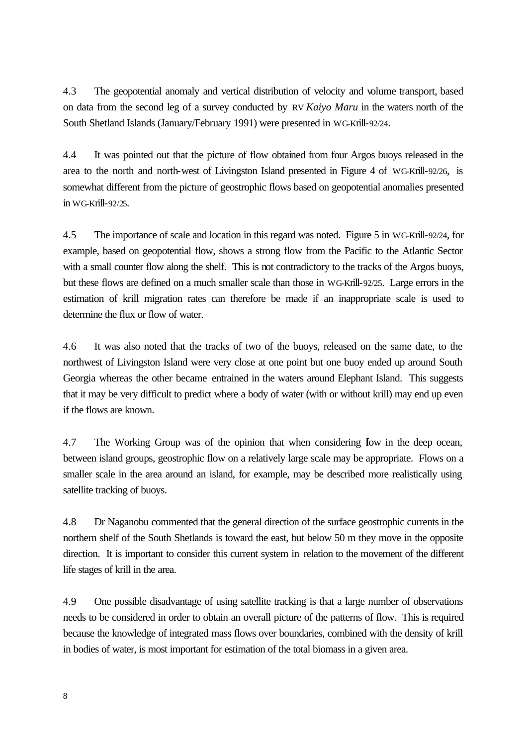4.3 The geopotential anomaly and vertical distribution of velocity and volume transport, based on data from the second leg of a survey conducted by RV *Kaiyo Maru* in the waters north of the South Shetland Islands (January/February 1991) were presented in WG-Krill-92/24.

4.4 It was pointed out that the picture of flow obtained from four Argos buoys released in the area to the north and north-west of Livingston Island presented in Figure 4 of WG-Krill-92/26, is somewhat different from the picture of geostrophic flows based on geopotential anomalies presented in WG-Krill-92/25.

4.5 The importance of scale and location in this regard was noted. Figure 5 in WG-Krill-92/24, for example, based on geopotential flow, shows a strong flow from the Pacific to the Atlantic Sector with a small counter flow along the shelf. This is not contradictory to the tracks of the Argos buoys, but these flows are defined on a much smaller scale than those in WG-Krill-92/25. Large errors in the estimation of krill migration rates can therefore be made if an inappropriate scale is used to determine the flux or flow of water.

4.6 It was also noted that the tracks of two of the buoys, released on the same date, to the northwest of Livingston Island were very close at one point but one buoy ended up around South Georgia whereas the other became entrained in the waters around Elephant Island. This suggests that it may be very difficult to predict where a body of water (with or without krill) may end up even if the flows are known.

4.7 The Working Group was of the opinion that when considering fow in the deep ocean, between island groups, geostrophic flow on a relatively large scale may be appropriate. Flows on a smaller scale in the area around an island, for example, may be described more realistically using satellite tracking of buoys.

4.8 Dr Naganobu commented that the general direction of the surface geostrophic currents in the northern shelf of the South Shetlands is toward the east, but below 50 m they move in the opposite direction. It is important to consider this current system in relation to the movement of the different life stages of krill in the area.

4.9 One possible disadvantage of using satellite tracking is that a large number of observations needs to be considered in order to obtain an overall picture of the patterns of flow. This is required because the knowledge of integrated mass flows over boundaries, combined with the density of krill in bodies of water, is most important for estimation of the total biomass in a given area.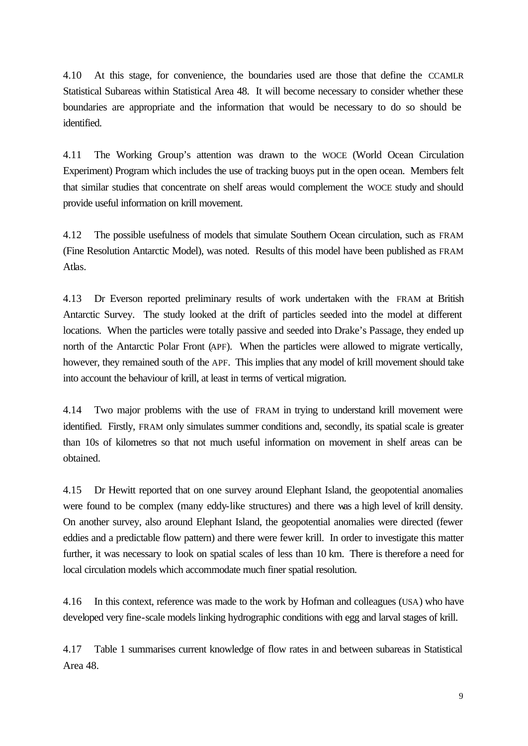4.10 At this stage, for convenience, the boundaries used are those that define the CCAMLR Statistical Subareas within Statistical Area 48. It will become necessary to consider whether these boundaries are appropriate and the information that would be necessary to do so should be identified.

4.11 The Working Group's attention was drawn to the WOCE (World Ocean Circulation Experiment) Program which includes the use of tracking buoys put in the open ocean. Members felt that similar studies that concentrate on shelf areas would complement the WOCE study and should provide useful information on krill movement.

4.12 The possible usefulness of models that simulate Southern Ocean circulation, such as FRAM (Fine Resolution Antarctic Model), was noted. Results of this model have been published as FRAM Atlas.

4.13 Dr Everson reported preliminary results of work undertaken with the FRAM at British Antarctic Survey. The study looked at the drift of particles seeded into the model at different locations. When the particles were totally passive and seeded into Drake's Passage, they ended up north of the Antarctic Polar Front (APF). When the particles were allowed to migrate vertically, however, they remained south of the APF. This implies that any model of krill movement should take into account the behaviour of krill, at least in terms of vertical migration.

4.14 Two major problems with the use of FRAM in trying to understand krill movement were identified. Firstly, FRAM only simulates summer conditions and, secondly, its spatial scale is greater than 10s of kilometres so that not much useful information on movement in shelf areas can be obtained.

4.15 Dr Hewitt reported that on one survey around Elephant Island, the geopotential anomalies were found to be complex (many eddy-like structures) and there was a high level of krill density. On another survey, also around Elephant Island, the geopotential anomalies were directed (fewer eddies and a predictable flow pattern) and there were fewer krill. In order to investigate this matter further, it was necessary to look on spatial scales of less than 10 km. There is therefore a need for local circulation models which accommodate much finer spatial resolution.

4.16 In this context, reference was made to the work by Hofman and colleagues (USA) who have developed very fine-scale models linking hydrographic conditions with egg and larval stages of krill.

4.17 Table 1 summarises current knowledge of flow rates in and between subareas in Statistical Area 48.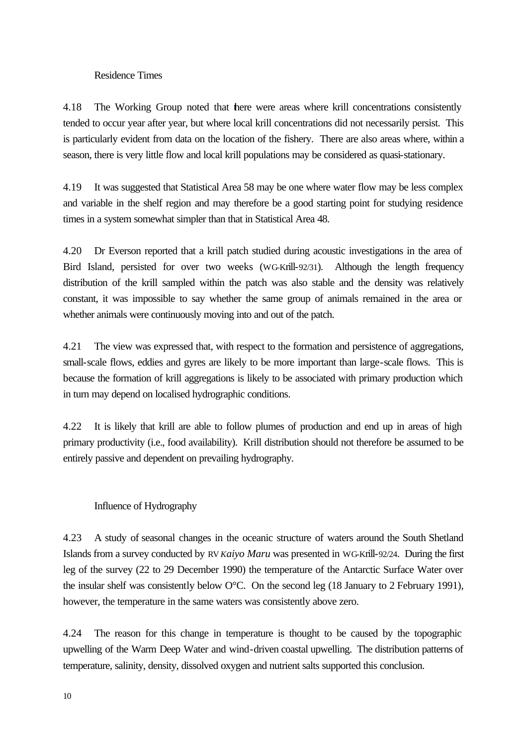### Residence Times

4.18 The Working Group noted that there were areas where krill concentrations consistently tended to occur year after year, but where local krill concentrations did not necessarily persist. This is particularly evident from data on the location of the fishery. There are also areas where, within a season, there is very little flow and local krill populations may be considered as quasi-stationary.

4.19 It was suggested that Statistical Area 58 may be one where water flow may be less complex and variable in the shelf region and may therefore be a good starting point for studying residence times in a system somewhat simpler than that in Statistical Area 48.

4.20 Dr Everson reported that a krill patch studied during acoustic investigations in the area of Bird Island, persisted for over two weeks (WG-Krill-92/31). Although the length frequency distribution of the krill sampled within the patch was also stable and the density was relatively constant, it was impossible to say whether the same group of animals remained in the area or whether animals were continuously moving into and out of the patch.

4.21 The view was expressed that, with respect to the formation and persistence of aggregations, small-scale flows, eddies and gyres are likely to be more important than large-scale flows. This is because the formation of krill aggregations is likely to be associated with primary production which in turn may depend on localised hydrographic conditions.

4.22 It is likely that krill are able to follow plumes of production and end up in areas of high primary productivity (i.e., food availability). Krill distribution should not therefore be assumed to be entirely passive and dependent on prevailing hydrography.

# Influence of Hydrography

4.23 A study of seasonal changes in the oceanic structure of waters around the South Shetland Islands from a survey conducted by RV *Kaiyo Maru* was presented in WG-Krill-92/24. During the first leg of the survey (22 to 29 December 1990) the temperature of the Antarctic Surface Water over the insular shelf was consistently below O°C. On the second leg (18 January to 2 February 1991), however, the temperature in the same waters was consistently above zero.

4.24 The reason for this change in temperature is thought to be caused by the topographic upwelling of the Warm Deep Water and wind-driven coastal upwelling. The distribution patterns of temperature, salinity, density, dissolved oxygen and nutrient salts supported this conclusion.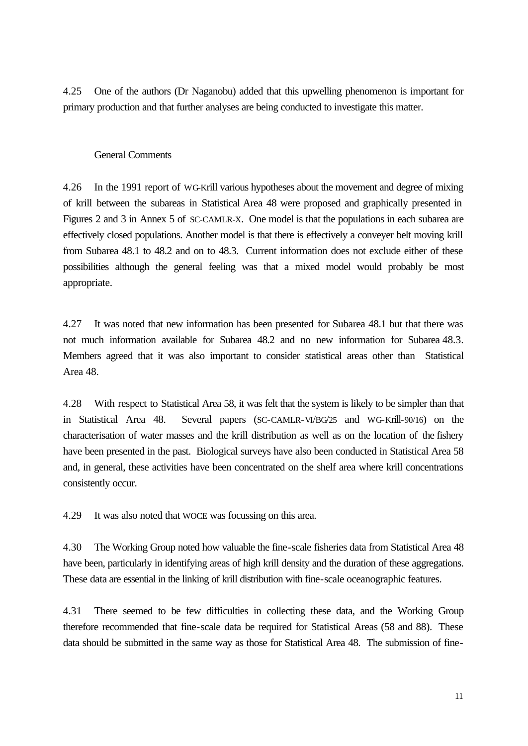4.25 One of the authors (Dr Naganobu) added that this upwelling phenomenon is important for primary production and that further analyses are being conducted to investigate this matter.

#### General Comments

4.26 In the 1991 report of WG-Krill various hypotheses about the movement and degree of mixing of krill between the subareas in Statistical Area 48 were proposed and graphically presented in Figures 2 and 3 in Annex 5 of SC-CAMLR-X. One model is that the populations in each subarea are effectively closed populations. Another model is that there is effectively a conveyer belt moving krill from Subarea 48.1 to 48.2 and on to 48.3. Current information does not exclude either of these possibilities although the general feeling was that a mixed model would probably be most appropriate.

4.27 It was noted that new information has been presented for Subarea 48.1 but that there was not much information available for Subarea 48.2 and no new information for Subarea 48.3. Members agreed that it was also important to consider statistical areas other than Statistical Area 48.

4.28 With respect to Statistical Area 58, it was felt that the system is likely to be simpler than that in Statistical Area 48. Several papers (SC-CAMLR-VI/BG/25 and WG-Krill-90/16) on the characterisation of water masses and the krill distribution as well as on the location of the fishery have been presented in the past. Biological surveys have also been conducted in Statistical Area 58 and, in general, these activities have been concentrated on the shelf area where krill concentrations consistently occur.

4.29 It was also noted that WOCE was focussing on this area.

4.30 The Working Group noted how valuable the fine-scale fisheries data from Statistical Area 48 have been, particularly in identifying areas of high krill density and the duration of these aggregations. These data are essential in the linking of krill distribution with fine-scale oceanographic features.

4.31 There seemed to be few difficulties in collecting these data, and the Working Group therefore recommended that fine-scale data be required for Statistical Areas (58 and 88). These data should be submitted in the same way as those for Statistical Area 48. The submission of fine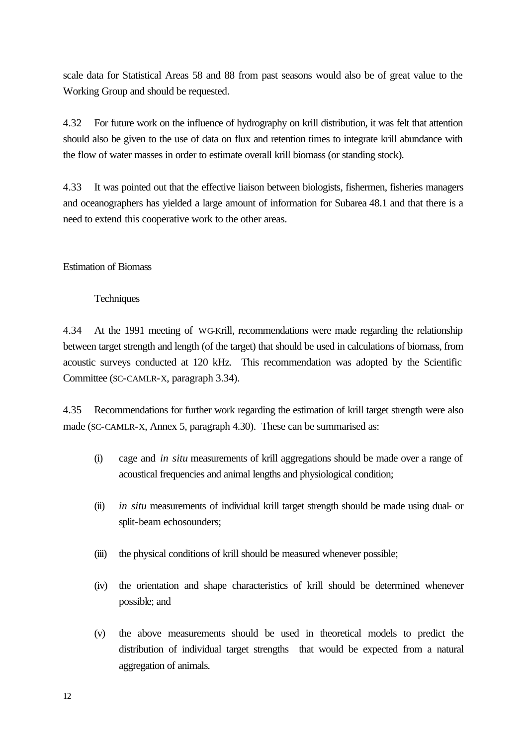scale data for Statistical Areas 58 and 88 from past seasons would also be of great value to the Working Group and should be requested.

4.32 For future work on the influence of hydrography on krill distribution, it was felt that attention should also be given to the use of data on flux and retention times to integrate krill abundance with the flow of water masses in order to estimate overall krill biomass (or standing stock).

4.33 It was pointed out that the effective liaison between biologists, fishermen, fisheries managers and oceanographers has yielded a large amount of information for Subarea 48.1 and that there is a need to extend this cooperative work to the other areas.

Estimation of Biomass

**Techniques** 

4.34 At the 1991 meeting of WG-Krill, recommendations were made regarding the relationship between target strength and length (of the target) that should be used in calculations of biomass, from acoustic surveys conducted at 120 kHz. This recommendation was adopted by the Scientific Committee (SC-CAMLR-X, paragraph 3.34).

4.35 Recommendations for further work regarding the estimation of krill target strength were also made (SC-CAMLR-X, Annex 5, paragraph 4.30). These can be summarised as:

- (i) cage and *in situ* measurements of krill aggregations should be made over a range of acoustical frequencies and animal lengths and physiological condition;
- (ii) *in situ* measurements of individual krill target strength should be made using dual- or split-beam echosounders;
- (iii) the physical conditions of krill should be measured whenever possible;
- (iv) the orientation and shape characteristics of krill should be determined whenever possible; and
- (v) the above measurements should be used in theoretical models to predict the distribution of individual target strengths that would be expected from a natural aggregation of animals.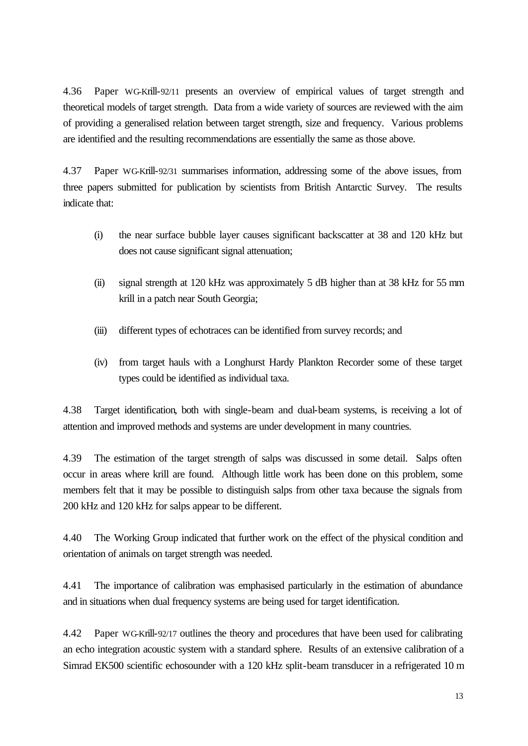4.36 Paper WG-Krill-92/11 presents an overview of empirical values of target strength and theoretical models of target strength. Data from a wide variety of sources are reviewed with the aim of providing a generalised relation between target strength, size and frequency. Various problems are identified and the resulting recommendations are essentially the same as those above.

4.37 Paper WG-Krill-92/31 summarises information, addressing some of the above issues, from three papers submitted for publication by scientists from British Antarctic Survey. The results indicate that:

- (i) the near surface bubble layer causes significant backscatter at 38 and 120 kHz but does not cause significant signal attenuation;
- (ii) signal strength at 120 kHz was approximately 5 dB higher than at 38 kHz for 55 mm krill in a patch near South Georgia;
- (iii) different types of echotraces can be identified from survey records; and
- (iv) from target hauls with a Longhurst Hardy Plankton Recorder some of these target types could be identified as individual taxa.

4.38 Target identification, both with single-beam and dual-beam systems, is receiving a lot of attention and improved methods and systems are under development in many countries.

4.39 The estimation of the target strength of salps was discussed in some detail. Salps often occur in areas where krill are found. Although little work has been done on this problem, some members felt that it may be possible to distinguish salps from other taxa because the signals from 200 kHz and 120 kHz for salps appear to be different.

4.40 The Working Group indicated that further work on the effect of the physical condition and orientation of animals on target strength was needed.

4.41 The importance of calibration was emphasised particularly in the estimation of abundance and in situations when dual frequency systems are being used for target identification.

4.42 Paper WG-Krill-92/17 outlines the theory and procedures that have been used for calibrating an echo integration acoustic system with a standard sphere. Results of an extensive calibration of a Simrad EK500 scientific echosounder with a 120 kHz split-beam transducer in a refrigerated 10 m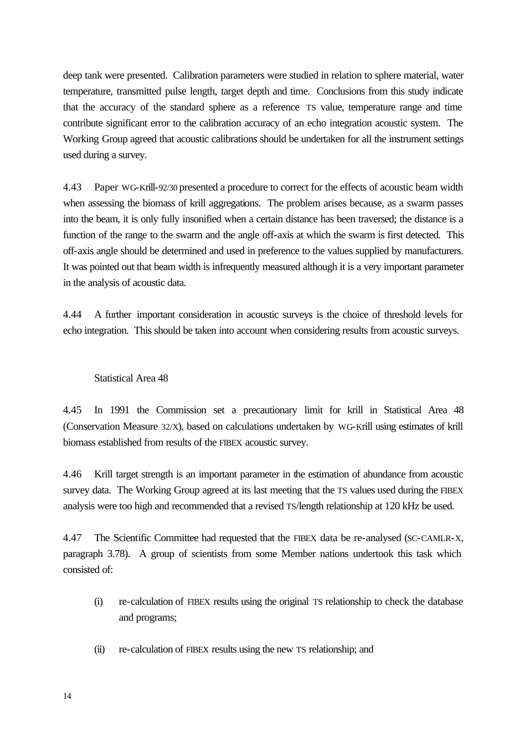deep tank were presented. Calibration parameters were studied in relation to sphere material, water temperature, transmitted pulse length, target depth and time. Conclusions from this study indicate that the accuracy of the standard sphere as a reference TS value, temperature range and time contribute significant error to the calibration accuracy of an echo integration acoustic system. The Working Group agreed that acoustic calibrations should be undertaken for all the instrument settings used during a survey.

4.43 Paper WG-Krill-92/30 presented a procedure to correct for the effects of acoustic beam width when assessing the biomass of krill aggregations. The problem arises because, as a swarm passes into the beam, it is only fully insonified when a certain distance has been traversed; the distance is a function of the range to the swarm and the angle off-axis at which the swarm is first detected. This off-axis angle should be determined and used in preference to the values supplied by manufacturers. It was pointed out that beam width is infrequently measured although it is a very important parameter in the analysis of acoustic data.

4.44 A further important consideration in acoustic surveys is the choice of threshold levels for echo integration. This should be taken into account when considering results from acoustic surveys.

#### Statistical Area 48

4.45 In 1991 the Commission set a precautionary limit for krill in Statistical Area 48 (Conservation Measure 32/X), based on calculations undertaken by WG-Krill using estimates of krill biomass established from results of the FIBEX acoustic survey.

4.46 Krill target strength is an important parameter in the estimation of abundance from acoustic survey data. The Working Group agreed at its last meeting that the TS values used during the FIBEX analysis were too high and recommended that a revised TS/length relationship at 120 kHz be used.

4.47 The Scientific Committee had requested that the FIBEX data be re-analysed (SC-CAMLR-X, paragraph 3.78). A group of scientists from some Member nations undertook this task which consisted of:

- (i) re-calculation of FIBEX results using the original TS relationship to check the database and programs;
- (ii) re-calculation of FIBEX results using the new TS relationship; and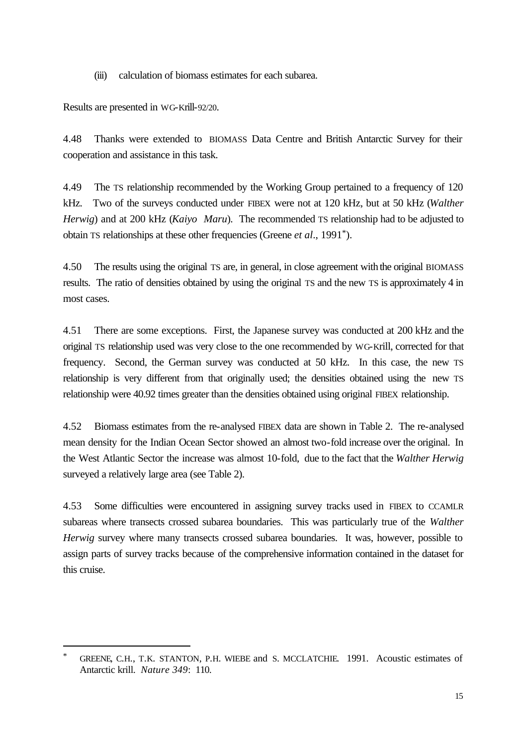(iii) calculation of biomass estimates for each subarea.

Results are presented in WG-Krill-92/20.

l

4.48 Thanks were extended to BIOMASS Data Centre and British Antarctic Survey for their cooperation and assistance in this task.

4.49 The TS relationship recommended by the Working Group pertained to a frequency of 120 kHz. Two of the surveys conducted under FIBEX were not at 120 kHz, but at 50 kHz (*Walther Herwig*) and at 200 kHz (*Kaiyo Maru*). The recommended TS relationship had to be adjusted to obtain TS relationships at these other frequencies (Greene *et al*., 1991\*).

4.50 The results using the original TS are, in general, in close agreement with the original BIOMASS results. The ratio of densities obtained by using the original TS and the new TS is approximately 4 in most cases.

4.51 There are some exceptions. First, the Japanese survey was conducted at 200 kHz and the original TS relationship used was very close to the one recommended by WG-Krill, corrected for that frequency. Second, the German survey was conducted at 50 kHz. In this case, the new TS relationship is very different from that originally used; the densities obtained using the new TS relationship were 40.92 times greater than the densities obtained using original FIBEX relationship.

4.52 Biomass estimates from the re-analysed FIBEX data are shown in Table 2. The re-analysed mean density for the Indian Ocean Sector showed an almost two-fold increase over the original. In the West Atlantic Sector the increase was almost 10-fold, due to the fact that the *Walther Herwig* surveyed a relatively large area (see Table 2).

4.53 Some difficulties were encountered in assigning survey tracks used in FIBEX to CCAMLR subareas where transects crossed subarea boundaries. This was particularly true of the *Walther Herwig* survey where many transects crossed subarea boundaries. It was, however, possible to assign parts of survey tracks because of the comprehensive information contained in the dataset for this cruise.

GREENE, C.H., T.K. STANTON, P.H. WIEBE and S. MCCLATCHIE. 1991. Acoustic estimates of Antarctic krill. *Nature 349*: 110.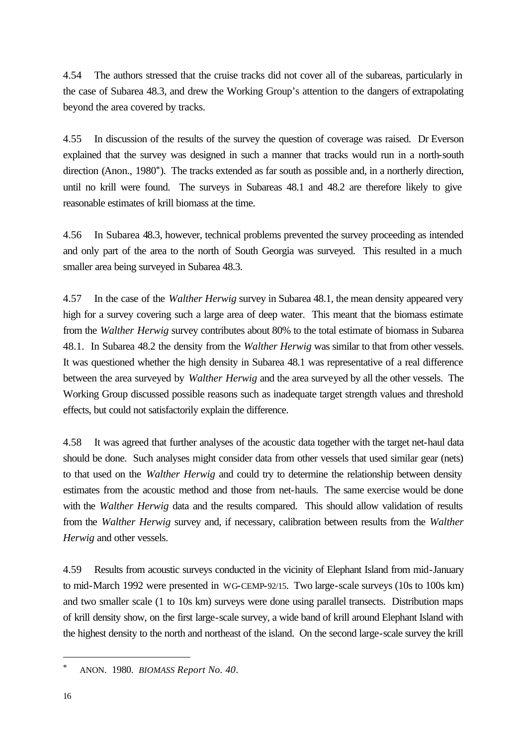4.54 The authors stressed that the cruise tracks did not cover all of the subareas, particularly in the case of Subarea 48.3, and drew the Working Group's attention to the dangers of extrapolating beyond the area covered by tracks.

4.55 In discussion of the results of the survey the question of coverage was raised. Dr Everson explained that the survey was designed in such a manner that tracks would run in a north-south direction (Anon., 1980\*). The tracks extended as far south as possible and, in a northerly direction, until no krill were found. The surveys in Subareas 48.1 and 48.2 are therefore likely to give reasonable estimates of krill biomass at the time.

4.56 In Subarea 48.3, however, technical problems prevented the survey proceeding as intended and only part of the area to the north of South Georgia was surveyed. This resulted in a much smaller area being surveyed in Subarea 48.3.

4.57 In the case of the *Walther Herwig* survey in Subarea 48.1, the mean density appeared very high for a survey covering such a large area of deep water. This meant that the biomass estimate from the *Walther Herwig* survey contributes about 80% to the total estimate of biomass in Subarea 48.1. In Subarea 48.2 the density from the *Walther Herwig* was similar to that from other vessels. It was questioned whether the high density in Subarea 48.1 was representative of a real difference between the area surveyed by *Walther Herwig* and the area surveyed by all the other vessels. The Working Group discussed possible reasons such as inadequate target strength values and threshold effects, but could not satisfactorily explain the difference.

4.58 It was agreed that further analyses of the acoustic data together with the target net-haul data should be done. Such analyses might consider data from other vessels that used similar gear (nets) to that used on the *Walther Herwig* and could try to determine the relationship between density estimates from the acoustic method and those from net-hauls. The same exercise would be done with the *Walther Herwig* data and the results compared. This should allow validation of results from the *Walther Herwig* survey and, if necessary, calibration between results from the *Walther Herwig* and other vessels.

4.59 Results from acoustic surveys conducted in the vicinity of Elephant Island from mid-January to mid-March 1992 were presented in WG-CEMP-92/15. Two large-scale surveys (10s to 100s km) and two smaller scale (1 to 10s km) surveys were done using parallel transects. Distribution maps of krill density show, on the first large-scale survey, a wide band of krill around Elephant Island with the highest density to the north and northeast of the island. On the second large-scale survey the krill

l

<sup>\*</sup> ANON. 1980. *BIOMASS Report No. 40*.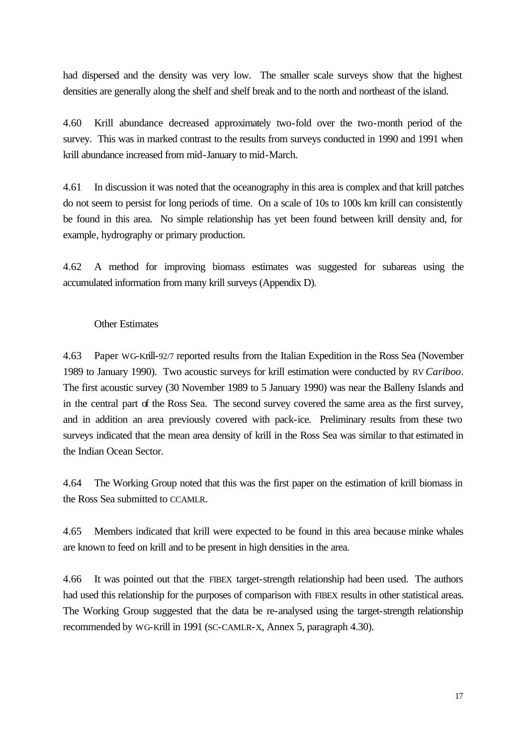had dispersed and the density was very low. The smaller scale surveys show that the highest densities are generally along the shelf and shelf break and to the north and northeast of the island.

4.60 Krill abundance decreased approximately two-fold over the two-month period of the survey. This was in marked contrast to the results from surveys conducted in 1990 and 1991 when krill abundance increased from mid-January to mid-March.

4.61 In discussion it was noted that the oceanography in this area is complex and that krill patches do not seem to persist for long periods of time. On a scale of 10s to 100s km krill can consistently be found in this area. No simple relationship has yet been found between krill density and, for example, hydrography or primary production.

4.62 A method for improving biomass estimates was suggested for subareas using the accumulated information from many krill surveys (Appendix D).

#### Other Estimates

4.63 Paper WG-Krill-92/7 reported results from the Italian Expedition in the Ross Sea (November 1989 to January 1990). Two acoustic surveys for krill estimation were conducted by RV *Cariboo*. The first acoustic survey (30 November 1989 to 5 January 1990) was near the Balleny Islands and in the central part of the Ross Sea. The second survey covered the same area as the first survey, and in addition an area previously covered with pack-ice. Preliminary results from these two surveys indicated that the mean area density of krill in the Ross Sea was similar to that estimated in the Indian Ocean Sector.

4.64 The Working Group noted that this was the first paper on the estimation of krill biomass in the Ross Sea submitted to CCAMLR.

4.65 Members indicated that krill were expected to be found in this area because minke whales are known to feed on krill and to be present in high densities in the area.

4.66 It was pointed out that the FIBEX target-strength relationship had been used. The authors had used this relationship for the purposes of comparison with FIBEX results in other statistical areas. The Working Group suggested that the data be re-analysed using the target-strength relationship recommended by WG-Krill in 1991 (SC-CAMLR-X, Annex 5, paragraph 4.30).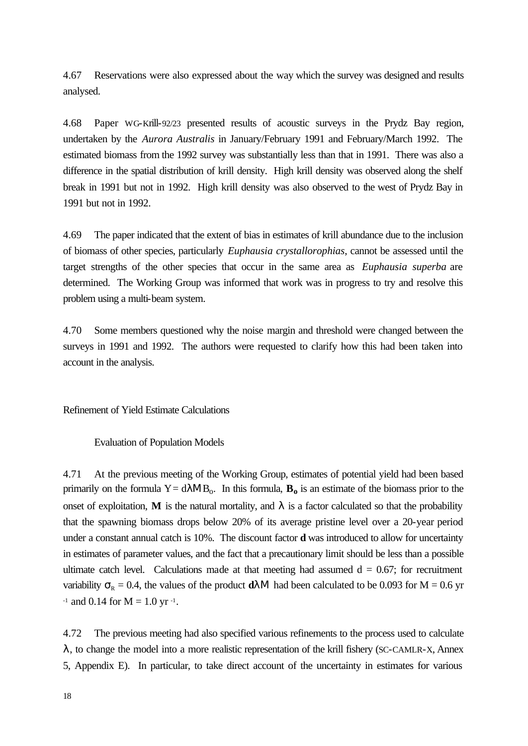4.67 Reservations were also expressed about the way which the survey was designed and results analysed.

4.68 Paper WG-Krill-92/23 presented results of acoustic surveys in the Prydz Bay region, undertaken by the *Aurora Australis* in January/February 1991 and February/March 1992. The estimated biomass from the 1992 survey was substantially less than that in 1991. There was also a difference in the spatial distribution of krill density. High krill density was observed along the shelf break in 1991 but not in 1992. High krill density was also observed to the west of Prydz Bay in 1991 but not in 1992.

4.69 The paper indicated that the extent of bias in estimates of krill abundance due to the inclusion of biomass of other species, particularly *Euphausia crystallorophias*, cannot be assessed until the target strengths of the other species that occur in the same area as *Euphausia superba* are determined. The Working Group was informed that work was in progress to try and resolve this problem using a multi-beam system.

4.70 Some members questioned why the noise margin and threshold were changed between the surveys in 1991 and 1992. The authors were requested to clarify how this had been taken into account in the analysis.

Refinement of Yield Estimate Calculations

Evaluation of Population Models

4.71 At the previous meeting of the Working Group, estimates of potential yield had been based primarily on the formula  $Y = d\lambda MB_0$ . In this formula,  $B_0$  is an estimate of the biomass prior to the onset of exploitation,  $M$  is the natural mortality, and  $\mathbf{I}$  is a factor calculated so that the probability that the spawning biomass drops below 20% of its average pristine level over a 20-year period under a constant annual catch is 10%. The discount factor **d** was introduced to allow for uncertainty in estimates of parameter values, and the fact that a precautionary limit should be less than a possible ultimate catch level. Calculations made at that meeting had assumed  $d = 0.67$ ; for recruitment variability  $\sigma_R = 0.4$ , the values of the product **dl M** had been calculated to be 0.093 for M = 0.6 yr  $-1$  and 0.14 for  $M = 1.0$  yr  $-1$ .

4.72 The previous meeting had also specified various refinements to the process used to calculate **l**, to change the model into a more realistic representation of the krill fishery (SC-CAMLR-X, Annex 5, Appendix E). In particular, to take direct account of the uncertainty in estimates for various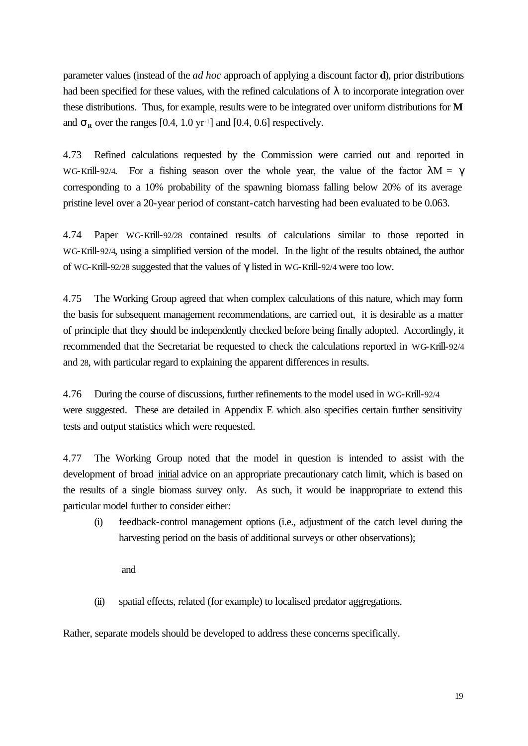parameter values (instead of the *ad hoc* approach of applying a discount factor **d**), prior distributions had been specified for these values, with the refined calculations of **l** to incorporate integration over these distributions. Thus, for example, results were to be integrated over uniform distributions for **M**  and  $\mathbf{s}_R$  over the ranges [0.4, 1.0 yr<sup>-1</sup>] and [0.4, 0.6] respectively.

4.73 Refined calculations requested by the Commission were carried out and reported in WG-Krill-92/4. For a fishing season over the whole year, the value of the factor  $\lambda M = \gamma$ corresponding to a 10% probability of the spawning biomass falling below 20% of its average pristine level over a 20-year period of constant-catch harvesting had been evaluated to be 0.063.

4.74 Paper WG-Krill-92/28 contained results of calculations similar to those reported in WG-Krill-92/4, using a simplified version of the model. In the light of the results obtained, the author of WG-Krill-92/28 suggested that the values of **g** listed in WG-Krill-92/4 were too low.

4.75 The Working Group agreed that when complex calculations of this nature, which may form the basis for subsequent management recommendations, are carried out, it is desirable as a matter of principle that they should be independently checked before being finally adopted. Accordingly, it recommended that the Secretariat be requested to check the calculations reported in WG-Krill-92/4 and 28, with particular regard to explaining the apparent differences in results.

4.76 During the course of discussions, further refinements to the model used in WG-Krill-92/4 were suggested. These are detailed in Appendix E which also specifies certain further sensitivity tests and output statistics which were requested.

4.77 The Working Group noted that the model in question is intended to assist with the development of broad *initial* advice on an appropriate precautionary catch limit, which is based on the results of a single biomass survey only. As such, it would be inappropriate to extend this particular model further to consider either:

(i) feedback-control management options (i.e., adjustment of the catch level during the harvesting period on the basis of additional surveys or other observations);

and

(ii) spatial effects, related (for example) to localised predator aggregations.

Rather, separate models should be developed to address these concerns specifically.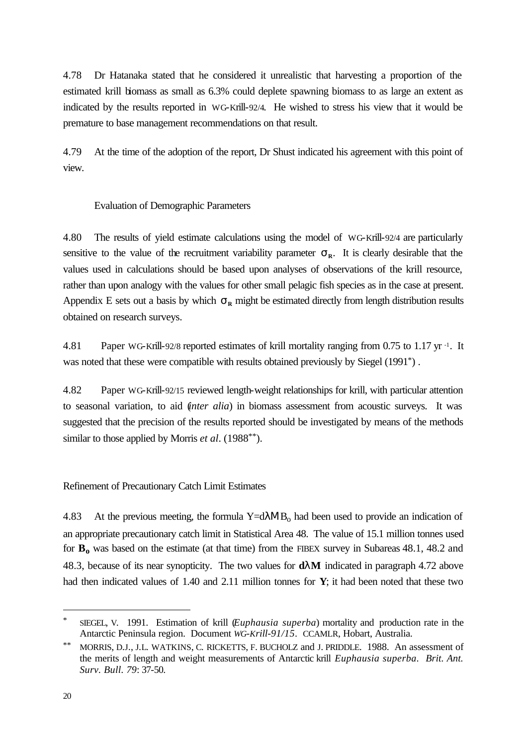4.78 Dr Hatanaka stated that he considered it unrealistic that harvesting a proportion of the estimated krill biomass as small as 6.3% could deplete spawning biomass to as large an extent as indicated by the results reported in WG-Krill-92/4. He wished to stress his view that it would be premature to base management recommendations on that result.

4.79 At the time of the adoption of the report, Dr Shust indicated his agreement with this point of view.

#### Evaluation of Demographic Parameters

4.80 The results of yield estimate calculations using the model of WG-Krill-92/4 are particularly sensitive to the value of the recruitment variability parameter  $\mathbf{s}_R$ . It is clearly desirable that the values used in calculations should be based upon analyses of observations of the krill resource, rather than upon analogy with the values for other small pelagic fish species as in the case at present. Appendix E sets out a basis by which  $\mathbf{s}_R$  might be estimated directly from length distribution results obtained on research surveys.

4.81 Paper WG-Krill-92/8 reported estimates of krill mortality ranging from 0.75 to 1.17 yr -1 . It was noted that these were compatible with results obtained previously by Siegel (1991\*) .

4.82 Paper WG-Krill-92/15 reviewed length-weight relationships for krill, with particular attention to seasonal variation, to aid (*inter alia*) in biomass assessment from acoustic surveys. It was suggested that the precision of the results reported should be investigated by means of the methods similar to those applied by Morris *et al.* (1988<sup>\*\*</sup>).

Refinement of Precautionary Catch Limit Estimates

4.83 At the previous meeting, the formula  $Y = d\lambda MB_0$  had been used to provide an indication of an appropriate precautionary catch limit in Statistical Area 48. The value of 15.1 million tonnes used for **Bo** was based on the estimate (at that time) from the FIBEX survey in Subareas 48.1, 48.2 and 48.3, because of its near synopticity. The two values for **dlM** indicated in paragraph 4.72 above had then indicated values of 1.40 and 2.11 million tonnes for **Y**; it had been noted that these two

l

<sup>\*</sup> SIEGEL, V. 1991. Estimation of krill (*Euphausia superba*) mortality and production rate in the Antarctic Peninsula region. Document *WG-Krill-91/15*. CCAMLR, Hobart, Australia.

<sup>\*\*</sup> MORRIS, D.J., J.L. WATKINS, C. RICKETTS, F. BUCHOLZ and J. PRIDDLE. 1988. An assessment of the merits of length and weight measurements of Antarctic krill *Euphausia superba*. *Brit. Ant. Surv. Bull. 79*: 37-50.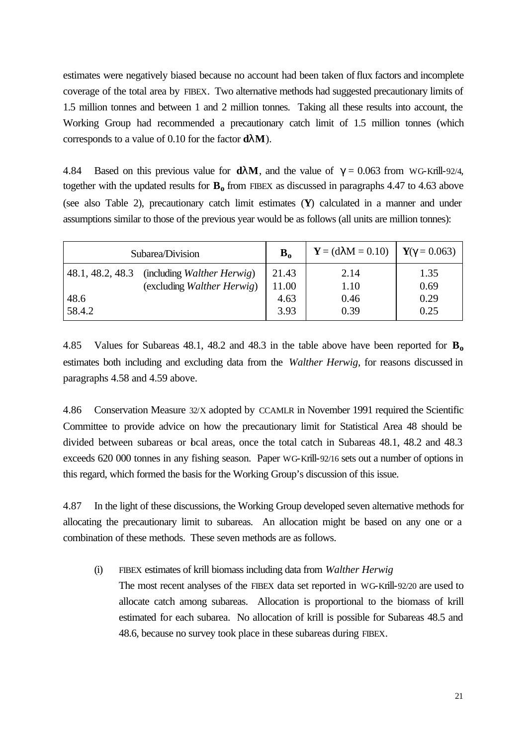estimates were negatively biased because no account had been taken of flux factors and incomplete coverage of the total area by FIBEX. Two alternative methods had suggested precautionary limits of 1.5 million tonnes and between 1 and 2 million tonnes. Taking all these results into account, the Working Group had recommended a precautionary catch limit of 1.5 million tonnes (which corresponds to a value of 0.10 for the factor **dlM**).

4.84 Based on this previous value for  $dM$ , and the value of  $\gamma = 0.063$  from WG-Krill-92/4, together with the updated results for **Bo** from FIBEX as discussed in paragraphs 4.47 to 4.63 above (see also Table 2), precautionary catch limit estimates (**Y**) calculated in a manner and under assumptions similar to those of the previous year would be as follows (all units are million tonnes):

| Subarea/Division |                                                                           | $B_0$                  | $Y = (d\lambda M = 0.10)$ | $Y(\gamma = 0.063)$  |
|------------------|---------------------------------------------------------------------------|------------------------|---------------------------|----------------------|
| 48.6             | 48.1, 48.2, 48.3 (including Walther Herwig)<br>(excluding Walther Herwig) | 21.43<br>11.00<br>4.63 | 2.14<br>1.10<br>0.46      | 1.35<br>0.69<br>0.29 |
| 58.4.2           |                                                                           | 3.93                   | 0.39                      | 0.25                 |

4.85 Values for Subareas 48.1, 48.2 and 48.3 in the table above have been reported for **B<sup>o</sup>** estimates both including and excluding data from the *Walther Herwig*, for reasons discussed in paragraphs 4.58 and 4.59 above.

4.86 Conservation Measure 32/X adopted by CCAMLR in November 1991 required the Scientific Committee to provide advice on how the precautionary limit for Statistical Area 48 should be divided between subareas or bcal areas, once the total catch in Subareas 48.1, 48.2 and 48.3 exceeds 620 000 tonnes in any fishing season. Paper WG-Krill-92/16 sets out a number of options in this regard, which formed the basis for the Working Group's discussion of this issue.

4.87 In the light of these discussions, the Working Group developed seven alternative methods for allocating the precautionary limit to subareas. An allocation might be based on any one or a combination of these methods. These seven methods are as follows.

(i) FIBEX estimates of krill biomass including data from *Walther Herwig* The most recent analyses of the FIBEX data set reported in WG-Krill-92/20 are used to allocate catch among subareas. Allocation is proportional to the biomass of krill estimated for each subarea. No allocation of krill is possible for Subareas 48.5 and 48.6, because no survey took place in these subareas during FIBEX.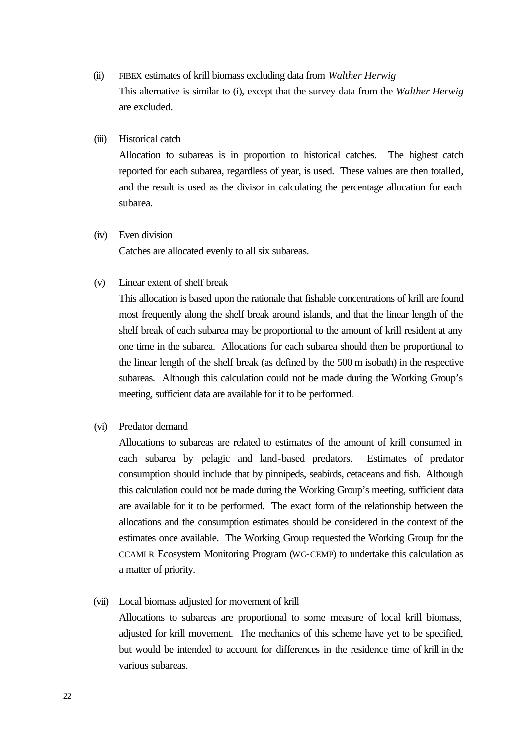(ii) FIBEX estimates of krill biomass excluding data from *Walther Herwig* This alternative is similar to (i), except that the survey data from the *Walther Herwig* are excluded.

#### (iii) Historical catch

Allocation to subareas is in proportion to historical catches. The highest catch reported for each subarea, regardless of year, is used. These values are then totalled, and the result is used as the divisor in calculating the percentage allocation for each subarea.

# (iv) Even division

Catches are allocated evenly to all six subareas.

#### (v) Linear extent of shelf break

This allocation is based upon the rationale that fishable concentrations of krill are found most frequently along the shelf break around islands, and that the linear length of the shelf break of each subarea may be proportional to the amount of krill resident at any one time in the subarea. Allocations for each subarea should then be proportional to the linear length of the shelf break (as defined by the 500 m isobath) in the respective subareas. Although this calculation could not be made during the Working Group's meeting, sufficient data are available for it to be performed.

(vi) Predator demand

Allocations to subareas are related to estimates of the amount of krill consumed in each subarea by pelagic and land-based predators. Estimates of predator consumption should include that by pinnipeds, seabirds, cetaceans and fish. Although this calculation could not be made during the Working Group's meeting, sufficient data are available for it to be performed. The exact form of the relationship between the allocations and the consumption estimates should be considered in the context of the estimates once available. The Working Group requested the Working Group for the CCAMLR Ecosystem Monitoring Program (WG-CEMP) to undertake this calculation as a matter of priority.

#### (vii) Local biomass adjusted for movement of krill

Allocations to subareas are proportional to some measure of local krill biomass, adjusted for krill movement. The mechanics of this scheme have yet to be specified, but would be intended to account for differences in the residence time of krill in the various subareas.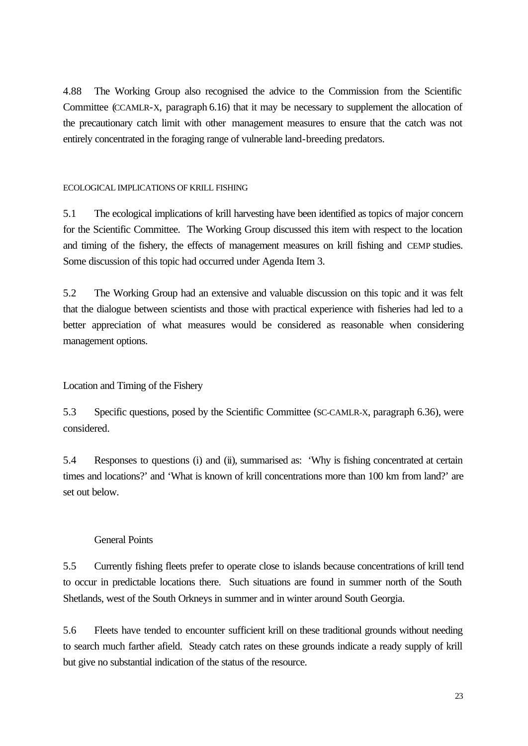4.88 The Working Group also recognised the advice to the Commission from the Scientific Committee (CCAMLR-X, paragraph 6.16) that it may be necessary to supplement the allocation of the precautionary catch limit with other management measures to ensure that the catch was not entirely concentrated in the foraging range of vulnerable land-breeding predators.

#### ECOLOGICAL IMPLICATIONS OF KRILL FISHING

5.1 The ecological implications of krill harvesting have been identified as topics of major concern for the Scientific Committee. The Working Group discussed this item with respect to the location and timing of the fishery, the effects of management measures on krill fishing and CEMP studies. Some discussion of this topic had occurred under Agenda Item 3.

5.2 The Working Group had an extensive and valuable discussion on this topic and it was felt that the dialogue between scientists and those with practical experience with fisheries had led to a better appreciation of what measures would be considered as reasonable when considering management options.

# Location and Timing of the Fishery

5.3 Specific questions, posed by the Scientific Committee (SC-CAMLR-X, paragraph 6.36), were considered.

5.4 Responses to questions (i) and (ii), summarised as: 'Why is fishing concentrated at certain times and locations?' and 'What is known of krill concentrations more than 100 km from land?' are set out below.

# General Points

5.5 Currently fishing fleets prefer to operate close to islands because concentrations of krill tend to occur in predictable locations there. Such situations are found in summer north of the South Shetlands, west of the South Orkneys in summer and in winter around South Georgia.

5.6 Fleets have tended to encounter sufficient krill on these traditional grounds without needing to search much farther afield. Steady catch rates on these grounds indicate a ready supply of krill but give no substantial indication of the status of the resource.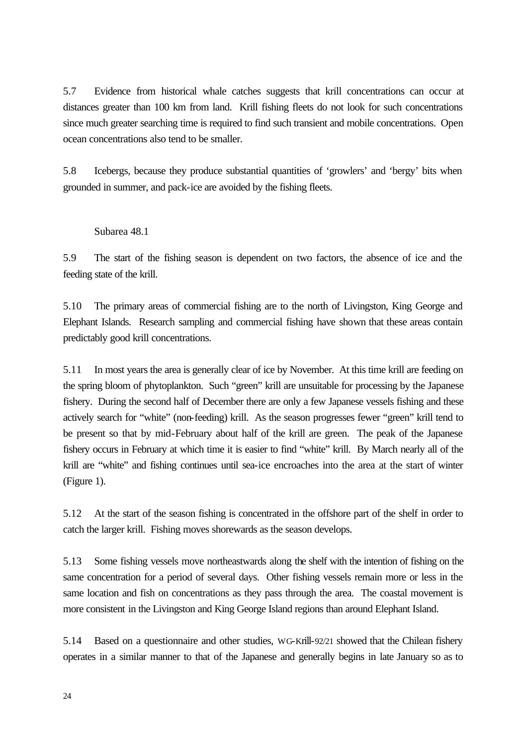5.7 Evidence from historical whale catches suggests that krill concentrations can occur at distances greater than 100 km from land. Krill fishing fleets do not look for such concentrations since much greater searching time is required to find such transient and mobile concentrations. Open ocean concentrations also tend to be smaller.

5.8 Icebergs, because they produce substantial quantities of 'growlers' and 'bergy' bits when grounded in summer, and pack-ice are avoided by the fishing fleets.

#### Subarea 48.1

5.9 The start of the fishing season is dependent on two factors, the absence of ice and the feeding state of the krill.

5.10 The primary areas of commercial fishing are to the north of Livingston, King George and Elephant Islands. Research sampling and commercial fishing have shown that these areas contain predictably good krill concentrations.

5.11 In most years the area is generally clear of ice by November. At this time krill are feeding on the spring bloom of phytoplankton. Such "green" krill are unsuitable for processing by the Japanese fishery. During the second half of December there are only a few Japanese vessels fishing and these actively search for "white" (non-feeding) krill. As the season progresses fewer "green" krill tend to be present so that by mid-February about half of the krill are green. The peak of the Japanese fishery occurs in February at which time it is easier to find "white" krill. By March nearly all of the krill are "white" and fishing continues until sea-ice encroaches into the area at the start of winter (Figure 1).

5.12 At the start of the season fishing is concentrated in the offshore part of the shelf in order to catch the larger krill. Fishing moves shorewards as the season develops.

5.13 Some fishing vessels move northeastwards along the shelf with the intention of fishing on the same concentration for a period of several days. Other fishing vessels remain more or less in the same location and fish on concentrations as they pass through the area. The coastal movement is more consistent in the Livingston and King George Island regions than around Elephant Island.

5.14 Based on a questionnaire and other studies, WG-Krill-92/21 showed that the Chilean fishery operates in a similar manner to that of the Japanese and generally begins in late January so as to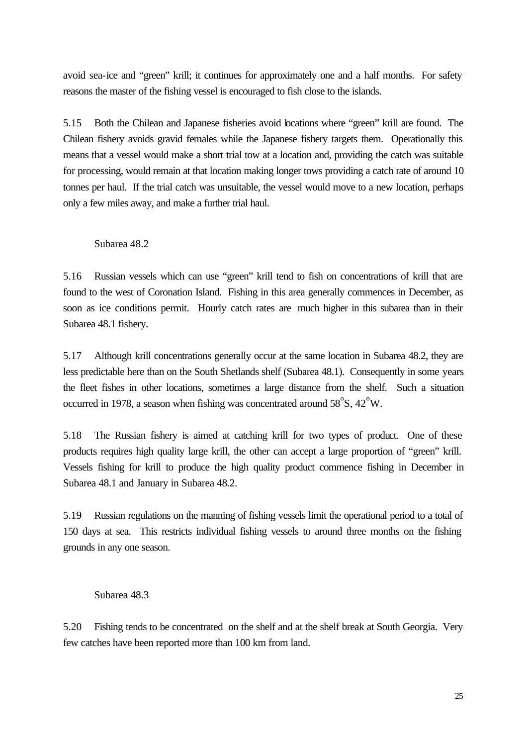avoid sea-ice and "green" krill; it continues for approximately one and a half months. For safety reasons the master of the fishing vessel is encouraged to fish close to the islands.

5.15 Both the Chilean and Japanese fisheries avoid locations where "green" krill are found. The Chilean fishery avoids gravid females while the Japanese fishery targets them. Operationally this means that a vessel would make a short trial tow at a location and, providing the catch was suitable for processing, would remain at that location making longer tows providing a catch rate of around 10 tonnes per haul. If the trial catch was unsuitable, the vessel would move to a new location, perhaps only a few miles away, and make a further trial haul.

#### Subarea 48.2

5.16 Russian vessels which can use "green" krill tend to fish on concentrations of krill that are found to the west of Coronation Island. Fishing in this area generally commences in December, as soon as ice conditions permit. Hourly catch rates are much higher in this subarea than in their Subarea 48.1 fishery.

5.17 Although krill concentrations generally occur at the same location in Subarea 48.2, they are less predictable here than on the South Shetlands shelf (Subarea 48.1). Consequently in some years the fleet fishes in other locations, sometimes a large distance from the shelf. Such a situation occurred in 1978, a season when fishing was concentrated around 58°S, 42°W.

5.18 The Russian fishery is aimed at catching krill for two types of product. One of these products requires high quality large krill, the other can accept a large proportion of "green" krill. Vessels fishing for krill to produce the high quality product commence fishing in December in Subarea 48.1 and January in Subarea 48.2.

5.19 Russian regulations on the manning of fishing vessels limit the operational period to a total of 150 days at sea. This restricts individual fishing vessels to around three months on the fishing grounds in any one season.

#### Subarea 48.3

5.20 Fishing tends to be concentrated on the shelf and at the shelf break at South Georgia. Very few catches have been reported more than 100 km from land.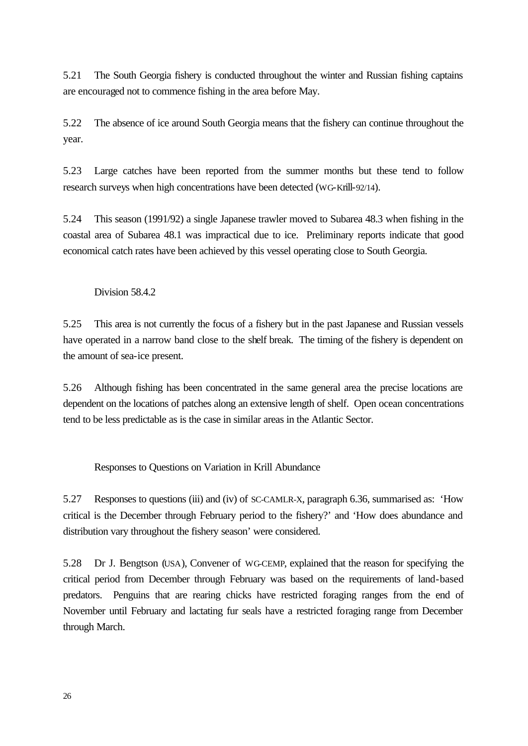5.21 The South Georgia fishery is conducted throughout the winter and Russian fishing captains are encouraged not to commence fishing in the area before May.

5.22 The absence of ice around South Georgia means that the fishery can continue throughout the year.

5.23 Large catches have been reported from the summer months but these tend to follow research surveys when high concentrations have been detected (WG-Krill-92/14).

5.24 This season (1991/92) a single Japanese trawler moved to Subarea 48.3 when fishing in the coastal area of Subarea 48.1 was impractical due to ice. Preliminary reports indicate that good economical catch rates have been achieved by this vessel operating close to South Georgia.

#### Division 58.4.2

5.25 This area is not currently the focus of a fishery but in the past Japanese and Russian vessels have operated in a narrow band close to the shelf break. The timing of the fishery is dependent on the amount of sea-ice present.

5.26 Although fishing has been concentrated in the same general area the precise locations are dependent on the locations of patches along an extensive length of shelf. Open ocean concentrations tend to be less predictable as is the case in similar areas in the Atlantic Sector.

Responses to Questions on Variation in Krill Abundance

5.27 Responses to questions (iii) and (iv) of SC-CAMLR-X, paragraph 6.36, summarised as: 'How critical is the December through February period to the fishery?' and 'How does abundance and distribution vary throughout the fishery season' were considered.

5.28 Dr J. Bengtson (USA), Convener of WG-CEMP, explained that the reason for specifying the critical period from December through February was based on the requirements of land-based predators. Penguins that are rearing chicks have restricted foraging ranges from the end of November until February and lactating fur seals have a restricted foraging range from December through March.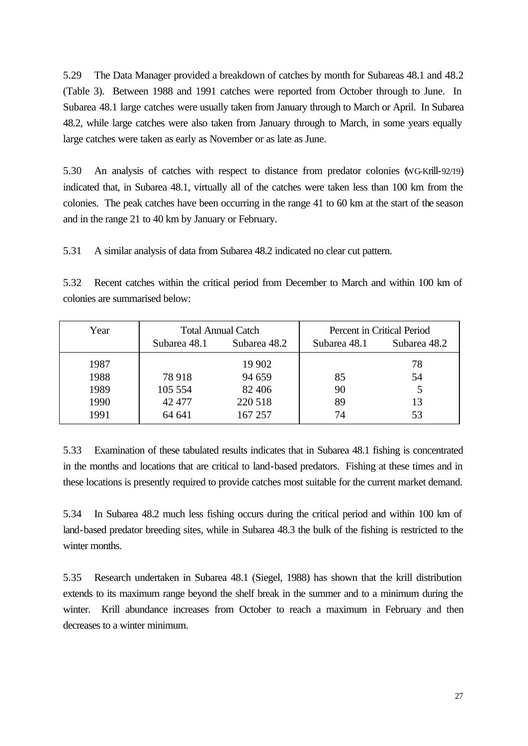5.29 The Data Manager provided a breakdown of catches by month for Subareas 48.1 and 48.2 (Table 3). Between 1988 and 1991 catches were reported from October through to June. In Subarea 48.1 large catches were usually taken from January through to March or April. In Subarea 48.2, while large catches were also taken from January through to March, in some years equally large catches were taken as early as November or as late as June.

5.30 An analysis of catches with respect to distance from predator colonies (WG-Krill-92/19) indicated that, in Subarea 48.1, virtually all of the catches were taken less than 100 km from the colonies. The peak catches have been occurring in the range 41 to 60 km at the start of the season and in the range 21 to 40 km by January or February.

5.31 A similar analysis of data from Subarea 48.2 indicated no clear cut pattern.

5.32 Recent catches within the critical period from December to March and within 100 km of colonies are summarised below:

| Year                                 | <b>Total Annual Catch</b><br>Subarea 48.2<br>Subarea 48.1 |                                                   | Percent in Critical Period<br>Subarea 48.1<br>Subarea 48.2 |                      |
|--------------------------------------|-----------------------------------------------------------|---------------------------------------------------|------------------------------------------------------------|----------------------|
| 1987<br>1988<br>1989<br>1990<br>1991 | 78 918<br>105 554<br>42 477<br>64 641                     | 19 902<br>94 659<br>82 40 6<br>220 518<br>167 257 | 85<br>90<br>89<br>74                                       | 78<br>54<br>13<br>53 |

5.33 Examination of these tabulated results indicates that in Subarea 48.1 fishing is concentrated in the months and locations that are critical to land-based predators. Fishing at these times and in these locations is presently required to provide catches most suitable for the current market demand.

5.34 In Subarea 48.2 much less fishing occurs during the critical period and within 100 km of land-based predator breeding sites, while in Subarea 48.3 the bulk of the fishing is restricted to the winter months.

5.35 Research undertaken in Subarea 48.1 (Siegel, 1988) has shown that the krill distribution extends to its maximum range beyond the shelf break in the summer and to a minimum during the winter. Krill abundance increases from October to reach a maximum in February and then decreases to a winter minimum.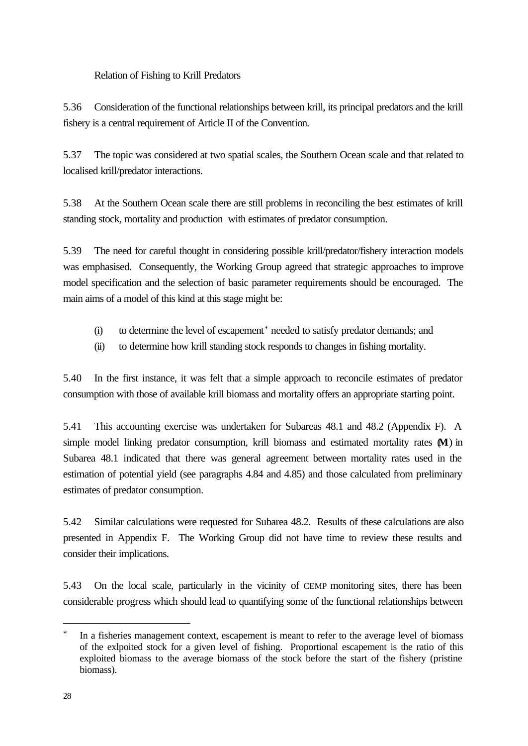Relation of Fishing to Krill Predators

5.36 Consideration of the functional relationships between krill, its principal predators and the krill fishery is a central requirement of Article II of the Convention.

5.37 The topic was considered at two spatial scales, the Southern Ocean scale and that related to localised krill/predator interactions.

5.38 At the Southern Ocean scale there are still problems in reconciling the best estimates of krill standing stock, mortality and production with estimates of predator consumption.

5.39 The need for careful thought in considering possible krill/predator/fishery interaction models was emphasised. Consequently, the Working Group agreed that strategic approaches to improve model specification and the selection of basic parameter requirements should be encouraged. The main aims of a model of this kind at this stage might be:

- (i) to determine the level of escapement\* needed to satisfy predator demands; and
- (ii) to determine how krill standing stock responds to changes in fishing mortality.

5.40 In the first instance, it was felt that a simple approach to reconcile estimates of predator consumption with those of available krill biomass and mortality offers an appropriate starting point.

5.41 This accounting exercise was undertaken for Subareas 48.1 and 48.2 (Appendix F). A simple model linking predator consumption, krill biomass and estimated mortality rates (**M**) in Subarea 48.1 indicated that there was general agreement between mortality rates used in the estimation of potential yield (see paragraphs 4.84 and 4.85) and those calculated from preliminary estimates of predator consumption.

5.42 Similar calculations were requested for Subarea 48.2. Results of these calculations are also presented in Appendix F. The Working Group did not have time to review these results and consider their implications.

5.43 On the local scale, particularly in the vicinity of CEMP monitoring sites, there has been considerable progress which should lead to quantifying some of the functional relationships between

l

In a fisheries management context, escapement is meant to refer to the average level of biomass of the exlpoited stock for a given level of fishing. Proportional escapement is the ratio of this exploited biomass to the average biomass of the stock before the start of the fishery (pristine biomass).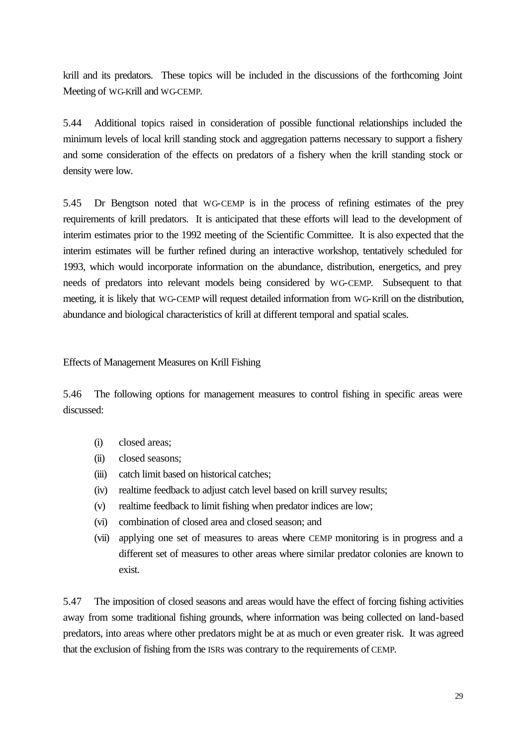krill and its predators. These topics will be included in the discussions of the forthcoming Joint Meeting of WG-Krill and WG-CEMP.

5.44 Additional topics raised in consideration of possible functional relationships included the minimum levels of local krill standing stock and aggregation patterns necessary to support a fishery and some consideration of the effects on predators of a fishery when the krill standing stock or density were low.

5.45 Dr Bengtson noted that WG-CEMP is in the process of refining estimates of the prey requirements of krill predators. It is anticipated that these efforts will lead to the development of interim estimates prior to the 1992 meeting of the Scientific Committee. It is also expected that the interim estimates will be further refined during an interactive workshop, tentatively scheduled for 1993, which would incorporate information on the abundance, distribution, energetics, and prey needs of predators into relevant models being considered by WG-CEMP. Subsequent to that meeting, it is likely that WG-CEMP will request detailed information from WG-Krill on the distribution, abundance and biological characteristics of krill at different temporal and spatial scales.

#### Effects of Management Measures on Krill Fishing

5.46 The following options for management measures to control fishing in specific areas were discussed:

- (i) closed areas;
- (ii) closed seasons;
- (iii) catch limit based on historical catches;
- (iv) realtime feedback to adjust catch level based on krill survey results;
- (v) realtime feedback to limit fishing when predator indices are low;
- (vi) combination of closed area and closed season; and
- (vii) applying one set of measures to areas where CEMP monitoring is in progress and a different set of measures to other areas where similar predator colonies are known to exist.

5.47 The imposition of closed seasons and areas would have the effect of forcing fishing activities away from some traditional fishing grounds, where information was being collected on land-based predators, into areas where other predators might be at as much or even greater risk. It was agreed that the exclusion of fishing from the ISRs was contrary to the requirements of CEMP.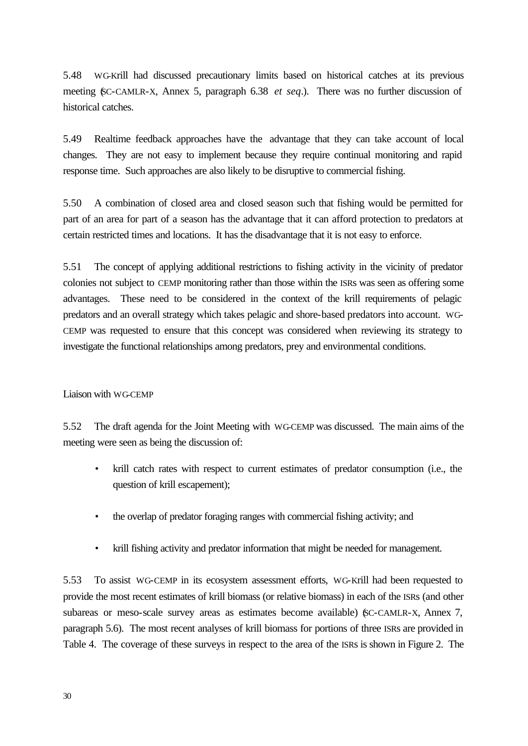5.48 WG-Krill had discussed precautionary limits based on historical catches at its previous meeting (SC-CAMLR-X, Annex 5, paragraph 6.38 *et seq*.). There was no further discussion of historical catches.

5.49 Realtime feedback approaches have the advantage that they can take account of local changes. They are not easy to implement because they require continual monitoring and rapid response time. Such approaches are also likely to be disruptive to commercial fishing.

5.50 A combination of closed area and closed season such that fishing would be permitted for part of an area for part of a season has the advantage that it can afford protection to predators at certain restricted times and locations. It has the disadvantage that it is not easy to enforce.

5.51 The concept of applying additional restrictions to fishing activity in the vicinity of predator colonies not subject to CEMP monitoring rather than those within the ISRs was seen as offering some advantages. These need to be considered in the context of the krill requirements of pelagic predators and an overall strategy which takes pelagic and shore-based predators into account. WG-CEMP was requested to ensure that this concept was considered when reviewing its strategy to investigate the functional relationships among predators, prey and environmental conditions.

#### Liaison with WG-CEMP

5.52 The draft agenda for the Joint Meeting with WG-CEMP was discussed. The main aims of the meeting were seen as being the discussion of:

- krill catch rates with respect to current estimates of predator consumption (i.e., the question of krill escapement);
- the overlap of predator foraging ranges with commercial fishing activity; and
- krill fishing activity and predator information that might be needed for management.

5.53 To assist WG-CEMP in its ecosystem assessment efforts, WG-Krill had been requested to provide the most recent estimates of krill biomass (or relative biomass) in each of the ISRs (and other subareas or meso-scale survey areas as estimates become available) (SC-CAMLR-X, Annex 7, paragraph 5.6). The most recent analyses of krill biomass for portions of three ISRs are provided in Table 4. The coverage of these surveys in respect to the area of the ISRs is shown in Figure 2. The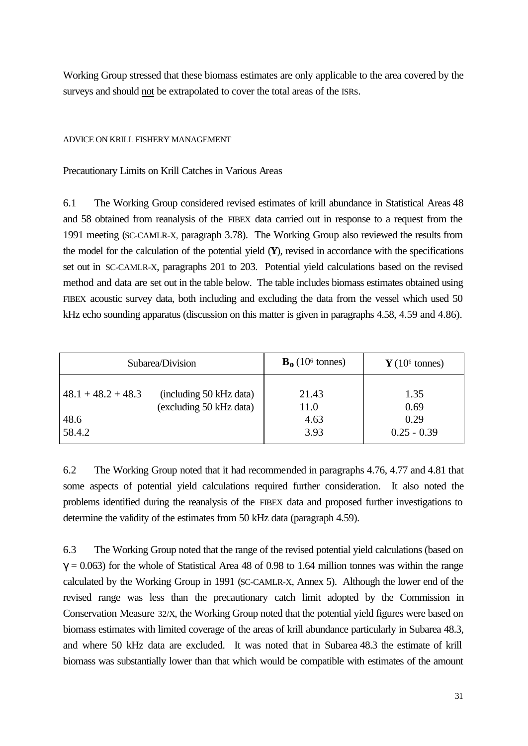Working Group stressed that these biomass estimates are only applicable to the area covered by the surveys and should not be extrapolated to cover the total areas of the ISRs.

#### ADVICE ON KRILL FISHERY MANAGEMENT

Precautionary Limits on Krill Catches in Various Areas

6.1 The Working Group considered revised estimates of krill abundance in Statistical Areas 48 and 58 obtained from reanalysis of the FIBEX data carried out in response to a request from the 1991 meeting (SC-CAMLR-X, paragraph 3.78). The Working Group also reviewed the results from the model for the calculation of the potential yield (**Y**), revised in accordance with the specifications set out in SC-CAMLR-X, paragraphs 201 to 203. Potential yield calculations based on the revised method and data are set out in the table below. The table includes biomass estimates obtained using FIBEX acoustic survey data, both including and excluding the data from the vessel which used 50 kHz echo sounding apparatus (discussion on this matter is given in paragraphs 4.58, 4.59 and 4.86).

| Subarea/Division                       |                                                    | $\mathbf{B}_{\alpha}$ (10 <sup>6</sup> tonnes) | $\mathbf{Y}$ (10 <sup>6</sup> tonnes) |
|----------------------------------------|----------------------------------------------------|------------------------------------------------|---------------------------------------|
| $48.1 + 48.2 + 48.3$<br>48.6<br>58.4.2 | (including 50 kHz data)<br>(excluding 50 kHz data) | 21.43<br>11.0<br>4.63<br>3.93                  | 1.35<br>0.69<br>0.29<br>$0.25 - 0.39$ |

6.2 The Working Group noted that it had recommended in paragraphs 4.76, 4.77 and 4.81 that some aspects of potential yield calculations required further consideration. It also noted the problems identified during the reanalysis of the FIBEX data and proposed further investigations to determine the validity of the estimates from 50 kHz data (paragraph 4.59).

6.3 The Working Group noted that the range of the revised potential yield calculations (based on  $\gamma$  = 0.063) for the whole of Statistical Area 48 of 0.98 to 1.64 million tonnes was within the range calculated by the Working Group in 1991 (SC-CAMLR-X, Annex 5). Although the lower end of the revised range was less than the precautionary catch limit adopted by the Commission in Conservation Measure 32/X, the Working Group noted that the potential yield figures were based on biomass estimates with limited coverage of the areas of krill abundance particularly in Subarea 48.3, and where 50 kHz data are excluded. It was noted that in Subarea 48.3 the estimate of krill biomass was substantially lower than that which would be compatible with estimates of the amount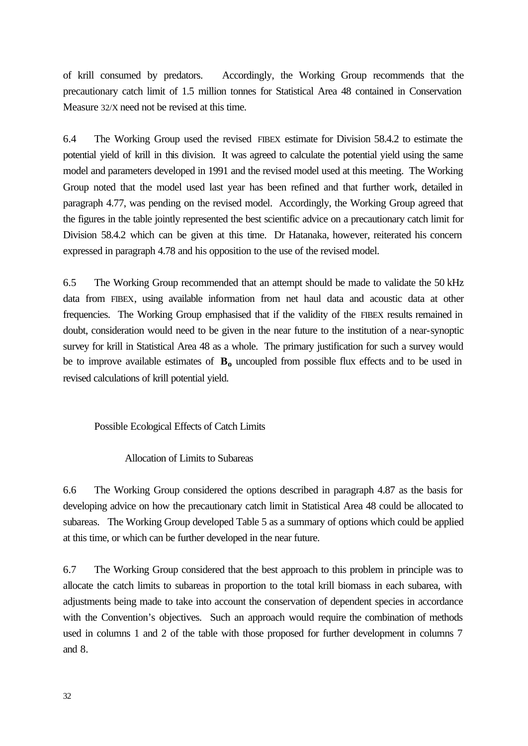of krill consumed by predators. Accordingly, the Working Group recommends that the precautionary catch limit of 1.5 million tonnes for Statistical Area 48 contained in Conservation Measure 32/X need not be revised at this time.

6.4 The Working Group used the revised FIBEX estimate for Division 58.4.2 to estimate the potential yield of krill in this division. It was agreed to calculate the potential yield using the same model and parameters developed in 1991 and the revised model used at this meeting. The Working Group noted that the model used last year has been refined and that further work, detailed in paragraph 4.77, was pending on the revised model. Accordingly, the Working Group agreed that the figures in the table jointly represented the best scientific advice on a precautionary catch limit for Division 58.4.2 which can be given at this time. Dr Hatanaka, however, reiterated his concern expressed in paragraph 4.78 and his opposition to the use of the revised model.

6.5 The Working Group recommended that an attempt should be made to validate the 50 kHz data from FIBEX, using available information from net haul data and acoustic data at other frequencies. The Working Group emphasised that if the validity of the FIBEX results remained in doubt, consideration would need to be given in the near future to the institution of a near-synoptic survey for krill in Statistical Area 48 as a whole. The primary justification for such a survey would be to improve available estimates of **Bo** uncoupled from possible flux effects and to be used in revised calculations of krill potential yield.

#### Possible Ecological Effects of Catch Limits

Allocation of Limits to Subareas

6.6 The Working Group considered the options described in paragraph 4.87 as the basis for developing advice on how the precautionary catch limit in Statistical Area 48 could be allocated to subareas. The Working Group developed Table 5 as a summary of options which could be applied at this time, or which can be further developed in the near future.

6.7 The Working Group considered that the best approach to this problem in principle was to allocate the catch limits to subareas in proportion to the total krill biomass in each subarea, with adjustments being made to take into account the conservation of dependent species in accordance with the Convention's objectives. Such an approach would require the combination of methods used in columns 1 and 2 of the table with those proposed for further development in columns 7 and 8.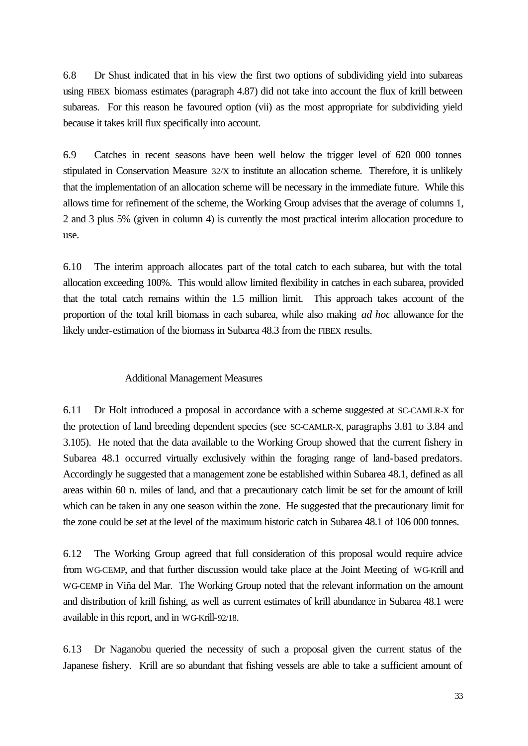6.8 Dr Shust indicated that in his view the first two options of subdividing yield into subareas using FIBEX biomass estimates (paragraph 4.87) did not take into account the flux of krill between subareas. For this reason he favoured option (vii) as the most appropriate for subdividing yield because it takes krill flux specifically into account.

6.9 Catches in recent seasons have been well below the trigger level of 620 000 tonnes stipulated in Conservation Measure 32/X to institute an allocation scheme. Therefore, it is unlikely that the implementation of an allocation scheme will be necessary in the immediate future. While this allows time for refinement of the scheme, the Working Group advises that the average of columns 1, 2 and 3 plus 5% (given in column 4) is currently the most practical interim allocation procedure to use.

6.10 The interim approach allocates part of the total catch to each subarea, but with the total allocation exceeding 100%. This would allow limited flexibility in catches in each subarea, provided that the total catch remains within the 1.5 million limit. This approach takes account of the proportion of the total krill biomass in each subarea, while also making *ad hoc* allowance for the likely under-estimation of the biomass in Subarea 48.3 from the FIBEX results.

#### Additional Management Measures

6.11 Dr Holt introduced a proposal in accordance with a scheme suggested at SC-CAMLR-X for the protection of land breeding dependent species (see SC-CAMLR-X, paragraphs 3.81 to 3.84 and 3.105). He noted that the data available to the Working Group showed that the current fishery in Subarea 48.1 occurred virtually exclusively within the foraging range of land-based predators. Accordingly he suggested that a management zone be established within Subarea 48.1, defined as all areas within 60 n. miles of land, and that a precautionary catch limit be set for the amount of krill which can be taken in any one season within the zone. He suggested that the precautionary limit for the zone could be set at the level of the maximum historic catch in Subarea 48.1 of 106 000 tonnes.

6.12 The Working Group agreed that full consideration of this proposal would require advice from WG-CEMP, and that further discussion would take place at the Joint Meeting of WG-Krill and WG-CEMP in Viña del Mar. The Working Group noted that the relevant information on the amount and distribution of krill fishing, as well as current estimates of krill abundance in Subarea 48.1 were available in this report, and in WG-Krill-92/18.

6.13 Dr Naganobu queried the necessity of such a proposal given the current status of the Japanese fishery. Krill are so abundant that fishing vessels are able to take a sufficient amount of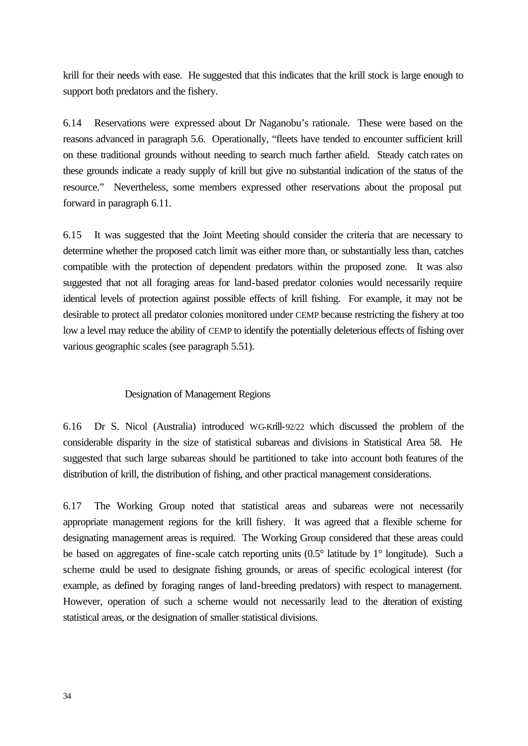krill for their needs with ease. He suggested that this indicates that the krill stock is large enough to support both predators and the fishery.

6.14 Reservations were expressed about Dr Naganobu's rationale. These were based on the reasons advanced in paragraph 5.6. Operationally, "fleets have tended to encounter sufficient krill on these traditional grounds without needing to search much farther afield. Steady catch rates on these grounds indicate a ready supply of krill but give no substantial indication of the status of the resource." Nevertheless, some members expressed other reservations about the proposal put forward in paragraph 6.11.

6.15 It was suggested that the Joint Meeting should consider the criteria that are necessary to determine whether the proposed catch limit was either more than, or substantially less than, catches compatible with the protection of dependent predators within the proposed zone. It was also suggested that not all foraging areas for land-based predator colonies would necessarily require identical levels of protection against possible effects of krill fishing. For example, it may not be desirable to protect all predator colonies monitored under CEMP because restricting the fishery at too low a level may reduce the ability of CEMP to identify the potentially deleterious effects of fishing over various geographic scales (see paragraph 5.51).

#### Designation of Management Regions

6.16 Dr S. Nicol (Australia) introduced WG-Krill-92/22 which discussed the problem of the considerable disparity in the size of statistical subareas and divisions in Statistical Area 58. He suggested that such large subareas should be partitioned to take into account both features of the distribution of krill, the distribution of fishing, and other practical management considerations.

6.17 The Working Group noted that statistical areas and subareas were not necessarily appropriate management regions for the krill fishery. It was agreed that a flexible scheme for designating management areas is required. The Working Group considered that these areas could be based on aggregates of fine-scale catch reporting units (0.5° latitude by 1° longitude). Such a scheme could be used to designate fishing grounds, or areas of specific ecological interest (for example, as defined by foraging ranges of land-breeding predators) with respect to management. However, operation of such a scheme would not necessarily lead to the alteration of existing statistical areas, or the designation of smaller statistical divisions.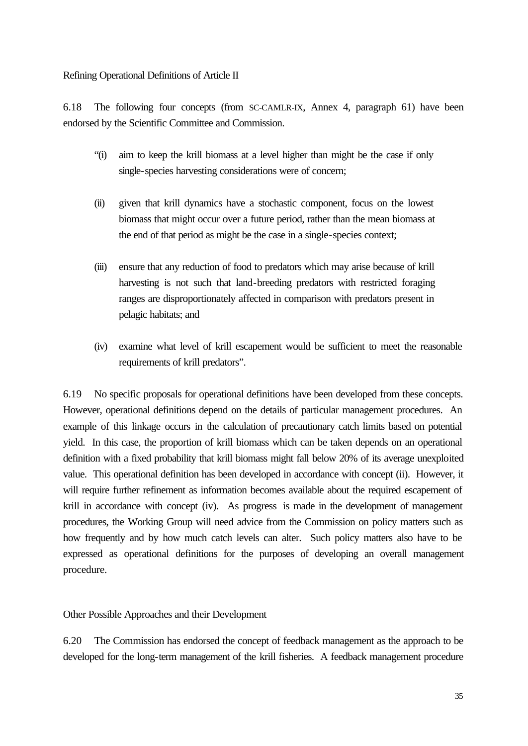# Refining Operational Definitions of Article II

6.18 The following four concepts (from SC-CAMLR-IX, Annex 4, paragraph 61) have been endorsed by the Scientific Committee and Commission.

- "(i) aim to keep the krill biomass at a level higher than might be the case if only single-species harvesting considerations were of concern;
- (ii) given that krill dynamics have a stochastic component, focus on the lowest biomass that might occur over a future period, rather than the mean biomass at the end of that period as might be the case in a single-species context;
- (iii) ensure that any reduction of food to predators which may arise because of krill harvesting is not such that land-breeding predators with restricted foraging ranges are disproportionately affected in comparison with predators present in pelagic habitats; and
- (iv) examine what level of krill escapement would be sufficient to meet the reasonable requirements of krill predators".

6.19 No specific proposals for operational definitions have been developed from these concepts. However, operational definitions depend on the details of particular management procedures. An example of this linkage occurs in the calculation of precautionary catch limits based on potential yield. In this case, the proportion of krill biomass which can be taken depends on an operational definition with a fixed probability that krill biomass might fall below 20% of its average unexploited value. This operational definition has been developed in accordance with concept (ii). However, it will require further refinement as information becomes available about the required escapement of krill in accordance with concept (iv). As progress is made in the development of management procedures, the Working Group will need advice from the Commission on policy matters such as how frequently and by how much catch levels can alter. Such policy matters also have to be expressed as operational definitions for the purposes of developing an overall management procedure.

Other Possible Approaches and their Development

6.20 The Commission has endorsed the concept of feedback management as the approach to be developed for the long-term management of the krill fisheries. A feedback management procedure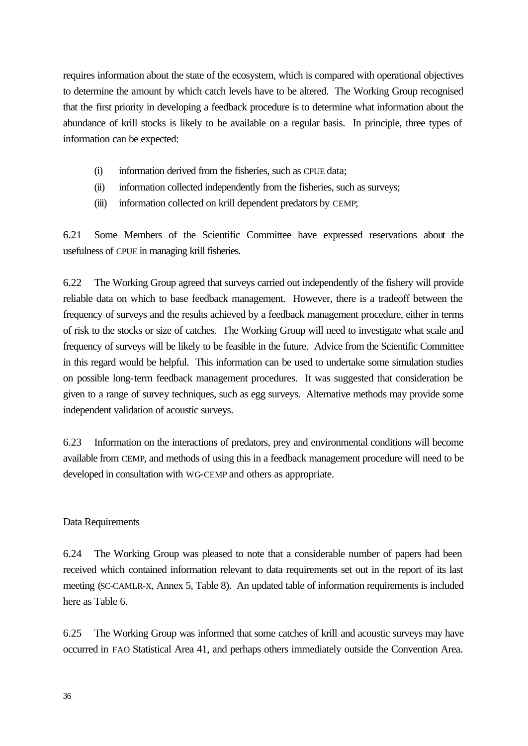requires information about the state of the ecosystem, which is compared with operational objectives to determine the amount by which catch levels have to be altered. The Working Group recognised that the first priority in developing a feedback procedure is to determine what information about the abundance of krill stocks is likely to be available on a regular basis. In principle, three types of information can be expected:

- (i) information derived from the fisheries, such as CPUE data;
- (ii) information collected independently from the fisheries, such as surveys;
- (iii) information collected on krill dependent predators by CEMP;

6.21 Some Members of the Scientific Committee have expressed reservations about the usefulness of CPUE in managing krill fisheries.

6.22 The Working Group agreed that surveys carried out independently of the fishery will provide reliable data on which to base feedback management. However, there is a tradeoff between the frequency of surveys and the results achieved by a feedback management procedure, either in terms of risk to the stocks or size of catches. The Working Group will need to investigate what scale and frequency of surveys will be likely to be feasible in the future. Advice from the Scientific Committee in this regard would be helpful. This information can be used to undertake some simulation studies on possible long-term feedback management procedures. It was suggested that consideration be given to a range of survey techniques, such as egg surveys. Alternative methods may provide some independent validation of acoustic surveys.

6.23 Information on the interactions of predators, prey and environmental conditions will become available from CEMP, and methods of using this in a feedback management procedure will need to be developed in consultation with WG-CEMP and others as appropriate.

## Data Requirements

6.24 The Working Group was pleased to note that a considerable number of papers had been received which contained information relevant to data requirements set out in the report of its last meeting (SC-CAMLR-X, Annex 5, Table 8). An updated table of information requirements is included here as Table 6.

6.25 The Working Group was informed that some catches of krill and acoustic surveys may have occurred in FAO Statistical Area 41, and perhaps others immediately outside the Convention Area.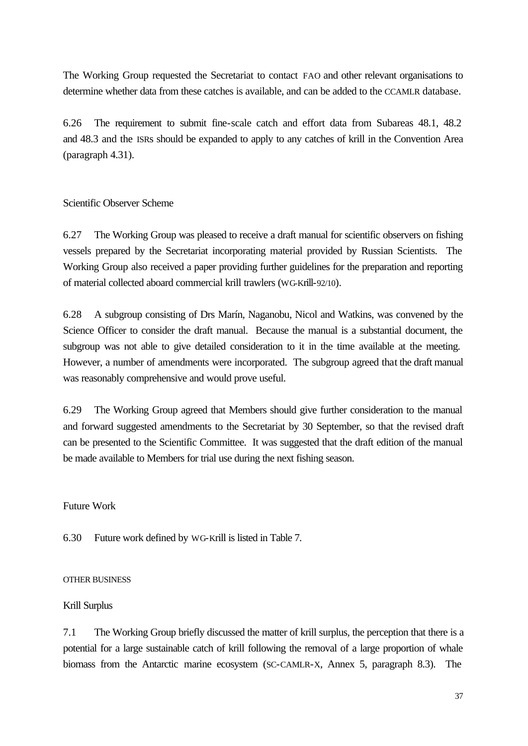The Working Group requested the Secretariat to contact FAO and other relevant organisations to determine whether data from these catches is available, and can be added to the CCAMLR database.

6.26 The requirement to submit fine-scale catch and effort data from Subareas 48.1, 48.2 and 48.3 and the ISRs should be expanded to apply to any catches of krill in the Convention Area (paragraph 4.31).

### Scientific Observer Scheme

6.27 The Working Group was pleased to receive a draft manual for scientific observers on fishing vessels prepared by the Secretariat incorporating material provided by Russian Scientists. The Working Group also received a paper providing further guidelines for the preparation and reporting of material collected aboard commercial krill trawlers (WG-Krill-92/10).

6.28 A subgroup consisting of Drs Marín, Naganobu, Nicol and Watkins, was convened by the Science Officer to consider the draft manual. Because the manual is a substantial document, the subgroup was not able to give detailed consideration to it in the time available at the meeting. However, a number of amendments were incorporated. The subgroup agreed that the draft manual was reasonably comprehensive and would prove useful.

6.29 The Working Group agreed that Members should give further consideration to the manual and forward suggested amendments to the Secretariat by 30 September, so that the revised draft can be presented to the Scientific Committee. It was suggested that the draft edition of the manual be made available to Members for trial use during the next fishing season.

Future Work

6.30 Future work defined by WG-Krill is listed in Table 7.

#### OTHER BUSINESS

### Krill Surplus

7.1 The Working Group briefly discussed the matter of krill surplus, the perception that there is a potential for a large sustainable catch of krill following the removal of a large proportion of whale biomass from the Antarctic marine ecosystem (SC-CAMLR-X, Annex 5, paragraph 8.3). The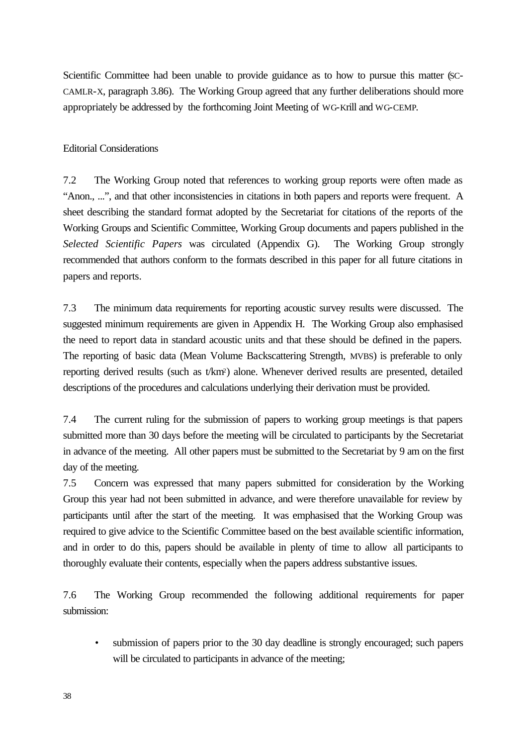Scientific Committee had been unable to provide guidance as to how to pursue this matter (SC-CAMLR-X, paragraph 3.86). The Working Group agreed that any further deliberations should more appropriately be addressed by the forthcoming Joint Meeting of WG-Krill and WG-CEMP.

### Editorial Considerations

7.2 The Working Group noted that references to working group reports were often made as "Anon., ...", and that other inconsistencies in citations in both papers and reports were frequent. A sheet describing the standard format adopted by the Secretariat for citations of the reports of the Working Groups and Scientific Committee, Working Group documents and papers published in the *Selected Scientific Papers* was circulated (Appendix G). The Working Group strongly recommended that authors conform to the formats described in this paper for all future citations in papers and reports.

7.3 The minimum data requirements for reporting acoustic survey results were discussed. The suggested minimum requirements are given in Appendix H. The Working Group also emphasised the need to report data in standard acoustic units and that these should be defined in the papers. The reporting of basic data (Mean Volume Backscattering Strength, MVBS) is preferable to only reporting derived results (such as t/km<sup>2</sup> ) alone. Whenever derived results are presented, detailed descriptions of the procedures and calculations underlying their derivation must be provided.

7.4 The current ruling for the submission of papers to working group meetings is that papers submitted more than 30 days before the meeting will be circulated to participants by the Secretariat in advance of the meeting. All other papers must be submitted to the Secretariat by 9 am on the first day of the meeting.

7.5 Concern was expressed that many papers submitted for consideration by the Working Group this year had not been submitted in advance, and were therefore unavailable for review by participants until after the start of the meeting. It was emphasised that the Working Group was required to give advice to the Scientific Committee based on the best available scientific information, and in order to do this, papers should be available in plenty of time to allow all participants to thoroughly evaluate their contents, especially when the papers address substantive issues.

7.6 The Working Group recommended the following additional requirements for paper submission:

• submission of papers prior to the 30 day deadline is strongly encouraged; such papers will be circulated to participants in advance of the meeting;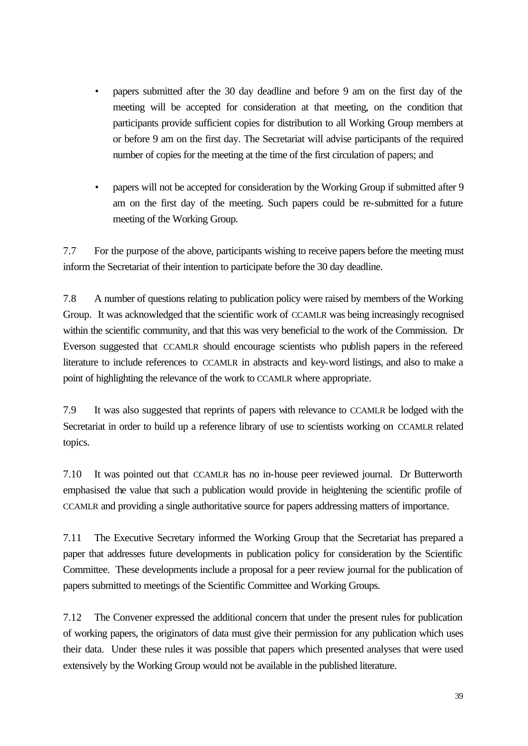- papers submitted after the 30 day deadline and before 9 am on the first day of the meeting will be accepted for consideration at that meeting, on the condition that participants provide sufficient copies for distribution to all Working Group members at or before 9 am on the first day. The Secretariat will advise participants of the required number of copies for the meeting at the time of the first circulation of papers; and
- papers will not be accepted for consideration by the Working Group if submitted after 9 am on the first day of the meeting. Such papers could be re-submitted for a future meeting of the Working Group.

7.7 For the purpose of the above, participants wishing to receive papers before the meeting must inform the Secretariat of their intention to participate before the 30 day deadline.

7.8 A number of questions relating to publication policy were raised by members of the Working Group. It was acknowledged that the scientific work of CCAMLR was being increasingly recognised within the scientific community, and that this was very beneficial to the work of the Commission. Dr Everson suggested that CCAMLR should encourage scientists who publish papers in the refereed literature to include references to CCAMLR in abstracts and key-word listings, and also to make a point of highlighting the relevance of the work to CCAMLR where appropriate.

7.9 It was also suggested that reprints of papers with relevance to CCAMLR be lodged with the Secretariat in order to build up a reference library of use to scientists working on CCAMLR related topics.

7.10 It was pointed out that CCAMLR has no in-house peer reviewed journal. Dr Butterworth emphasised the value that such a publication would provide in heightening the scientific profile of CCAMLR and providing a single authoritative source for papers addressing matters of importance.

7.11 The Executive Secretary informed the Working Group that the Secretariat has prepared a paper that addresses future developments in publication policy for consideration by the Scientific Committee. These developments include a proposal for a peer review journal for the publication of papers submitted to meetings of the Scientific Committee and Working Groups.

7.12 The Convener expressed the additional concern that under the present rules for publication of working papers, the originators of data must give their permission for any publication which uses their data. Under these rules it was possible that papers which presented analyses that were used extensively by the Working Group would not be available in the published literature.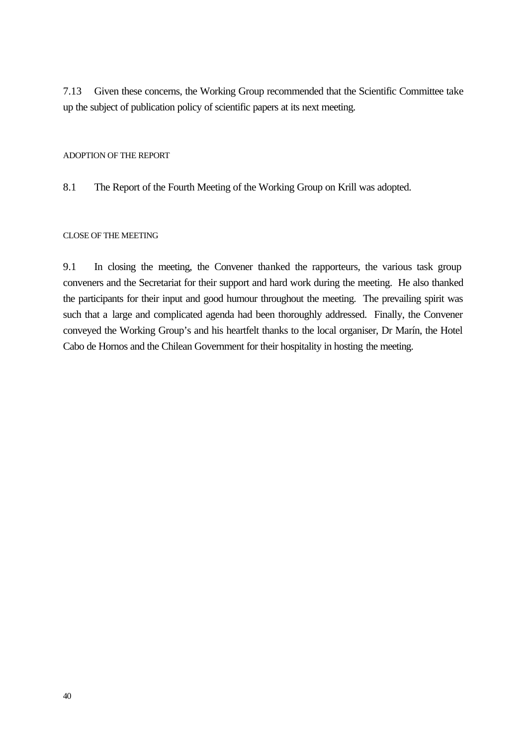7.13 Given these concerns, the Working Group recommended that the Scientific Committee take up the subject of publication policy of scientific papers at its next meeting.

## ADOPTION OF THE REPORT

8.1 The Report of the Fourth Meeting of the Working Group on Krill was adopted.

### CLOSE OF THE MEETING

9.1 In closing the meeting, the Convener thanked the rapporteurs, the various task group conveners and the Secretariat for their support and hard work during the meeting. He also thanked the participants for their input and good humour throughout the meeting. The prevailing spirit was such that a large and complicated agenda had been thoroughly addressed. Finally, the Convener conveyed the Working Group's and his heartfelt thanks to the local organiser, Dr Marín, the Hotel Cabo de Hornos and the Chilean Government for their hospitality in hosting the meeting.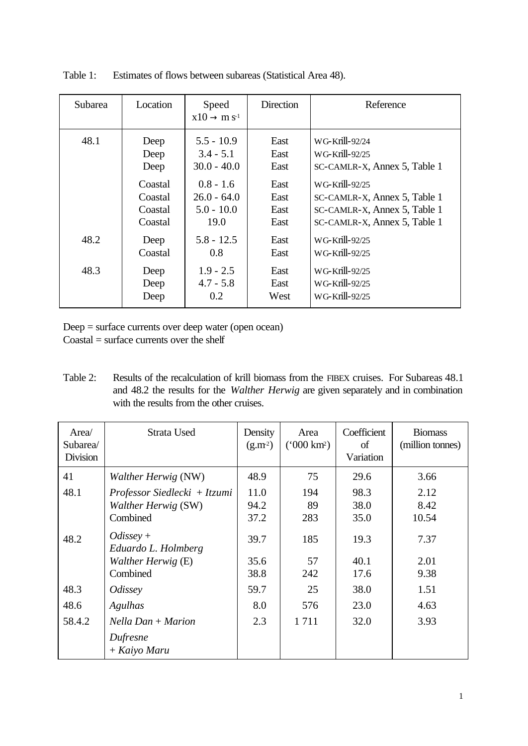| Subarea | Location | Speed<br>$x10 \rightarrow m s^{-1}$ | Direction | Reference                    |
|---------|----------|-------------------------------------|-----------|------------------------------|
| 48.1    | Deep     | $5.5 - 10.9$                        | East      | WG-Krill-92/24               |
|         | Deep     | $3.4 - 5.1$                         | East      | WG-Krill-92/25               |
|         | Deep     | $30.0 - 40.0$                       | East      | SC-CAMLR-X, Annex 5, Table 1 |
|         | Coastal  | $0.8 - 1.6$                         | East      | WG-Krill-92/25               |
|         | Coastal  | $26.0 - 64.0$                       | East      | SC-CAMLR-X, Annex 5, Table 1 |
|         | Coastal  | $5.0 - 10.0$                        | East      | SC-CAMLR-X, Annex 5, Table 1 |
|         | Coastal  | 19.0                                | East      | SC-CAMLR-X, Annex 5, Table 1 |
| 48.2    | Deep     | $5.8 - 12.5$                        | East      | WG-Krill-92/25               |
|         | Coastal  | 0.8                                 | East      | WG-Krill-92/25               |
| 48.3    | Deep     | $1.9 - 2.5$                         | East      | WG-Krill-92/25               |
|         | Deep     | $4.7 - 5.8$                         | East      | WG-Krill-92/25               |
|         | Deep     | 0.2                                 | West      | WG-Krill-92/25               |

Table 1: Estimates of flows between subareas (Statistical Area 48).

Deep = surface currents over deep water (open ocean) Coastal = surface currents over the shelf

Table 2: Results of the recalculation of krill biomass from the FIBEX cruises. For Subareas 48.1 and 48.2 the results for the *Walther Herwig* are given separately and in combination with the results from the other cruises.

| Area/<br>Subarea/<br><b>Division</b> | Strata Used                                                                                                   | Density<br>(g.m <sup>2</sup> ) | Area<br>$(000 \text{ km}^2)$ | Coefficient<br>of<br>Variation | <b>Biomass</b><br>(million tonnes) |
|--------------------------------------|---------------------------------------------------------------------------------------------------------------|--------------------------------|------------------------------|--------------------------------|------------------------------------|
| 41                                   | Walther Herwig (NW)                                                                                           | 48.9                           | 75                           | 29.6                           | 3.66                               |
| 48.1<br>48.2                         | Professor Siedlecki + Itzumi<br>Walther Herwig (SW)<br>Combined<br>$O$ <i>dissey</i> +<br>Eduardo L. Holmberg | 11.0<br>94.2<br>37.2<br>39.7   | 194<br>89<br>283<br>185      | 98.3<br>38.0<br>35.0<br>19.3   | 2.12<br>8.42<br>10.54<br>7.37      |
|                                      | Walther Herwig (E)<br>Combined                                                                                | 35.6<br>38.8                   | 57<br>242                    | 40.1<br>17.6                   | 2.01<br>9.38                       |
| 48.3                                 | <i>Odissey</i>                                                                                                | 59.7                           | 25                           | 38.0                           | 1.51                               |
| 48.6                                 | Agulhas                                                                                                       | 8.0                            | 576                          | 23.0                           | 4.63                               |
| 58.4.2                               | $Nella Dan + Marion$<br>Dufresne<br>+ Kaiyo Maru                                                              | 2.3                            | 1711                         | 32.0                           | 3.93                               |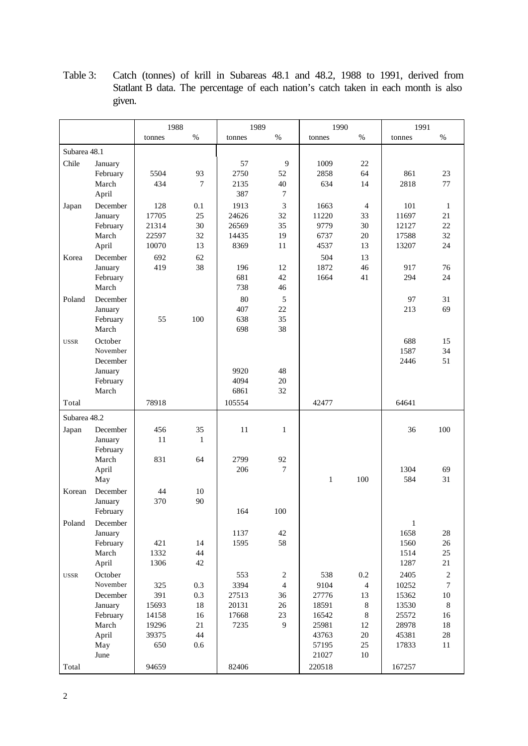| Table 3: | Catch (tonnes) of krill in Subareas 48.1 and 48.2, 1988 to 1991, derived from      |  |  |  |  |  |  |
|----------|------------------------------------------------------------------------------------|--|--|--|--|--|--|
|          | Statlant B data. The percentage of each nation's catch taken in each month is also |  |  |  |  |  |  |
|          | given.                                                                             |  |  |  |  |  |  |

|              |                   | 1988           |                | 1989          |                  | 1990           |                | 1991           |              |
|--------------|-------------------|----------------|----------------|---------------|------------------|----------------|----------------|----------------|--------------|
|              |                   | tonnes         | $\%$           | tonnes        | $\%$             | tonnes         | $\%$           | tonnes         | $\%$         |
| Subarea 48.1 |                   |                |                |               |                  |                |                |                |              |
| Chile        | January           |                |                | 57            | 9                | 1009           | 22             |                |              |
|              | February          | 5504           | 93             | 2750          | 52               | 2858           | 64             | 861            | 23           |
|              | March             | 434            | $\overline{7}$ | 2135          | 40               | 634            | 14             | 2818           | 77           |
|              | April             |                |                | 387           | $\tau$           |                |                |                |              |
| Japan        | December          | 128            | 0.1            | 1913          | 3                | 1663           | 4              | 101            | $\mathbf{1}$ |
|              | January           | 17705          | 25             | 24626         | 32               | 11220          | 33             | 11697          | 21           |
|              | February          | 21314          | 30             | 26569         | 35               | 9779           | 30             | 12127          | 22           |
|              | March             | 22597          | 32             | 14435         | 19               | 6737           | 20             | 17588          | 32           |
|              | April             | 10070          | 13             | 8369          | 11               | 4537           | 13             | 13207          | 24           |
| Korea        | December          | 692            | 62             |               |                  | 504            | 13             |                |              |
|              | January           | 419            | 38             | 196<br>681    | 12<br>42         | 1872<br>1664   | 46<br>41       | 917<br>294     | 76<br>24     |
|              | February<br>March |                |                | 738           | 46               |                |                |                |              |
| Poland       | December          |                |                | 80            | 5                |                |                | 97             | 31           |
|              | January           |                |                | 407           | 22               |                |                | 213            | 69           |
|              | February          | 55             | 100            | 638           | 35               |                |                |                |              |
|              | March             |                |                | 698           | 38               |                |                |                |              |
| <b>USSR</b>  | October           |                |                |               |                  |                |                | 688            | 15           |
|              | November          |                |                |               |                  |                |                | 1587           | 34           |
|              | December          |                |                |               |                  |                |                | 2446           | 51           |
|              | January           |                |                | 9920          | 48               |                |                |                |              |
|              | February          |                |                | 4094          | 20               |                |                |                |              |
|              | March             |                |                | 6861          | 32               |                |                |                |              |
| Total        |                   | 78918          |                | 105554        |                  | 42477          |                | 64641          |              |
| Subarea 48.2 |                   |                |                |               |                  |                |                |                |              |
| Japan        | December          | 456            | 35             | 11            | $\mathbf{1}$     |                |                | 36             | 100          |
|              | January           | 11             | $\mathbf{1}$   |               |                  |                |                |                |              |
|              | February          |                |                |               |                  |                |                |                |              |
|              | March<br>April    | 831            | 64             | 2799<br>206   | 92<br>7          |                |                | 1304           | 69           |
|              | May               |                |                |               |                  | $\mathbf{1}$   | 100            | 584            | 31           |
| Korean       | December          | 44             | 10             |               |                  |                |                |                |              |
|              | January           | 370            | 90             |               |                  |                |                |                |              |
|              | February          |                |                | 164           | 100              |                |                |                |              |
| Poland       | December          |                |                |               |                  |                |                | $\mathbf{1}$   |              |
|              | January           |                |                | 1137          | 42               |                |                | 1658           | $28\,$       |
|              | February          | 421            | 14             | 1595          | 58               |                |                | 1560           | 26           |
|              | March             | 1332           | 44             |               |                  |                |                | 1514           | $25\,$       |
|              | April             | 1306           | 42             |               |                  |                |                | 1287           | 21           |
| <b>USSR</b>  | October           |                |                | 553           | $\boldsymbol{2}$ | 538            | 0.2            | 2405           | $\sqrt{2}$   |
|              | November          | 325            | 0.3            | 3394          | $\overline{4}$   | 9104           | $\overline{4}$ | 10252          | $\tau$       |
|              | December          | 391            | 0.3            | 27513         | 36               | 27776          | 13             | 15362          | $10\,$       |
|              | January           | 15693          | 18             | 20131         | $26\,$           | 18591          | $\,8\,$        | 13530          | $\,8\,$      |
|              | February<br>March | 14158<br>19296 | 16<br>$21\,$   | 17668<br>7235 | 23<br>9          | 16542<br>25981 | 8<br>12        | 25572<br>28978 | 16<br>$18\,$ |
|              | April             | 39375          | 44             |               |                  | 43763          | $20\,$         | 45381          | $28\,$       |
|              | May               | 650            | $0.6\,$        |               |                  | 57195          | 25             | 17833          | $11\,$       |
|              | June              |                |                |               |                  | 21027          | $10\,$         |                |              |
| Total        |                   | 94659          |                | 82406         |                  | 220518         |                | 167257         |              |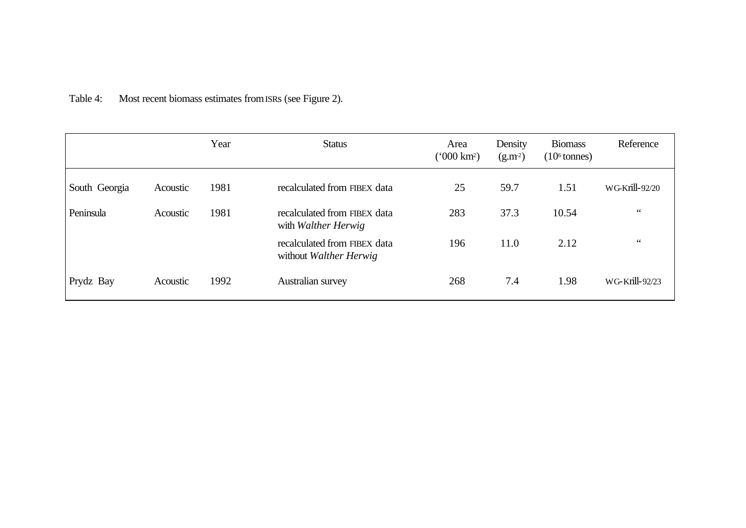|               |          | Year | <b>Status</b>                                                 | Area<br>$(000 \text{ km}^2)$ | Density<br>(g.m <sup>2</sup> ) | <b>Biomass</b><br>$(106$ tonnes) | Reference      |
|---------------|----------|------|---------------------------------------------------------------|------------------------------|--------------------------------|----------------------------------|----------------|
| South Georgia | Acoustic | 1981 | recalculated from FIBEX data                                  | 25                           | 59.7                           | 1.51                             | WG-Krill-92/20 |
| Peninsula     | Acoustic | 1981 | recalculated from FIBEX data<br>with Walther Herwig           | 283                          | 37.3                           | 10.54                            | $\,$ 6 6 $\,$  |
|               |          |      | recalculated from FIBEX data<br>without <i>Walther Herwig</i> | 196                          | 11.0                           | 2.12                             | $66$           |
| Prydz Bay     | Acoustic | 1992 | Australian survey                                             | 268                          | 7.4                            | 1.98                             | WG-Krill-92/23 |

Table 4: Most recent biomass estimates from ISRs (see Figure 2).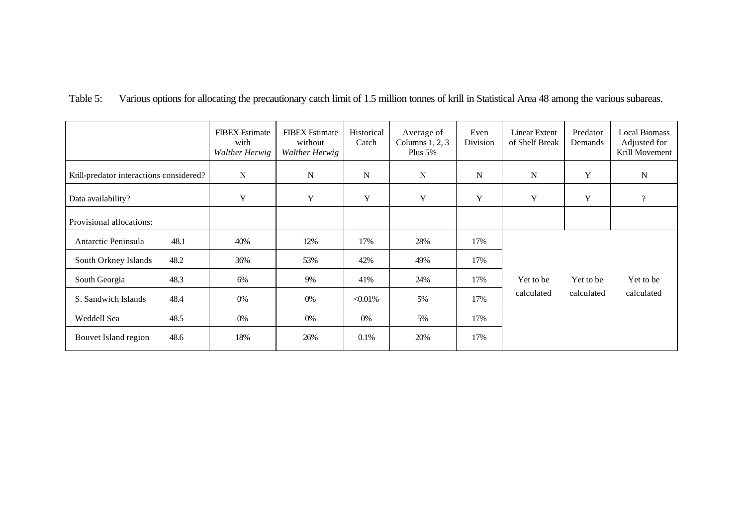|                                         | <b>FIBEX</b> Estimate<br>with<br><b>Walther Herwig</b> | <b>FIBEX</b> Estimate<br>without<br>Walther Herwig | Historical<br>Catch | Average of<br>Columns $1, 2, 3$<br>Plus $5%$ | Even<br>Division | <b>Linear Extent</b><br>of Shelf Break | Predator<br>Demands | <b>Local Biomass</b><br>Adjusted for<br>Krill Movement |
|-----------------------------------------|--------------------------------------------------------|----------------------------------------------------|---------------------|----------------------------------------------|------------------|----------------------------------------|---------------------|--------------------------------------------------------|
| Krill-predator interactions considered? | $\mathbf N$                                            | ${\bf N}$                                          | $\mathbf N$         | $\mathbf N$                                  | $\mathbf N$      | ${\bf N}$                              | Y                   | $\mathbf N$                                            |
| Data availability?                      | Y                                                      | $\mathbf Y$                                        | Y                   | Y                                            | Y                | Y                                      | $\mathbf Y$         | $\overline{\cdot}$                                     |
| Provisional allocations:                |                                                        |                                                    |                     |                                              |                  |                                        |                     |                                                        |
| 48.1<br>Antarctic Peninsula             | 40%                                                    | 12%                                                | 17%                 | 28%                                          | 17%              |                                        |                     |                                                        |
| 48.2<br>South Orkney Islands            | 36%                                                    | 53%                                                | 42%                 | 49%                                          | 17%              |                                        |                     |                                                        |
| 48.3<br>South Georgia                   | 6%                                                     | 9%                                                 | 41%                 | 24%                                          | 17%              | Yet to be                              | Yet to be           | Yet to be                                              |
| 48.4<br>S. Sandwich Islands             | 0%                                                     | 0%                                                 | $< 0.01\%$          | 5%                                           | 17%              | calculated                             | calculated          | calculated                                             |
| 48.5<br>Weddell Sea                     | 0%                                                     | $0\%$                                              | $0\%$               | 5%                                           | 17%              |                                        |                     |                                                        |
| 48.6<br>Bouvet Island region            | 18%                                                    | 26%                                                | 0.1%                | 20%                                          | 17%              |                                        |                     |                                                        |

Table 5: Various options for allocating the precautionary catch limit of 1.5 million tonnes of krill in Statistical Area 48 among the various subareas.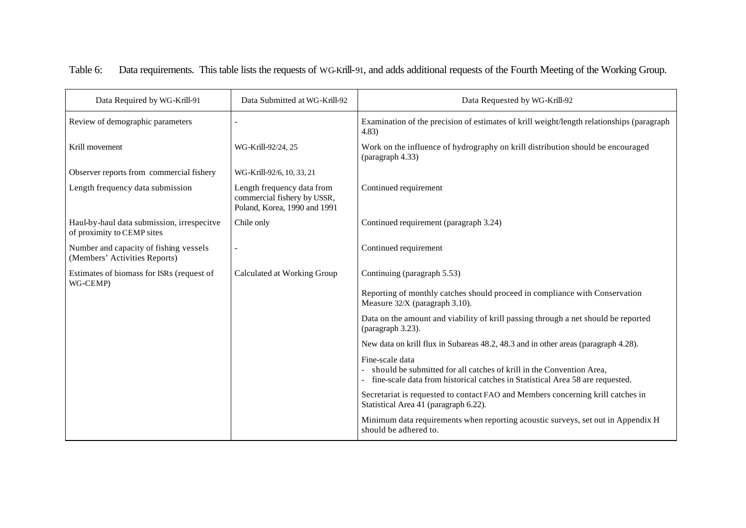| Data Required by WG-Krill-91                                             | Data Submitted at WG-Krill-92                                                             | Data Requested by WG-Krill-92                                                                                                                                            |
|--------------------------------------------------------------------------|-------------------------------------------------------------------------------------------|--------------------------------------------------------------------------------------------------------------------------------------------------------------------------|
| Review of demographic parameters                                         |                                                                                           | Examination of the precision of estimates of krill weight/length relationships (paragraph<br>4.83)                                                                       |
| Krill movement                                                           | WG-Krill-92/24, 25                                                                        | Work on the influence of hydrography on krill distribution should be encouraged<br>(paragraph 4.33)                                                                      |
| Observer reports from commercial fishery                                 | WG-Krill-92/6, 10, 33, 21                                                                 |                                                                                                                                                                          |
| Length frequency data submission                                         | Length frequency data from<br>commercial fishery by USSR,<br>Poland, Korea, 1990 and 1991 | Continued requirement                                                                                                                                                    |
| Haul-by-haul data submission, irrespecitve<br>of proximity to CEMP sites | Chile only                                                                                | Continued requirement (paragraph 3.24)                                                                                                                                   |
| Number and capacity of fishing vessels<br>(Members' Activities Reports)  |                                                                                           | Continued requirement                                                                                                                                                    |
| Estimates of biomass for ISRs (request of<br>WG-CEMP)                    | Calculated at Working Group                                                               | Continuing (paragraph 5.53)                                                                                                                                              |
|                                                                          |                                                                                           | Reporting of monthly catches should proceed in compliance with Conservation<br>Measure 32/X (paragraph 3.10).                                                            |
|                                                                          |                                                                                           | Data on the amount and viability of krill passing through a net should be reported<br>(paragraph 3.23).                                                                  |
|                                                                          |                                                                                           | New data on krill flux in Subareas 48.2, 48.3 and in other areas (paragraph 4.28).                                                                                       |
|                                                                          |                                                                                           | Fine-scale data<br>should be submitted for all catches of krill in the Convention Area,<br>fine-scale data from historical catches in Statistical Area 58 are requested. |
|                                                                          |                                                                                           | Secretariat is requested to contact FAO and Members concerning krill catches in<br>Statistical Area 41 (paragraph 6.22).                                                 |
|                                                                          |                                                                                           | Minimum data requirements when reporting acoustic surveys, set out in Appendix H<br>should be adhered to.                                                                |

# Table 6: Data requirements. This table lists the requests of WG-Krill-91, and adds additional requests of the Fourth Meeting of the Working Group.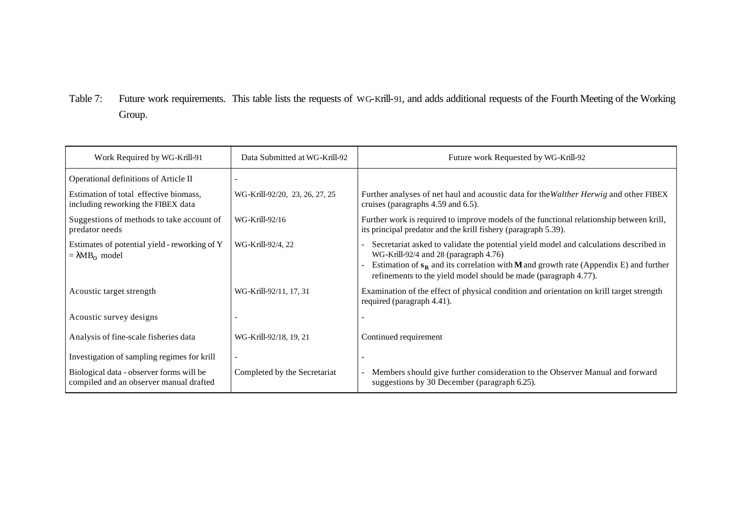Table 7: Future work requirements. This table lists the requests of WG-Krill-91, and adds additional requests of the Fourth Meeting of the Working Group.

| Work Required by WG-Krill-91                                                        | Data Submitted at WG-Krill-92  | Future work Requested by WG-Krill-92                                                                                                                                                                                                                                                                |
|-------------------------------------------------------------------------------------|--------------------------------|-----------------------------------------------------------------------------------------------------------------------------------------------------------------------------------------------------------------------------------------------------------------------------------------------------|
| Operational definitions of Article II                                               |                                |                                                                                                                                                                                                                                                                                                     |
| Estimation of total effective biomass,<br>including reworking the FIBEX data        | WG-Krill-92/20, 23, 26, 27, 25 | Further analyses of net haul and acoustic data for the Walther Herwig and other FIBEX<br>cruises (paragraphs 4.59 and 6.5).                                                                                                                                                                         |
| Suggestions of methods to take account of<br>predator needs                         | WG-Krill-92/16                 | Further work is required to improve models of the functional relationship between krill,<br>its principal predator and the krill fishery (paragraph 5.39).                                                                                                                                          |
| Estimates of potential yield - reworking of Y<br>$=\lambda MB_0$ model              | WG-Krill-92/4, 22              | Secretariat asked to validate the potential yield model and calculations described in<br>WG-Krill-92/4 and 28 (paragraph 4.76)<br>Estimation of $s_R$ and its correlation with <b>M</b> and growth rate (Appendix E) and further<br>refinements to the yield model should be made (paragraph 4.77). |
| Acoustic target strength                                                            | WG-Krill-92/11, 17, 31         | Examination of the effect of physical condition and orientation on krill target strength<br>required (paragraph 4.41).                                                                                                                                                                              |
| Acoustic survey designs                                                             |                                |                                                                                                                                                                                                                                                                                                     |
| Analysis of fine-scale fisheries data                                               | WG-Krill-92/18, 19, 21         | Continued requirement                                                                                                                                                                                                                                                                               |
| Investigation of sampling regimes for krill                                         |                                |                                                                                                                                                                                                                                                                                                     |
| Biological data - observer forms will be<br>compiled and an observer manual drafted | Completed by the Secretariat   | Members should give further consideration to the Observer Manual and forward<br>suggestions by 30 December (paragraph 6.25).                                                                                                                                                                        |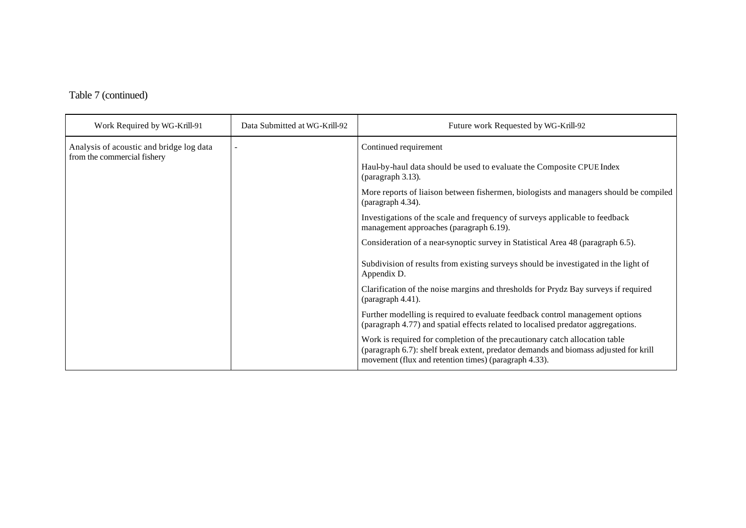# Table 7 (continued)

| Work Required by WG-Krill-91             | Data Submitted at WG-Krill-92 | Future work Requested by WG-Krill-92                                                                                                                                                                                         |
|------------------------------------------|-------------------------------|------------------------------------------------------------------------------------------------------------------------------------------------------------------------------------------------------------------------------|
| Analysis of acoustic and bridge log data |                               | Continued requirement                                                                                                                                                                                                        |
| from the commercial fishery              |                               | Haul-by-haul data should be used to evaluate the Composite CPUE Index<br>(paragraph 3.13).                                                                                                                                   |
|                                          |                               | More reports of liaison between fishermen, biologists and managers should be compiled<br>(paragraph $4.34$ ).                                                                                                                |
|                                          |                               | Investigations of the scale and frequency of surveys applicable to feedback<br>management approaches (paragraph 6.19).                                                                                                       |
|                                          |                               | Consideration of a near-synoptic survey in Statistical Area 48 (paragraph 6.5).                                                                                                                                              |
|                                          |                               | Subdivision of results from existing surveys should be investigated in the light of<br>Appendix D.                                                                                                                           |
|                                          |                               | Clarification of the noise margins and thresholds for Prydz Bay surveys if required<br>(paragraph 4.41).                                                                                                                     |
|                                          |                               | Further modelling is required to evaluate feedback control management options<br>(paragraph 4.77) and spatial effects related to localised predator aggregations.                                                            |
|                                          |                               | Work is required for completion of the precautionary catch allocation table<br>(paragraph 6.7): shelf break extent, predator demands and biomass adjusted for krill<br>movement (flux and retention times) (paragraph 4.33). |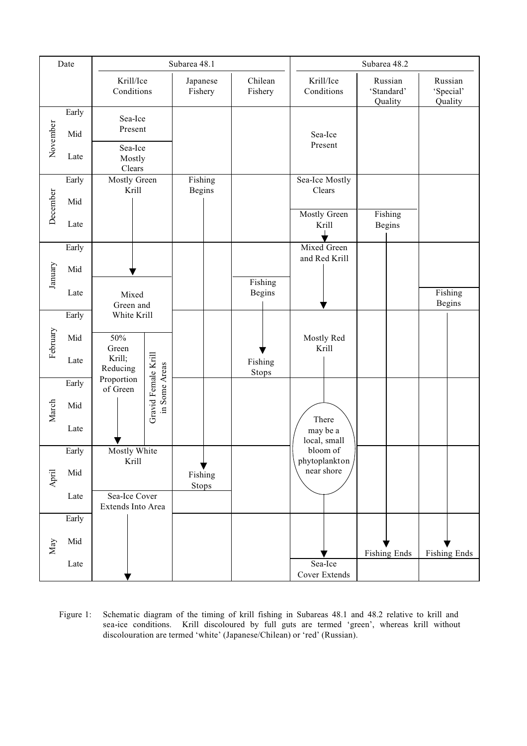|          | Date         |                                    | Subarea 48.1                         |                          |                    |                                         | Subarea 48.2                     |  |  |                                 |
|----------|--------------|------------------------------------|--------------------------------------|--------------------------|--------------------|-----------------------------------------|----------------------------------|--|--|---------------------------------|
|          |              | Krill/Ice<br>Conditions            |                                      | Japanese<br>Fishery      | Chilean<br>Fishery | Krill/Ice<br>Conditions                 | Russian<br>'Standard'<br>Quality |  |  | Russian<br>'Special'<br>Quality |
| November | Early<br>Mid | Sea-Ice<br>Present                 |                                      |                          |                    | Sea-Ice                                 |                                  |  |  |                                 |
|          | Late         | Sea-Ice<br>Mostly<br>Clears        |                                      |                          |                    | Present                                 |                                  |  |  |                                 |
|          | Early<br>Mid | Mostly Green<br>Krill              |                                      | Fishing<br><b>Begins</b> |                    | Sea-Ice Mostly<br>Clears                |                                  |  |  |                                 |
| December | Late         |                                    |                                      |                          |                    | <b>Mostly Green</b><br>Krill            | Fishing<br><b>Begins</b>         |  |  |                                 |
| January  | Early<br>Mid |                                    |                                      |                          | Fishing            | Mixed Green<br>and Red Krill            |                                  |  |  |                                 |
|          | Late         | Mixed<br>Green and                 |                                      |                          | <b>Begins</b>      |                                         |                                  |  |  | Fishing<br><b>Begins</b>        |
|          | Early        | White Krill                        |                                      |                          |                    |                                         |                                  |  |  |                                 |
| February | Mid<br>Late  | 50%<br>Green<br>Krill;<br>Reducing |                                      |                          | Fishing<br>Stops   | Mostly Red<br>Krill                     |                                  |  |  |                                 |
| March    | Early<br>Mid | Proportion<br>of Green             | Gravid Female Krill<br>in Some Areas |                          |                    |                                         |                                  |  |  |                                 |
|          | Late         |                                    |                                      |                          |                    | There<br>may be a<br>local, small       |                                  |  |  |                                 |
| April    | Early<br>Mid | Mostly White<br>Krill              |                                      | Fishing<br>Stops         |                    | bloom of<br>phytoplankton<br>near shore |                                  |  |  |                                 |
|          | Late         | Sea-Ice Cover<br>Extends Into Area |                                      |                          |                    |                                         |                                  |  |  |                                 |
|          | Early        |                                    |                                      |                          |                    |                                         |                                  |  |  |                                 |
| May      | Mid          |                                    |                                      |                          |                    |                                         | <b>Fishing Ends</b>              |  |  | <b>Fishing Ends</b>             |
|          | Late         |                                    |                                      |                          |                    | Sea-Ice<br>Cover Extends                |                                  |  |  |                                 |

Figure 1: Schematic diagram of the timing of krill fishing in Subareas 48.1 and 48.2 relative to krill and sea-ice conditions. Krill discoloured by full guts are termed 'green', whereas krill without discolouration are termed 'white' (Japanese/Chilean) or 'red' (Russian).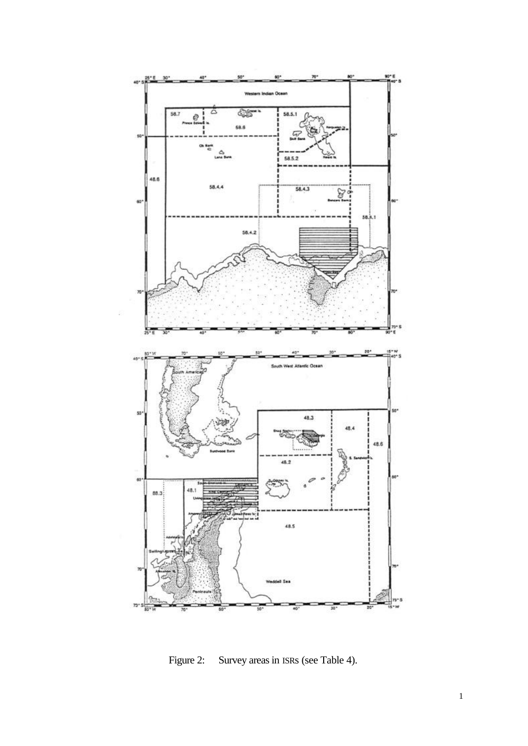

Figure 2: Survey areas in ISRs (see Table 4).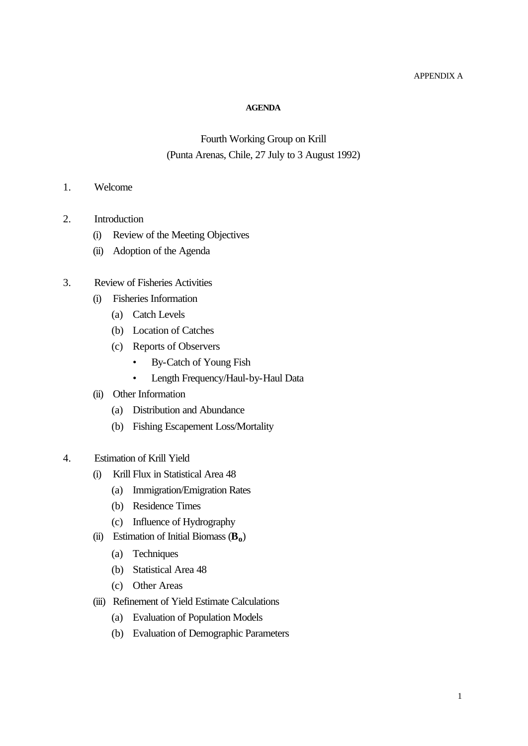### APPENDIX A

#### **AGENDA**

# Fourth Working Group on Krill (Punta Arenas, Chile, 27 July to 3 August 1992)

- 1. Welcome
- 2. Introduction
	- (i) Review of the Meeting Objectives
	- (ii) Adoption of the Agenda

## 3. Review of Fisheries Activities

- (i) Fisheries Information
	- (a) Catch Levels
	- (b) Location of Catches
	- (c) Reports of Observers
		- By-Catch of Young Fish
		- Length Frequency/Haul-by-Haul Data
- (ii) Other Information
	- (a) Distribution and Abundance
	- (b) Fishing Escapement Loss/Mortality
- 4. Estimation of Krill Yield
	- (i) Krill Flux in Statistical Area 48
		- (a) Immigration/Emigration Rates
		- (b) Residence Times
		- (c) Influence of Hydrography
	- (ii) Estimation of Initial Biomass (**Bo**)
		- (a) Techniques
		- (b) Statistical Area 48
		- (c) Other Areas
	- (iii) Refinement of Yield Estimate Calculations
		- (a) Evaluation of Population Models
		- (b) Evaluation of Demographic Parameters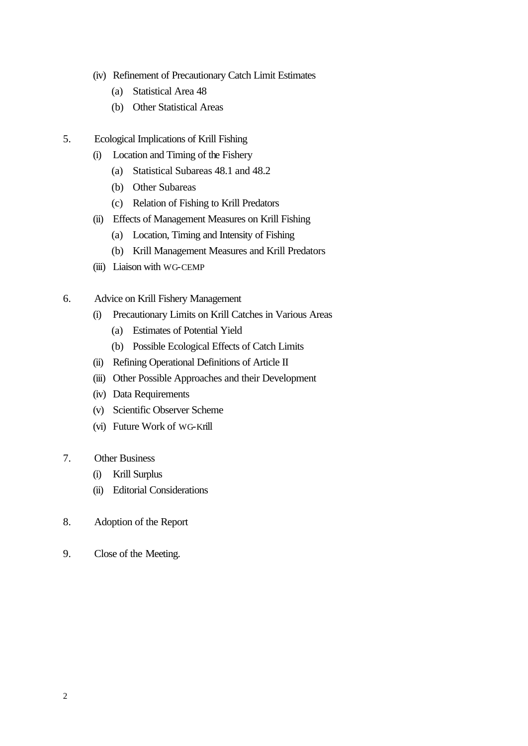- (iv) Refinement of Precautionary Catch Limit Estimates
	- (a) Statistical Area 48
	- (b) Other Statistical Areas
- 5. Ecological Implications of Krill Fishing
	- (i) Location and Timing of the Fishery
		- (a) Statistical Subareas 48.1 and 48.2
		- (b) Other Subareas
		- (c) Relation of Fishing to Krill Predators
	- (ii) Effects of Management Measures on Krill Fishing
		- (a) Location, Timing and Intensity of Fishing
		- (b) Krill Management Measures and Krill Predators
	- (iii) Liaison with WG-CEMP
- 6. Advice on Krill Fishery Management
	- (i) Precautionary Limits on Krill Catches in Various Areas
		- (a) Estimates of Potential Yield
		- (b) Possible Ecological Effects of Catch Limits
	- (ii) Refining Operational Definitions of Article II
	- (iii) Other Possible Approaches and their Development
	- (iv) Data Requirements
	- (v) Scientific Observer Scheme
	- (vi) Future Work of WG-Krill
- 7. Other Business
	- (i) Krill Surplus
	- (ii) Editorial Considerations
- 8. Adoption of the Report
- 9. Close of the Meeting.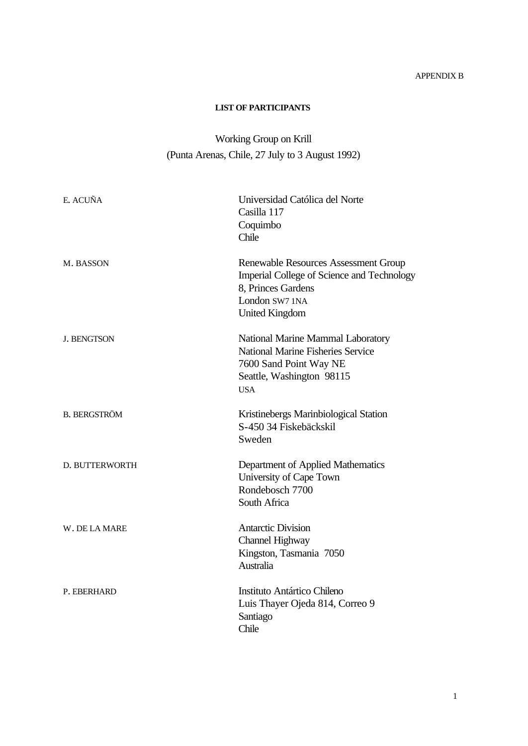## APPENDIX B

## **LIST OF PARTICIPANTS**

# Working Group on Krill (Punta Arenas, Chile, 27 July to 3 August 1992)

| E. ACUÑA            | Universidad Católica del Norte<br>Casilla 117<br>Coquimbo<br>Chile                                                                                  |
|---------------------|-----------------------------------------------------------------------------------------------------------------------------------------------------|
| M. BASSON           | Renewable Resources Assessment Group<br>Imperial College of Science and Technology<br>8, Princes Gardens<br>London SW7 1NA<br><b>United Kingdom</b> |
| <b>J. BENGTSON</b>  | National Marine Mammal Laboratory<br><b>National Marine Fisheries Service</b><br>7600 Sand Point Way NE<br>Seattle, Washington 98115<br><b>USA</b>  |
| <b>B. BERGSTRÖM</b> | Kristinebergs Marinbiological Station<br>S-450 34 Fiskebäckskil<br>Sweden                                                                           |
| D. BUTTERWORTH      | Department of Applied Mathematics<br>University of Cape Town<br>Rondebosch 7700<br>South Africa                                                     |
| W. DE LA MARE       | <b>Antarctic Division</b><br>Channel Highway<br>Kingston, Tasmania 7050<br>Australia                                                                |
| P. EBERHARD         | Instituto Antártico Chileno<br>Luis Thayer Ojeda 814, Correo 9<br>Santiago<br>Chile                                                                 |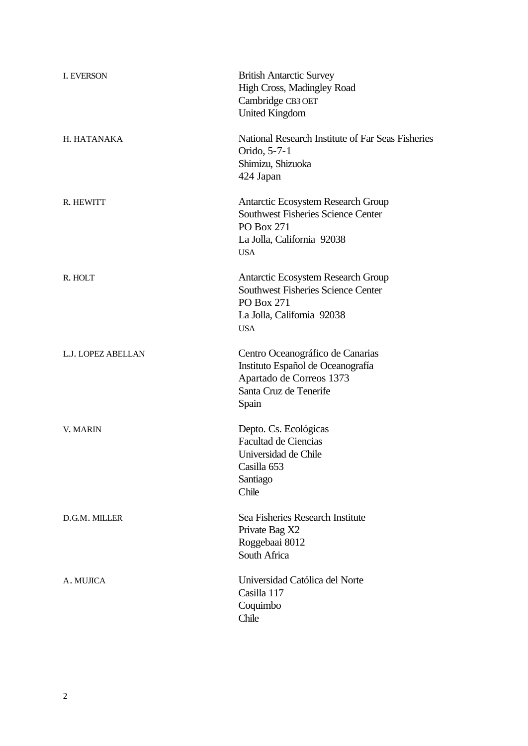| <b>I. EVERSON</b>  | <b>British Antarctic Survey</b><br>High Cross, Madingley Road<br>Cambridge CB3 OET<br><b>United Kingdom</b>                               |
|--------------------|-------------------------------------------------------------------------------------------------------------------------------------------|
| H. HATANAKA        | National Research Institute of Far Seas Fisheries<br>Orido, 5-7-1<br>Shimizu, Shizuoka<br>424 Japan                                       |
| R. HEWITT          | Antarctic Ecosystem Research Group<br><b>Southwest Fisheries Science Center</b><br>PO Box 271<br>La Jolla, California 92038<br><b>USA</b> |
| R. HOLT            | Antarctic Ecosystem Research Group<br><b>Southwest Fisheries Science Center</b><br>PO Box 271<br>La Jolla, California 92038<br><b>USA</b> |
| L.J. LOPEZ ABELLAN | Centro Oceanográfico de Canarias<br>Instituto Español de Oceanografía<br>Apartado de Correos 1373<br>Santa Cruz de Tenerife<br>Spain      |
| V. MARIN           | Depto. Cs. Ecológicas<br><b>Facultad de Ciencias</b><br>Universidad de Chile<br>Casilla 653<br>Santiago<br>Chile                          |
| D.G.M. MILLER      | Sea Fisheries Research Institute<br>Private Bag X2<br>Roggebaai 8012<br>South Africa                                                      |
| A. MUJICA          | Universidad Católica del Norte<br>Casilla 117<br>Coquimbo<br>Chile                                                                        |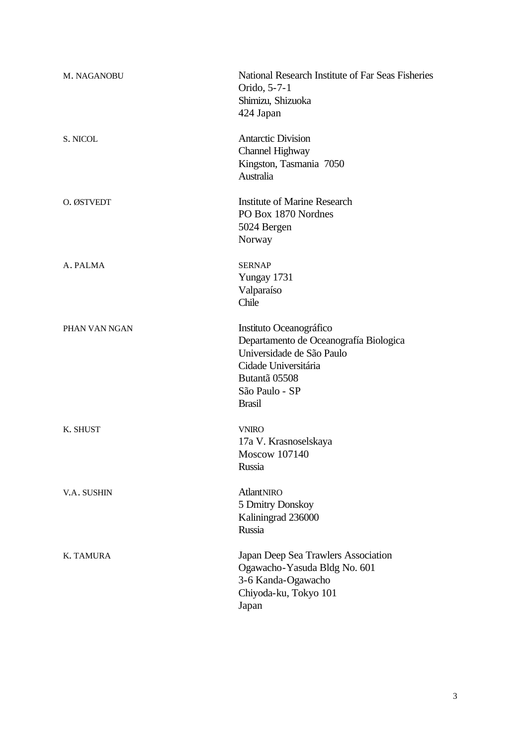| M. NAGANOBU   | National Research Institute of Far Seas Fisheries<br>Orido, 5-7-1<br>Shimizu, Shizuoka<br>424 Japan                                                                        |
|---------------|----------------------------------------------------------------------------------------------------------------------------------------------------------------------------|
| S. NICOL      | <b>Antarctic Division</b><br><b>Channel Highway</b><br>Kingston, Tasmania 7050<br>Australia                                                                                |
| O. ØSTVEDT    | <b>Institute of Marine Research</b><br>PO Box 1870 Nordnes<br>5024 Bergen<br>Norway                                                                                        |
| A. PALMA      | <b>SERNAP</b><br>Yungay 1731<br>Valparaíso<br>Chile                                                                                                                        |
| PHAN VAN NGAN | Instituto Oceanográfico<br>Departamento de Oceanografía Biologica<br>Universidade de São Paulo<br>Cidade Universitária<br>Butantã 05508<br>São Paulo - SP<br><b>Brasil</b> |
| K. SHUST      | <b>VNIRO</b><br>17a V. Krasnoselskaya<br><b>Moscow 107140</b><br>Russia                                                                                                    |
| V.A. SUSHIN   | AtlantNIRO<br>5 Dmitry Donskoy<br>Kaliningrad 236000<br>Russia                                                                                                             |
| K. TAMURA     | Japan Deep Sea Trawlers Association<br>Ogawacho-Yasuda Bldg No. 601<br>3-6 Kanda-Ogawacho<br>Chiyoda-ku, Tokyo 101<br>Japan                                                |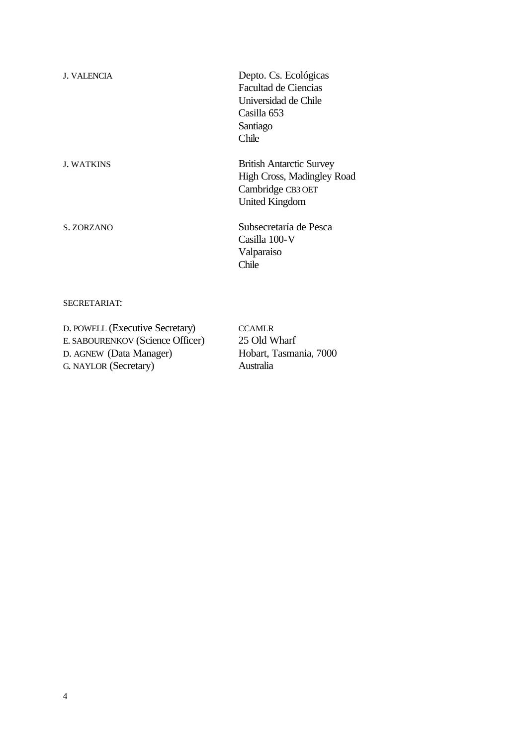| <b>J. VALENCIA</b> | Depto. Cs. Ecológicas<br><b>Facultad de Ciencias</b><br>Universidad de Chile<br>Casilla 653<br>Santiago<br>Chile   |
|--------------------|--------------------------------------------------------------------------------------------------------------------|
| <b>J. WATKINS</b>  | <b>British Antarctic Survey</b><br><b>High Cross, Madingley Road</b><br>Cambridge CB3 OET<br><b>United Kingdom</b> |
| S. ZORZANO         | Subsecretaría de Pesca<br>Casilla 100-V<br>Valparaiso<br>Chile                                                     |
| SECRETARIAT:       |                                                                                                                    |

D. POWELL (Executive Secretary) CCAMLR E. SABOURENKOV (Science Officer) 25 Old Wharf D. AGNEW (Data Manager) Hobart, Tasmania, 7000 G. NAYLOR (Secretary) Australia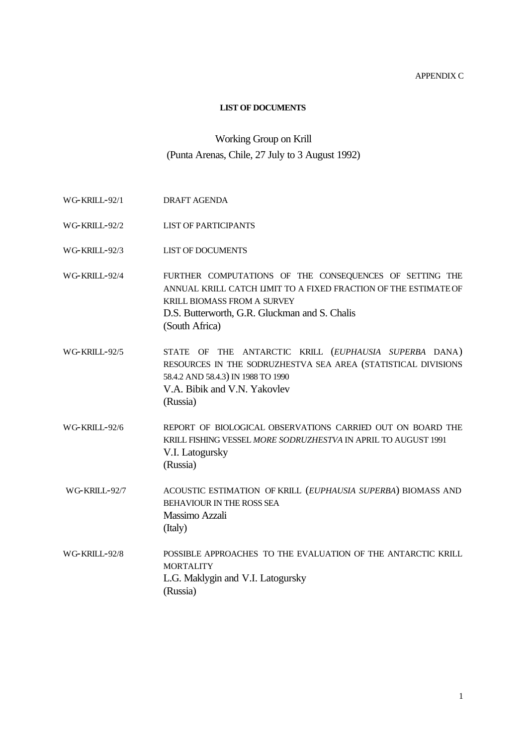APPENDIX C

#### **LIST OF DOCUMENTS**

# Working Group on Krill (Punta Arenas, Chile, 27 July to 3 August 1992)

- WG-KRILL-92/1 DRAFT AGENDA
- WG-KRILL-92/2 LIST OF PARTICIPANTS
- WG-KRILL-92/3 LIST OF DOCUMENTS
- WG-KRILL-92/4 FURTHER COMPUTATIONS OF THE CONSEQUENCES OF SETTING THE ANNUAL KRILL CATCH LIMIT TO A FIXED FRACTION OF THE ESTIMATE OF KRILL BIOMASS FROM A SURVEY D.S. Butterworth, G.R. Gluckman and S. Chalis (South Africa)
- WG-KRILL-92/5 STATE OF THE ANTARCTIC KRILL (*EUPHAUSIA SUPERBA* DANA) RESOURCES IN THE SODRUZHESTVA SEA AREA (STATISTICAL DIVISIONS 58.4.2 AND 58.4.3) IN 1988 TO 1990 V.A. Bibik and V.N. Yakovlev (Russia)
- WG-KRILL-92/6 REPORT OF BIOLOGICAL OBSERVATIONS CARRIED OUT ON BOARD THE KRILL FISHING VESSEL *MORE SODRUZHESTVA* IN APRIL TO AUGUST 1991 V.I. Latogursky (Russia)
- WG-KRILL-92/7 ACOUSTIC ESTIMATION OF KRILL (*EUPHAUSIA SUPERBA*) BIOMASS AND BEHAVIOUR IN THE ROSS SEA Massimo Azzali (Italy)
- WG-KRILL-92/8 POSSIBLE APPROACHES TO THE EVALUATION OF THE ANTARCTIC KRILL **MORTALITY** L.G. Maklygin and V.I. Latogursky (Russia)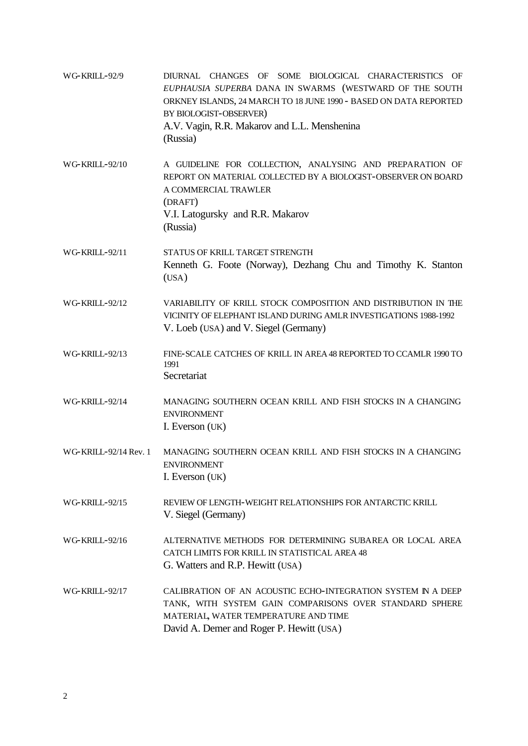| WG-KRILL-92/9         | DIURNAL CHANGES OF SOME BIOLOGICAL CHARACTERISTICS OF<br>EUPHAUSIA SUPERBA DANA IN SWARMS (WESTWARD OF THE SOUTH<br>ORKNEY ISLANDS, 24 MARCH TO 18 JUNE 1990 - BASED ON DATA REPORTED<br>BY BIOLOGIST-OBSERVER)<br>A.V. Vagin, R.R. Makarov and L.L. Menshenina<br>(Russia) |
|-----------------------|-----------------------------------------------------------------------------------------------------------------------------------------------------------------------------------------------------------------------------------------------------------------------------|
| WG-KRILL-92/10        | A GUIDELINE FOR COLLECTION, ANALYSING AND PREPARATION OF<br>REPORT ON MATERIAL COLLECTED BY A BIOLOGIST-OBSERVER ON BOARD<br>A COMMERCIAL TRAWLER<br>(DRAFT)<br>V.I. Latogursky and R.R. Makarov<br>(Russia)                                                                |
| WG-KRILL-92/11        | STATUS OF KRILL TARGET STRENGTH<br>Kenneth G. Foote (Norway), Dezhang Chu and Timothy K. Stanton<br>(USA)                                                                                                                                                                   |
| WG-KRILL-92/12        | VARIABILITY OF KRILL STOCK COMPOSITION AND DISTRIBUTION IN THE<br>VICINITY OF ELEPHANT ISLAND DURING AMLR INVESTIGATIONS 1988-1992<br>V. Loeb (USA) and V. Siegel (Germany)                                                                                                 |
| WG-KRILL-92/13        | FINE-SCALE CATCHES OF KRILL IN AREA 48 REPORTED TO CCAMLR 1990 TO<br>1991<br>Secretariat                                                                                                                                                                                    |
| WG-KRILL-92/14        | MANAGING SOUTHERN OCEAN KRILL AND FISH STOCKS IN A CHANGING<br><b>ENVIRONMENT</b><br>I. Everson (UK)                                                                                                                                                                        |
| WG-KRILL-92/14 Rev. 1 | MANAGING SOUTHERN OCEAN KRILL AND FISH STOCKS IN A CHANGING<br><b>ENVIRONMENT</b><br>I. Everson (UK)                                                                                                                                                                        |
| <b>WG-KRILL-92/15</b> | REVIEW OF LENGTH-WEIGHT RELATIONSHIPS FOR ANTARCTIC KRILL<br>V. Siegel (Germany)                                                                                                                                                                                            |
| WG-KRILL-92/16        | ALTERNATIVE METHODS FOR DETERMINING SUBAREA OR LOCAL AREA<br>CATCH LIMITS FOR KRILL IN STATISTICAL AREA 48<br>G. Watters and R.P. Hewitt (USA)                                                                                                                              |
| WG-KRILL-92/17        | CALIBRATION OF AN ACOUSTIC ECHO-INTEGRATION SYSTEM IN A DEEP<br>TANK, WITH SYSTEM GAIN COMPARISONS OVER STANDARD SPHERE<br>MATERIAL, WATER TEMPERATURE AND TIME<br>David A. Demer and Roger P. Hewitt (USA)                                                                 |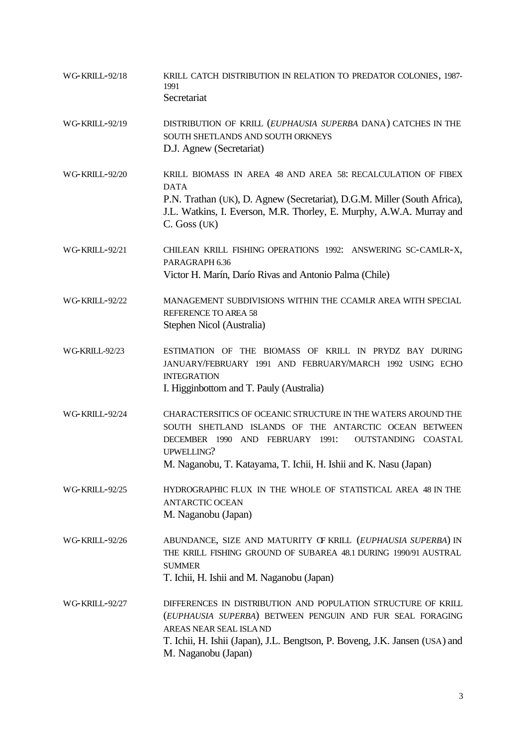| WG-KRILL-92/18        | KRILL CATCH DISTRIBUTION IN RELATION TO PREDATOR COLONIES, 1987-<br>1991<br>Secretariat                                                                                                                                                                             |
|-----------------------|---------------------------------------------------------------------------------------------------------------------------------------------------------------------------------------------------------------------------------------------------------------------|
| WG-KRILL-92/19        | DISTRIBUTION OF KRILL (EUPHAUSIA SUPERBA DANA) CATCHES IN THE<br>SOUTH SHETLANDS AND SOUTH ORKNEYS<br>D.J. Agnew (Secretariat)                                                                                                                                      |
| WG-KRILL-92/20        | KRILL BIOMASS IN AREA 48 AND AREA 58: RECALCULATION OF FIBEX<br><b>DATA</b><br>P.N. Trathan (UK), D. Agnew (Secretariat), D.G.M. Miller (South Africa),<br>J.L. Watkins, I. Everson, M.R. Thorley, E. Murphy, A.W.A. Murray and<br>C. Goss (UK)                     |
| WG-KRILL-92/21        | CHILEAN KRILL FISHING OPERATIONS 1992: ANSWERING SC-CAMLR-X,<br>PARAGRAPH 6.36<br>Victor H. Marín, Darío Rivas and Antonio Palma (Chile)                                                                                                                            |
| WG-KRILL-92/22        | MANAGEMENT SUBDIVISIONS WITHIN THE CCAMLR AREA WITH SPECIAL<br>REFERENCE TO AREA 58<br>Stephen Nicol (Australia)                                                                                                                                                    |
| WG-KRILL-92/23        | ESTIMATION OF THE BIOMASS OF KRILL IN PRYDZ BAY DURING<br>JANUARY/FEBRUARY 1991 AND FEBRUARY/MARCH 1992 USING ECHO<br><b>INTEGRATION</b><br>I. Higginbottom and T. Pauly (Australia)                                                                                |
| WG-KRILL-92/24        | CHARACTERSITICS OF OCEANIC STRUCTURE IN THE WATERS AROUND THE<br>SOUTH SHETLAND ISLANDS OF THE ANTARCTIC OCEAN BETWEEN<br>DECEMBER 1990 AND FEBRUARY 1991:<br>OUTSTANDING COASTAL<br>UPWELLING?<br>M. Naganobu, T. Katayama, T. Ichii, H. Ishii and K. Nasu (Japan) |
| <b>WG-KRILL-92/25</b> | HYDROGRAPHIC FLUX IN THE WHOLE OF STATISTICAL AREA 48 IN THE<br><b>ANTARCTIC OCEAN</b><br>M. Naganobu (Japan)                                                                                                                                                       |
| WG-KRILL-92/26        | ABUNDANCE, SIZE AND MATURITY OF KRILL (EUPHAUSIA SUPERBA) IN<br>THE KRILL FISHING GROUND OF SUBAREA 48.1 DURING 1990/91 AUSTRAL<br><b>SUMMER</b><br>T. Ichii, H. Ishii and M. Naganobu (Japan)                                                                      |
| WG-KRILL-92/27        | DIFFERENCES IN DISTRIBUTION AND POPULATION STRUCTURE OF KRILL<br>(EUPHAUSIA SUPERBA) BETWEEN PENGUIN AND FUR SEAL FORAGING<br>AREAS NEAR SEAL ISLA ND<br>T. Ichii, H. Ishii (Japan), J.L. Bengtson, P. Boveng, J.K. Jansen (USA) and<br>M. Naganobu (Japan)         |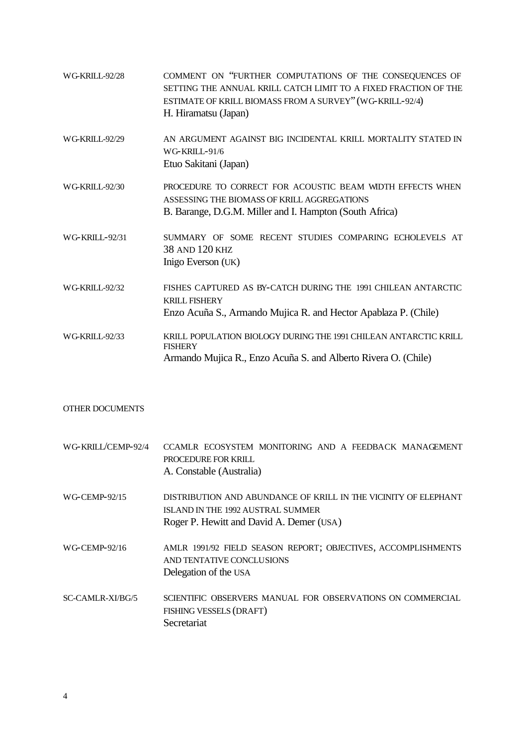| WG-KRILL-92/28        | COMMENT ON "FURTHER COMPUTATIONS OF THE CONSEQUENCES OF<br>SETTING THE ANNUAL KRILL CATCH LIMIT TO A FIXED FRACTION OF THE<br>ESTIMATE OF KRILL BIOMASS FROM A SURVEY" (WG-KRILL-92/4)<br>H. Hiramatsu (Japan) |
|-----------------------|----------------------------------------------------------------------------------------------------------------------------------------------------------------------------------------------------------------|
| WG-KRILL-92/29        | AN ARGUMENT AGAINST BIG INCIDENTAL KRILL MORTALITY STATED IN<br>$WG$ -KRILL-91/6<br>Etuo Sakitani (Japan)                                                                                                      |
| WG-KRILL-92/30        | PROCEDURE TO CORRECT FOR ACOUSTIC BEAM WIDTH EFFECTS WHEN<br>ASSESSING THE BIOMASS OF KRILL AGGREGATIONS<br>B. Barange, D.G.M. Miller and I. Hampton (South Africa)                                            |
| WG-KRILL-92/31        | SUMMARY OF SOME RECENT STUDIES COMPARING ECHOLEVELS AT<br>38 AND 120 KHZ<br>Inigo Everson (UK)                                                                                                                 |
| <b>WG-KRILL-92/32</b> | FISHES CAPTURED AS BY-CATCH DURING THE 1991 CHILEAN ANTARCTIC<br><b>KRILL FISHERY</b><br>Enzo Acuña S., Armando Mujica R. and Hector Apablaza P. (Chile)                                                       |
| WG-KRILL-92/33        | KRILL POPULATION BIOLOGY DURING THE 1991 CHILEAN ANTARCTIC KRILL<br><b>FISHERY</b><br>Armando Mujica R., Enzo Acuña S. and Alberto Rivera O. (Chile)                                                           |

## OTHER DOCUMENTS

| WG-KRILI/CEMP-92/4 | CCAMLR ECOSYSTEM MONITORING AND A FEEDBACK MANAGEMENT<br>PROCEDURE FOR KRILL<br>A. Constable (Australia)                                         |
|--------------------|--------------------------------------------------------------------------------------------------------------------------------------------------|
| WG-CEMP-92/15      | DISTRIBUTION AND ABUNDANCE OF KRILL IN THE VICINITY OF ELEPHANT<br>ISLAND IN THE 1992 AUSTRAL SUMMER<br>Roger P. Hewitt and David A. Demer (USA) |
| WG-CEMP-92/16      | AMLR 1991/92 FIELD SEASON REPORT; OBJECTIVES, ACCOMPLISHMENTS<br>AND TENTATIVE CONCLUSIONS<br>Delegation of the USA                              |
| SC-CAMLR-XI/BG/5   | SCIENTIFIC OBSERVERS MANUAL FOR OBSERVATIONS ON COMMERCIAL<br>FISHING VESSELS (DRAFT)<br>Secretariat                                             |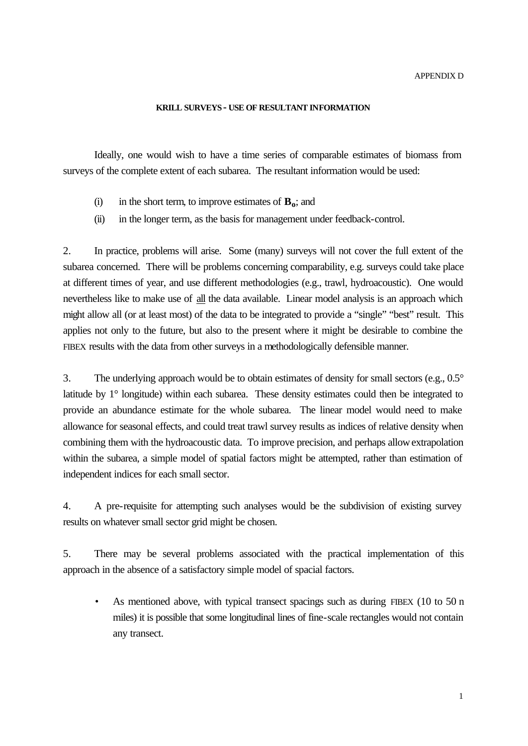#### **KRILL SURVEYS - USE OF RESULTANT INFORMATION**

Ideally, one would wish to have a time series of comparable estimates of biomass from surveys of the complete extent of each subarea. The resultant information would be used:

- (i) in the short term, to improve estimates of **Bo**; and
- (ii) in the longer term, as the basis for management under feedback-control.

2. In practice, problems will arise. Some (many) surveys will not cover the full extent of the subarea concerned. There will be problems concerning comparability, e.g. surveys could take place at different times of year, and use different methodologies (e.g., trawl, hydroacoustic). One would nevertheless like to make use of all the data available. Linear model analysis is an approach which might allow all (or at least most) of the data to be integrated to provide a "single" "best" result. This applies not only to the future, but also to the present where it might be desirable to combine the FIBEX results with the data from other surveys in a methodologically defensible manner.

3. The underlying approach would be to obtain estimates of density for small sectors (e.g., 0.5° latitude by 1° longitude) within each subarea. These density estimates could then be integrated to provide an abundance estimate for the whole subarea. The linear model would need to make allowance for seasonal effects, and could treat trawl survey results as indices of relative density when combining them with the hydroacoustic data. To improve precision, and perhaps allow extrapolation within the subarea, a simple model of spatial factors might be attempted, rather than estimation of independent indices for each small sector.

4. A pre-requisite for attempting such analyses would be the subdivision of existing survey results on whatever small sector grid might be chosen.

5. There may be several problems associated with the practical implementation of this approach in the absence of a satisfactory simple model of spacial factors.

As mentioned above, with typical transect spacings such as during FIBEX (10 to 50 n miles) it is possible that some longitudinal lines of fine-scale rectangles would not contain any transect.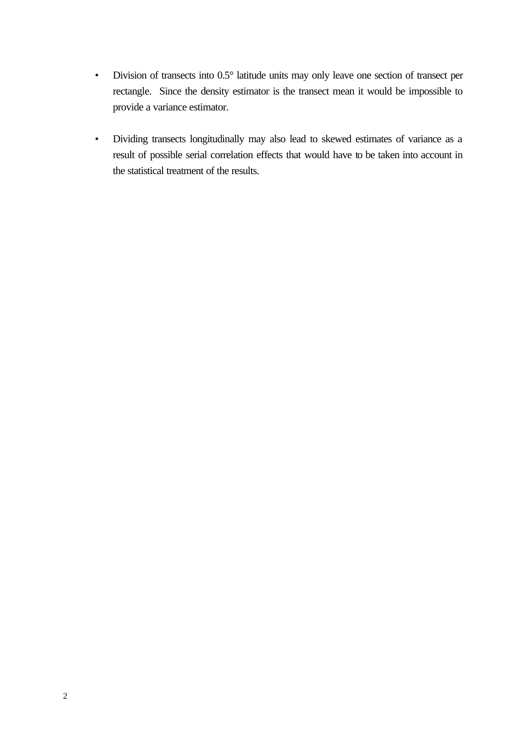- Division of transects into 0.5° latitude units may only leave one section of transect per rectangle. Since the density estimator is the transect mean it would be impossible to provide a variance estimator.
- Dividing transects longitudinally may also lead to skewed estimates of variance as a result of possible serial correlation effects that would have to be taken into account in the statistical treatment of the results.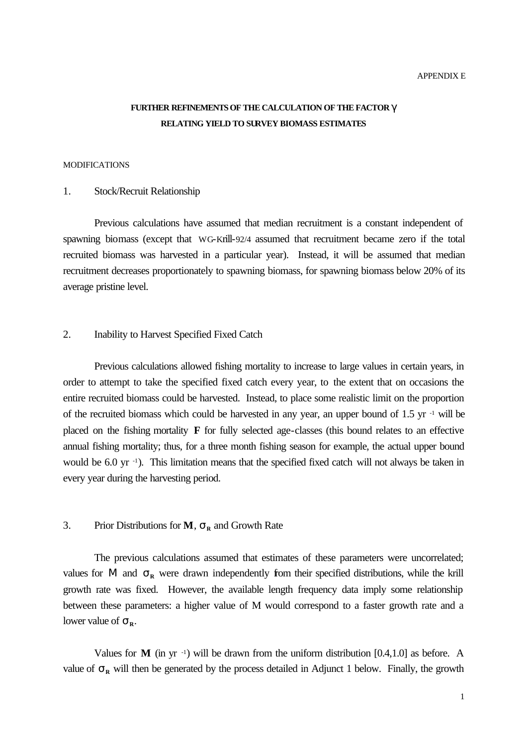# **FURTHER REFINEMENTS OF THE CALCULATION OF THE FACTOR g RELATING YIELD TO SURVEY BIOMASS ESTIMATES**

#### MODIFICATIONS

#### 1. Stock/Recruit Relationship

Previous calculations have assumed that median recruitment is a constant independent of spawning biomass (except that WG-Krill-92/4 assumed that recruitment became zero if the total recruited biomass was harvested in a particular year). Instead, it will be assumed that median recruitment decreases proportionately to spawning biomass, for spawning biomass below 20% of its average pristine level.

### 2. Inability to Harvest Specified Fixed Catch

Previous calculations allowed fishing mortality to increase to large values in certain years, in order to attempt to take the specified fixed catch every year, to the extent that on occasions the entire recruited biomass could be harvested. Instead, to place some realistic limit on the proportion of the recruited biomass which could be harvested in any year, an upper bound of 1.5 yr<sup>-1</sup> will be placed on the fishing mortality **F** for fully selected age-classes (this bound relates to an effective annual fishing mortality; thus, for a three month fishing season for example, the actual upper bound would be 6.0 yr -1 ). This limitation means that the specified fixed catch will not always be taken in every year during the harvesting period.

#### 3. Prior Distributions for  $M$ ,  $\mathbf{s}_R$  and Growth Rate

The previous calculations assumed that estimates of these parameters were uncorrelated; values for **M** and  $\mathbf{s}_R$  were drawn independently from their specified distributions, while the krill growth rate was fixed. However, the available length frequency data imply some relationship between these parameters: a higher value of M would correspond to a faster growth rate and a lower value of  $\mathbf{s}_R$ .

Values for  $M$  (in yr<sup>-1</sup>) will be drawn from the uniform distribution [0.4,1.0] as before. A value of  $s_R$  will then be generated by the process detailed in Adjunct 1 below. Finally, the growth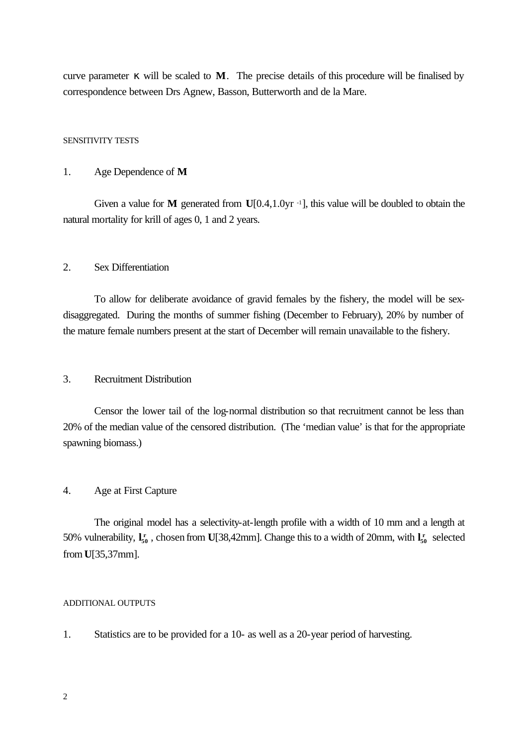curve parameter **k** will be scaled to **M**. The precise details of this procedure will be finalised by correspondence between Drs Agnew, Basson, Butterworth and de la Mare.

### SENSITIVITY TESTS

### 1. Age Dependence of **M**

Given a value for **M** generated from U[0.4,1.0yr<sup>-1</sup>], this value will be doubled to obtain the natural mortality for krill of ages 0, 1 and 2 years.

### 2. Sex Differentiation

To allow for deliberate avoidance of gravid females by the fishery, the model will be sexdisaggregated. During the months of summer fishing (December to February), 20% by number of the mature female numbers present at the start of December will remain unavailable to the fishery.

## 3. Recruitment Distribution

Censor the lower tail of the log-normal distribution so that recruitment cannot be less than 20% of the median value of the censored distribution. (The 'median value' is that for the appropriate spawning biomass.)

## 4. Age at First Capture

The original model has a selectivity-at-length profile with a width of 10 mm and a length at 50% vulnerability,  $I_{50}$ , chosen from U[38,42mm]. Change this to a width of 20mm, with  $I_{50}$  selected from **U**[35,37mm].

#### ADDITIONAL OUTPUTS

1. Statistics are to be provided for a 10- as well as a 20-year period of harvesting.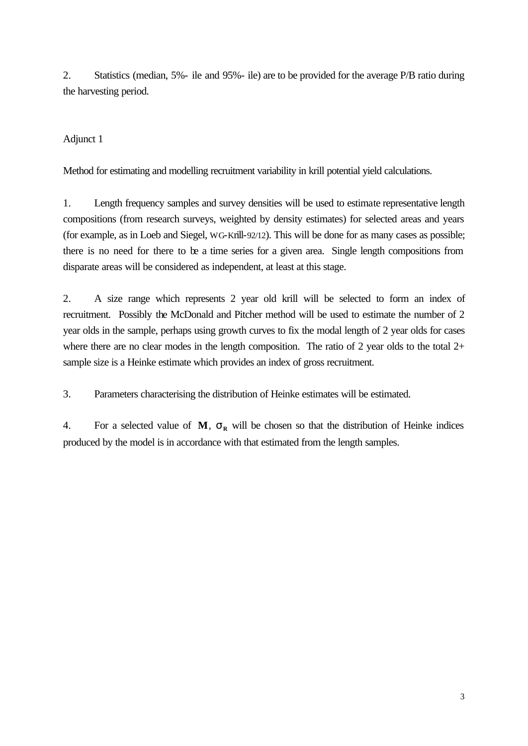2. Statistics (median, 5%- ile and 95%- ile) are to be provided for the average P/B ratio during the harvesting period.

# Adjunct 1

Method for estimating and modelling recruitment variability in krill potential yield calculations.

1. Length frequency samples and survey densities will be used to estimate representative length compositions (from research surveys, weighted by density estimates) for selected areas and years (for example, as in Loeb and Siegel, WG-Krill-92/12). This will be done for as many cases as possible; there is no need for there to be a time series for a given area. Single length compositions from disparate areas will be considered as independent, at least at this stage.

2. A size range which represents 2 year old krill will be selected to form an index of recruitment. Possibly the McDonald and Pitcher method will be used to estimate the number of 2 year olds in the sample, perhaps using growth curves to fix the modal length of 2 year olds for cases where there are no clear modes in the length composition. The ratio of 2 year olds to the total  $2+$ sample size is a Heinke estimate which provides an index of gross recruitment.

3. Parameters characterising the distribution of Heinke estimates will be estimated.

4. For a selected value of  $M$ ,  $S_R$  will be chosen so that the distribution of Heinke indices produced by the model is in accordance with that estimated from the length samples.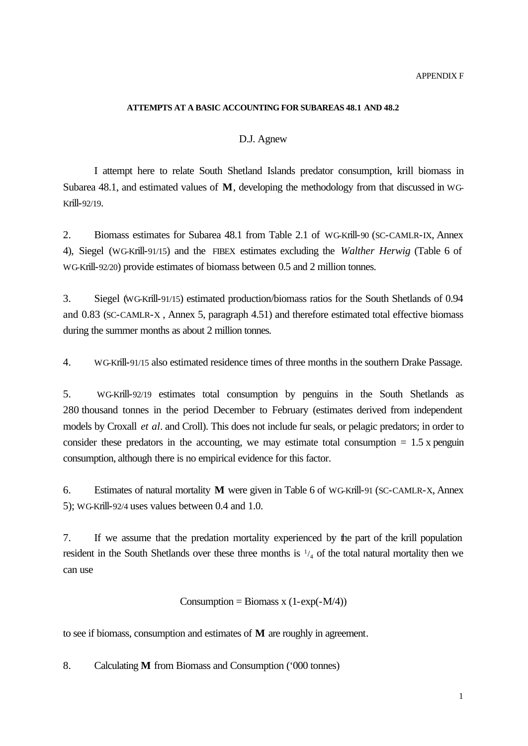#### **ATTEMPTS AT A BASIC ACCOUNTING FOR SUBAREAS 48.1 AND 48.2**

### D.J. Agnew

I attempt here to relate South Shetland Islands predator consumption, krill biomass in Subarea 48.1, and estimated values of **M**, developing the methodology from that discussed in WG-Krill-92/19.

2. Biomass estimates for Subarea 48.1 from Table 2.1 of WG-Krill-90 (SC-CAMLR-IX, Annex 4), Siegel (WG-Krill-91/15) and the FIBEX estimates excluding the *Walther Herwig* (Table 6 of WG-Krill-92/20) provide estimates of biomass between 0.5 and 2 million tonnes.

3. Siegel (WG-Krill-91/15) estimated production/biomass ratios for the South Shetlands of 0.94 and 0.83 (SC-CAMLR-X , Annex 5, paragraph 4.51) and therefore estimated total effective biomass during the summer months as about 2 million tonnes.

4. WG-Krill-91/15 also estimated residence times of three months in the southern Drake Passage.

5. WG-Krill-92/19 estimates total consumption by penguins in the South Shetlands as 280 thousand tonnes in the period December to February (estimates derived from independent models by Croxall *et al*. and Croll). This does not include fur seals, or pelagic predators; in order to consider these predators in the accounting, we may estimate total consumption  $= 1.5$  x penguin consumption, although there is no empirical evidence for this factor.

6. Estimates of natural mortality **M** were given in Table 6 of WG-Krill-91 (SC-CAMLR-X, Annex 5); WG-Krill-92/4 uses values between 0.4 and 1.0.

7. If we assume that the predation mortality experienced by the part of the krill population resident in the South Shetlands over these three months is  $\frac{1}{4}$  of the total natural mortality then we can use

$$
Consumption = \text{Biomass x } (1-\exp(-M/4))
$$

to see if biomass, consumption and estimates of **M** are roughly in agreement.

8. Calculating **M** from Biomass and Consumption ('000 tonnes)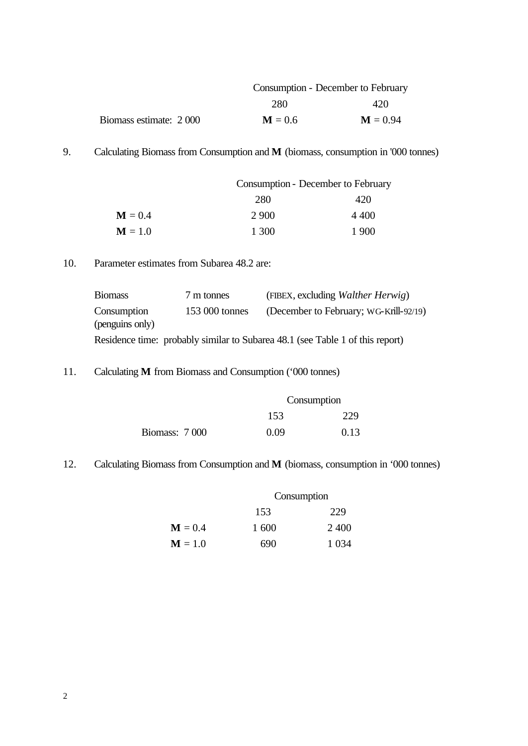|                        | Consumption - December to February |            |
|------------------------|------------------------------------|------------|
|                        | 280                                | 420        |
| Biomass estimate: 2000 | $M = 0.6$                          | $M = 0.94$ |

# 9. Calculating Biomass from Consumption and **M** (biomass, consumption in '000 tonnes)

|           | Consumption - December to February |       |
|-----------|------------------------------------|-------|
|           | 280                                | 420   |
| $M = 0.4$ | 2.900                              | 4.400 |
| $M = 1.0$ | 1.300                              | 1 900 |

# 10. Parameter estimates from Subarea 48.2 are:

| <b>Biomass</b>  | 7 m tonnes     | (FIBEX, excluding Walther Herwig)                                             |
|-----------------|----------------|-------------------------------------------------------------------------------|
| Consumption     | 153 000 tonnes | (December to February; WG-Krill-92/19)                                        |
| (penguins only) |                |                                                                               |
|                 |                | Residence time: probably similar to Subarea 48.1 (see Table 1 of this report) |

11. Calculating **M** from Biomass and Consumption ('000 tonnes)

|                       | Consumption |      |
|-----------------------|-------------|------|
|                       | 153         | 229  |
| <b>Biomass:</b> 7 000 | 0.09        | 0.13 |

12. Calculating Biomass from Consumption and **M** (biomass, consumption in '000 tonnes)

|                    | Consumption |        |
|--------------------|-------------|--------|
|                    | 153         | 229    |
| $\mathbf{M} = 0.4$ | 1 600       | 2400   |
| $\mathbf{M}=1.0$   | 690         | 1 0 34 |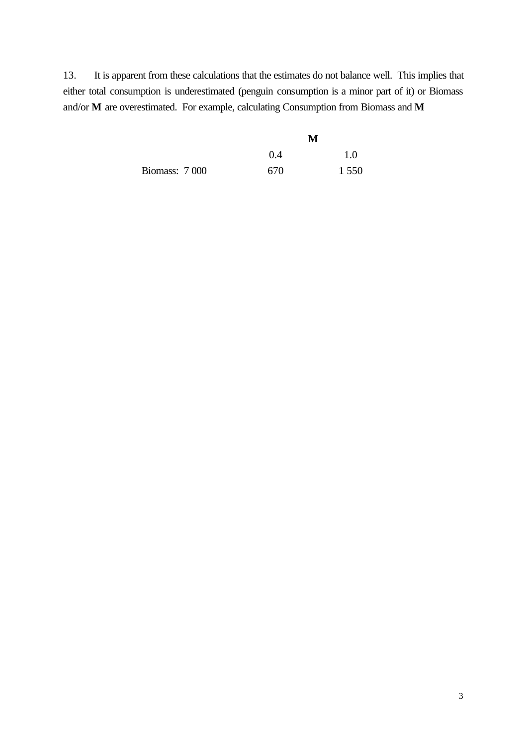13. It is apparent from these calculations that the estimates do not balance well. This implies that either total consumption is underestimated (penguin consumption is a minor part of it) or Biomass and/or **M** are overestimated. For example, calculating Consumption from Biomass and **M**

|               | M   |         |
|---------------|-----|---------|
|               | 0.4 | 1.0     |
| Biomass: 7000 | 670 | 1 5 5 0 |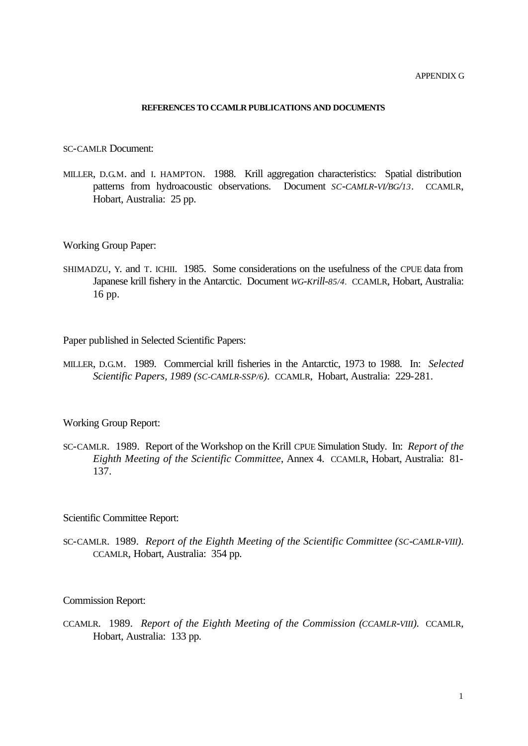#### **REFERENCES TO CCAMLR PUBLICATIONS AND DOCUMENTS**

#### SC-CAMLR Document:

MILLER, D.G.M. and I. HAMPTON. 1988. Krill aggregation characteristics: Spatial distribution patterns from hydroacoustic observations. Document *SC-CAMLR-VI/BG/13*. CCAMLR, Hobart, Australia: 25 pp.

#### Working Group Paper:

SHIMADZU, Y. and T. ICHII. 1985. Some considerations on the usefulness of the CPUE data from Japanese krill fishery in the Antarctic. Document *WG-Krill-85/4*. CCAMLR, Hobart, Australia: 16 pp.

Paper published in Selected Scientific Papers:

MILLER, D.G.M. 1989. Commercial krill fisheries in the Antarctic, 1973 to 1988. In: *Selected Scientific Papers, 1989 (SC-CAMLR-SSP/6)*. CCAMLR, Hobart, Australia: 229-281.

#### Working Group Report:

SC-CAMLR. 1989. Report of the Workshop on the Krill CPUE Simulation Study. In: *Report of the Eighth Meeting of the Scientific Committee*, Annex 4. CCAMLR, Hobart, Australia: 81- 137.

Scientific Committee Report:

SC-CAMLR. 1989. *Report of the Eighth Meeting of the Scientific Committee (SC-CAMLR-VIII)*. CCAMLR, Hobart, Australia: 354 pp.

#### Commission Report:

CCAMLR. 1989. *Report of the Eighth Meeting of the Commission (CCAMLR-VIII)*. CCAMLR, Hobart, Australia: 133 pp.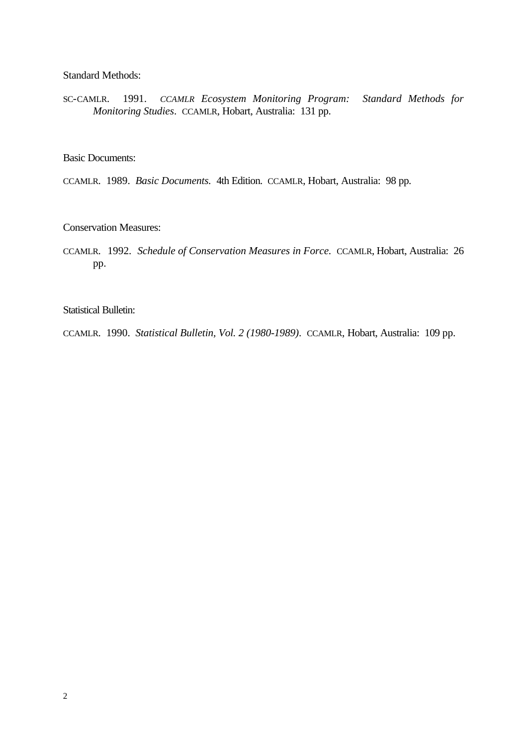Standard Methods:

SC-CAMLR. 1991. *CCAMLR Ecosystem Monitoring Program: Standard Methods for Monitoring Studies*. CCAMLR, Hobart, Australia: 131 pp.

Basic Documents:

CCAMLR. 1989. *Basic Documents.* 4th Edition. CCAMLR, Hobart, Australia: 98 pp.

Conservation Measures:

CCAMLR. 1992. *Schedule of Conservation Measures in Force.* CCAMLR, Hobart, Australia: 26 pp.

Statistical Bulletin:

CCAMLR. 1990. *Statistical Bulletin, Vol. 2 (1980-1989)*. CCAMLR, Hobart, Australia: 109 pp.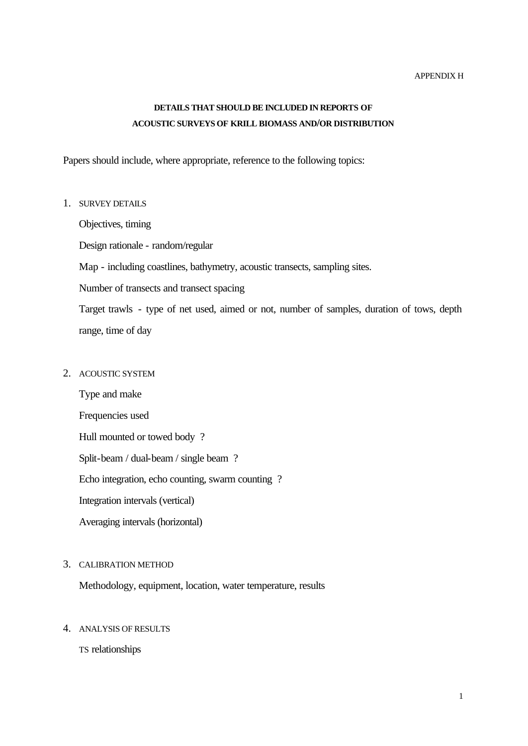### APPENDIX H

# **DETAILS THAT SHOULD BE INCLUDED IN REPORTS OF ACOUSTIC SURVEYS OF KRILL BIOMASS AND/OR DISTRIBUTION**

Papers should include, where appropriate, reference to the following topics:

## 1. SURVEY DETAILS

Objectives, timing

Design rationale - random/regular

Map - including coastlines, bathymetry, acoustic transects, sampling sites.

Number of transects and transect spacing

Target trawls - type of net used, aimed or not, number of samples, duration of tows, depth range, time of day

## 2. ACOUSTIC SYSTEM

Type and make Frequencies used Hull mounted or towed body ? Split-beam / dual-beam / single beam ? Echo integration, echo counting, swarm counting ? Integration intervals (vertical)

Averaging intervals (horizontal)

## 3. CALIBRATION METHOD

Methodology, equipment, location, water temperature, results

## 4. ANALYSIS OF RESULTS

TS relationships